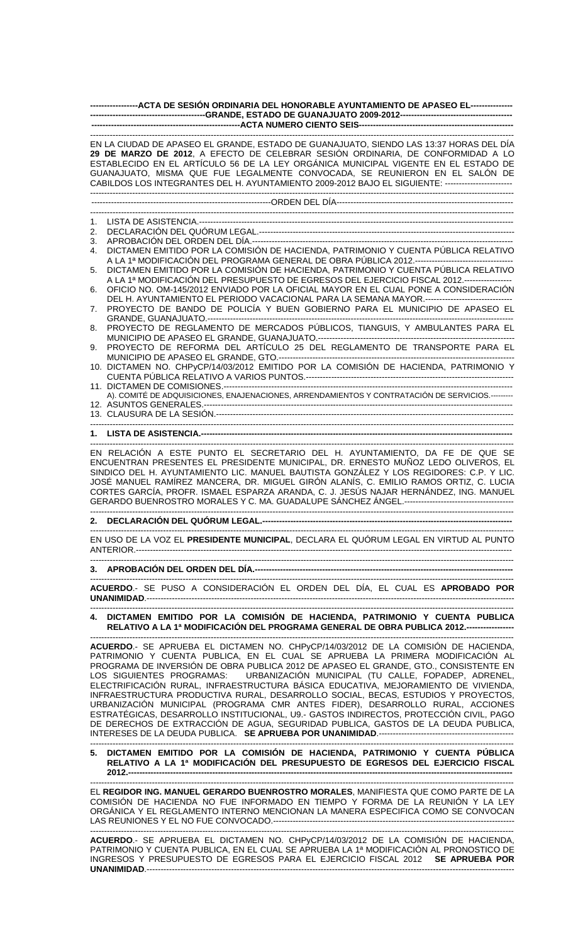| ------------------ACTA DE SESIÓN ORDINARIA DEL HONORABLE AYUNTAMIENTO DE APASEO EL---------------                                                                                                                                                                                                                                                                                                                                                                                                                                                                                                                                                                                                                                                                                       |
|-----------------------------------------------------------------------------------------------------------------------------------------------------------------------------------------------------------------------------------------------------------------------------------------------------------------------------------------------------------------------------------------------------------------------------------------------------------------------------------------------------------------------------------------------------------------------------------------------------------------------------------------------------------------------------------------------------------------------------------------------------------------------------------------|
|                                                                                                                                                                                                                                                                                                                                                                                                                                                                                                                                                                                                                                                                                                                                                                                         |
| EN LA CIUDAD DE APASEO EL GRANDE, ESTADO DE GUANAJUATO, SIENDO LAS 13:37 HORAS DEL DÍA<br>29 DE MARZO DE 2012, A EFECTO DE CELEBRAR SESIÓN ORDINARIA, DE CONFORMIDAD A LO<br>ESTABLECIDO EN EL ARTÍCULO 56 DE LA LEY ORGÁNICA MUNICIPAL VIGENTE EN EL ESTADO DE<br>GUANAJUATO, MISMA QUE FUE LEGALMENTE CONVOCADA, SE REUNIERON EN EL SALÓN DE<br>CABILDOS LOS INTEGRANTES DEL H. AYUNTAMIENTO 2009-2012 BAJO EL SIGUIENTE: ------------------------                                                                                                                                                                                                                                                                                                                                    |
|                                                                                                                                                                                                                                                                                                                                                                                                                                                                                                                                                                                                                                                                                                                                                                                         |
|                                                                                                                                                                                                                                                                                                                                                                                                                                                                                                                                                                                                                                                                                                                                                                                         |
| 1.<br>2.                                                                                                                                                                                                                                                                                                                                                                                                                                                                                                                                                                                                                                                                                                                                                                                |
| 3.                                                                                                                                                                                                                                                                                                                                                                                                                                                                                                                                                                                                                                                                                                                                                                                      |
| DICTAMEN EMITIDO POR LA COMISIÓN DE HACIENDA, PATRIMONIO Y CUENTA PÚBLICA RELATIVO<br>4.                                                                                                                                                                                                                                                                                                                                                                                                                                                                                                                                                                                                                                                                                                |
| DICTAMEN EMITIDO POR LA COMISIÓN DE HACIENDA, PATRIMONIO Y CUENTA PÚBLICA RELATIVO<br>5.<br>A LA 1ª MODIFICACIÓN DEL PRESUPUESTO DE EGRESOS DEL EJERCICIO FISCAL 2012.-----------------                                                                                                                                                                                                                                                                                                                                                                                                                                                                                                                                                                                                 |
| OFICIO NO. OM-145/2012 ENVIADO POR LA OFICIAL MAYOR EN EL CUAL PONE A CONSIDERACIÓN<br>6.<br>DEL H. AYUNTAMIENTO EL PERIODO VACACIONAL PARA LA SEMANA MAYOR.-------------------------------                                                                                                                                                                                                                                                                                                                                                                                                                                                                                                                                                                                             |
| PROYECTO DE BANDO DE POLICÍA Y BUEN GOBIERNO PARA EL MUNICIPIO DE APASEO EL<br>7.                                                                                                                                                                                                                                                                                                                                                                                                                                                                                                                                                                                                                                                                                                       |
| PROYECTO DE REGLAMENTO DE MERCADOS PÚBLICOS, TIANGUIS, Y AMBULANTES PARA EL<br>8.                                                                                                                                                                                                                                                                                                                                                                                                                                                                                                                                                                                                                                                                                                       |
| PROYECTO DE REFORMA DEL ARTÍCULO 25 DEL REGLAMENTO DE TRANSPORTE PARA EL<br>9.                                                                                                                                                                                                                                                                                                                                                                                                                                                                                                                                                                                                                                                                                                          |
| 10. DICTAMEN NO. CHPyCP/14/03/2012 EMITIDO POR LA COMISIÓN DE HACIENDA, PATRIMONIO Y                                                                                                                                                                                                                                                                                                                                                                                                                                                                                                                                                                                                                                                                                                    |
| A). COMITÉ DE ADQUISICIONES, ENAJENACIONES, ARRENDAMIENTOS Y CONTRATACIÓN DE SERVICIOS.--------                                                                                                                                                                                                                                                                                                                                                                                                                                                                                                                                                                                                                                                                                         |
|                                                                                                                                                                                                                                                                                                                                                                                                                                                                                                                                                                                                                                                                                                                                                                                         |
|                                                                                                                                                                                                                                                                                                                                                                                                                                                                                                                                                                                                                                                                                                                                                                                         |
| EN RELACIÓN A ESTE PUNTO EL SECRETARIO DEL H. AYUNTAMIENTO, DA FE DE QUE SE<br>ENCUENTRAN PRESENTES EL PRESIDENTE MUNICIPAL, DR. ERNESTO MUÑOZ LEDO OLIVEROS, EL<br>SINDICO DEL H. AYUNTAMIENTO LIC. MANUEL BAUTISTA GONZÁLEZ Y LOS REGIDORES: C.P. Y LIC.<br>JOSÉ MANUEL RAMÍREZ MANCERA, DR. MIGUEL GIRÓN ALANÍS, C. EMILIO RAMOS ORTIZ, C. LUCIA<br>CORTES GARCÍA, PROFR. ISMAEL ESPARZA ARANDA, C. J. JESÚS NAJAR HERNÁNDEZ, ING. MANUEL                                                                                                                                                                                                                                                                                                                                            |
|                                                                                                                                                                                                                                                                                                                                                                                                                                                                                                                                                                                                                                                                                                                                                                                         |
| EN USO DE LA VOZ EL PRESIDENTE MUNICIPAL, DECLARA EL QUÓRUM LEGAL EN VIRTUD AL PUNTO                                                                                                                                                                                                                                                                                                                                                                                                                                                                                                                                                                                                                                                                                                    |
|                                                                                                                                                                                                                                                                                                                                                                                                                                                                                                                                                                                                                                                                                                                                                                                         |
| ACUERDO.- SE PUSO A CONSIDERACIÓN EL ORDEN DEL DÍA, EL CUAL ES APROBADO POR                                                                                                                                                                                                                                                                                                                                                                                                                                                                                                                                                                                                                                                                                                             |
| 4. DICTAMEN EMITIDO POR LA COMISIÓN DE HACIENDA, PATRIMONIO Y CUENTA PUBLICA<br>RELATIVO A LA 1ª MODIFICACIÓN DEL PROGRAMA GENERAL DE OBRA PUBLICA 2012.----------------                                                                                                                                                                                                                                                                                                                                                                                                                                                                                                                                                                                                                |
| ACUERDO.- SE APRUEBA EL DICTAMEN NO. CHPyCP/14/03/2012 DE LA COMISIÓN DE HACIENDA,<br>PATRIMONIO Y CUENTA PUBLICA, EN EL CUAL SE APRUEBA LA PRIMERA MODIFICACIÓN AL<br>PROGRAMA DE INVERSIÓN DE OBRA PUBLICA 2012 DE APASEO EL GRANDE, GTO., CONSISTENTE EN<br>LOS SIGUIENTES PROGRAMAS: URBANIZACIÓN MUNICIPAL (TU CALLE, FOPADEP, ADRENEL,<br>ELECTRIFICACIÓN RURAL, INFRAESTRUCTURA BÁSICA EDUCATIVA, MEJORAMIENTO DE VIVIENDA,<br>INFRAESTRUCTURA PRODUCTIVA RURAL, DESARROLLO SOCIAL, BECAS, ESTUDIOS Y PROYECTOS,<br>URBANIZACIÓN MUNICIPAL (PROGRAMA CMR ANTES FIDER), DESARROLLO RURAL, ACCIONES<br>ESTRATÉGICAS, DESARROLLO INSTITUCIONAL, U9.- GASTOS INDIRECTOS, PROTECCIÓN CIVIL, PAGO<br>DE DERECHOS DE EXTRACCIÓN DE AGUA, SEGURIDAD PUBLICA, GASTOS DE LA DEUDA PUBLICA, |

# **5. DICTAMEN EMITIDO POR LA COMISIÓN DE HACIENDA, PATRIMONIO Y CUENTA PÚBLICA RELATIVO A LA 1ª MODIFICACIÓN DEL PRESUPUESTO DE EGRESOS DEL EJERCICIO FISCAL 2012.-----------------------------------------------------------------------------------------------------------------------------------------**

------------------------------------------------------------------------------------------------------------------------------------------------------- EL **REGIDOR ING. MANUEL GERARDO BUENROSTRO MORALES**, MANIFIESTA QUE COMO PARTE DE LA COMISIÓN DE HACIENDA NO FUE INFORMADO EN TIEMPO Y FORMA DE LA REUNIÓN Y LA LEY ORGÁNICA Y EL REGLAMENTO INTERNO MENCIONAN LA MANERA ESPECIFICA COMO SE CONVOCAN LAS REUNIONES Y EL NO FUE CONVOCADO.----

------------------------------------------------------------------------------------------------------------------------------------------------------- **ACUERDO**.- SE APRUEBA EL DICTAMEN NO. CHPyCP/14/03/2012 DE LA COMISIÓN DE HACIENDA, PATRIMONIO Y CUENTA PUBLICA, EN EL CUAL SE APRUEBA LA 1ª MODIFICACIÓN AL PRONOSTICO DE INGRESOS Y PRESUPUESTO DE EGRESOS PARA EL EJERCICIO FISCAL 2012 **SE APRUEBA POR UNANIMIDAD**.-----------------------------------------------------------------------------------------------------------------------------------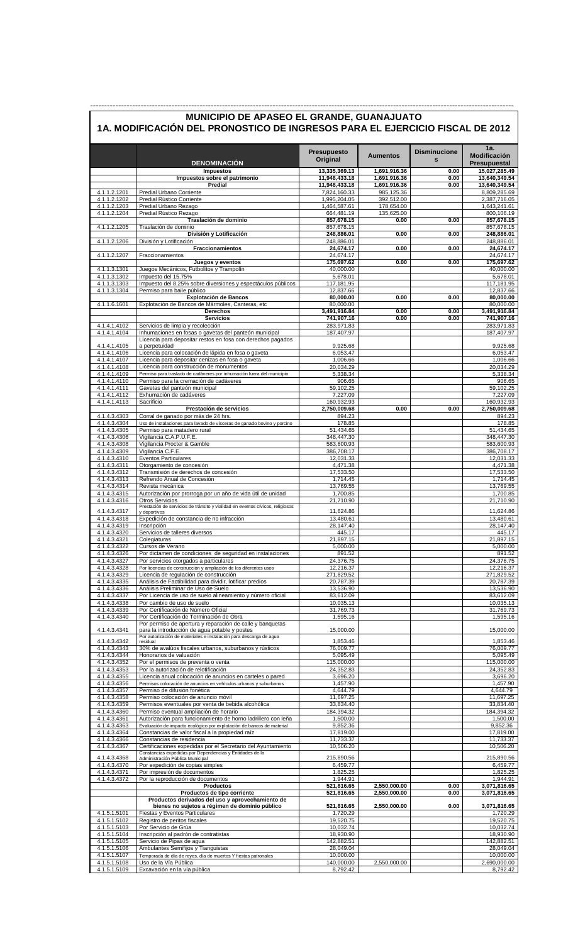|                              | <b>DENOMINACIÓN</b>                                                                                               | <b>Presupuesto</b><br>Original | <b>Aumentos</b>              | <b>Disminucione</b><br>$\mathbf{s}$ | 1a.<br>Modificación<br>Presupuestal |
|------------------------------|-------------------------------------------------------------------------------------------------------------------|--------------------------------|------------------------------|-------------------------------------|-------------------------------------|
|                              | <b>Impuestos</b>                                                                                                  | 13,335,369.13<br>11,948,433.18 | 1,691,916.36<br>1,691,916.36 | 0.00<br>0.00                        | 15,027,285.49<br>13.640.349.54      |
|                              | Impuestos sobre el patrimonio<br>Predial                                                                          | 11,948,433.18                  | 1,691,916.36                 | 0.00                                | 13,640,349.54                       |
| 4.1.1.2.1201                 | Predial Urbano Corriente                                                                                          | 7,824,160.33                   | 985,125.36                   |                                     | 8,809,285.69                        |
| 4.1.1.2.1202<br>4.1.1.2.1203 | Predial Rústico Corriente<br>Predial Urbano Rezago                                                                | 1,995,204.05<br>1,464,587.61   | 392,512.00<br>178,654.00     |                                     | 2,387,716.05<br>1,643,241.61        |
| 4.1.1.2.1204                 | Predial Rústico Rezago                                                                                            | 664,481.19                     | 135,625.00                   |                                     | 800,106.19                          |
| 4.1.1.2.1205                 | Traslación de dominio<br>Traslación de dominio                                                                    | 857,678.15<br>857,678.15       | 0.00                         | 0.00                                | 857,678.15<br>857,678.15            |
|                              | División y Lotificación                                                                                           | 248,886.01                     | 0.00                         | 0.00                                | 248,886.01                          |
| 4.1.1.2.1206                 | División y Lotificación                                                                                           | 248,886.01                     |                              |                                     | 248,886.01                          |
| 4.1.1.2.1207                 | Fraccionamientos<br>Fraccionamientos                                                                              | 24,674.17<br>24,674.17         | 0.00                         | 0.00                                | 24,674.17<br>24,674.17              |
|                              | Juegos y eventos                                                                                                  | 175,697.62                     | 0.00                         | 0.00                                | 175,697.62                          |
| 4.1.1.3.1301<br>4.1.1.3.1302 | Juegos Mecánicos, Futbolitos y Trampolín<br>Impuesto del 15.75%                                                   | 40,000.00<br>5,678.01          |                              |                                     | 40,000.00<br>5,678.01               |
| 4.1.1.3.1303                 | Impuesto del 8.25% sobre diversiones y espectáculos públicos                                                      | 117,181.95                     |                              |                                     | 117,181.95                          |
| 4.1.1.3.1304                 | Permiso para baile público<br><b>Explotación de Bancos</b>                                                        | 12,837.66<br>80,000.00         | 0.00                         | 0.00                                | 12,837.66<br>80,000.00              |
| 4.1.1.6.1601                 | Explotación de Bancos de Mármoles, Canteras, etc                                                                  | 80,000.00                      |                              |                                     | 80,000.00                           |
|                              | Derechos                                                                                                          | 3,491,916.84                   | 0.00                         | 0.00                                | 3,491,916.84                        |
| 4.1.4.1.4102                 | <b>Servicios</b><br>Servicios de limpia y recolección                                                             | 741,907.16<br>283,971.83       | 0.00                         | 0.00                                | 741,907.16<br>283,971.83            |
| 4.1.4.1.4104                 | Inhumaciones en fosas o gavetas del panteón municipal                                                             | 187.407.97                     |                              |                                     | 187,407.97                          |
| 4.1.4.1.4105                 | Licencia para depositar restos en fosa con derechos pagados<br>a perpetuidad                                      | 9,925.68                       |                              |                                     | 9,925.68                            |
| 4.1.4.1.4106                 | Licencia para colocación de lápida en fosa o gaveta                                                               | 6,053.47                       |                              |                                     | 6,053.47                            |
| 4.1.4.1.4107                 | Licencia para depositar cenizas en fosa o gaveta                                                                  | 1,006.66                       |                              |                                     | 1,006.66                            |
| 4.1.4.1.4108<br>4.1.4.1.4109 | Licencia para construcción de monumentos<br>Permiso para traslado de cadáveres por inhumación fuera del municipio | 20,034.29<br>5,338.34          |                              |                                     | 20,034.29<br>5,338.34               |
| 4.1.4.1.4110                 | Permiso para la cremación de cadáveres                                                                            | 906.65                         |                              |                                     | 906.65                              |
| 4.1.4.1.4111<br>4.1.4.1.4112 | Gavetas del panteón municipal<br>Exhumación de cadáveres                                                          | 59,102.25<br>7,227.09          |                              |                                     | 59,102.25<br>7,227.09               |
| 4.1.4.1.4113                 | Sacrificio                                                                                                        | 160,932.93                     |                              |                                     | 160,932.93                          |
|                              | Prestación de servicios                                                                                           | 2,750,009.68                   | 0.00                         | 0.00                                | 2,750,009.68                        |
| 4.1.4.3.4303<br>4.1.4.3.4304 | Corral de ganado por más de 24 hrs.<br>Uso de instalaciones para lavado de vísceras de ganado bovino y porcino    | 894.23<br>178.85               |                              |                                     | 894.23<br>178.85                    |
| 4.1.4.3.4305                 | Permiso para matadero rural                                                                                       | 51,434.65                      |                              |                                     | 51,434.65                           |
| 4.1.4.3.4306<br>4.1.4.3.4308 | Vigilancia C.A.P.U.F.E.<br>Vigilancia Procter & Gamble                                                            | 348,447.30<br>583,600.93       |                              |                                     | 348,447.30<br>583,600.93            |
| 4.1.4.3.4309                 | Vigilancia C.F.E.                                                                                                 | 386,708.17                     |                              |                                     | 386,708.17                          |
| 4.1.4.3.4310                 | Eventos Particulares                                                                                              | 12,031.33                      |                              |                                     | 12,031.33                           |
| 4.1.4.3.4311<br>4.1.4.3.4312 | Otorgamiento de concesión<br>Transmisión de derechos de concesión                                                 | 4,471.38<br>17,533.50          |                              |                                     | 4,471.38<br>17,533.50               |
| 4.1.4.3.4313                 | Refrendo Anual de Concesión                                                                                       | 1,714.45                       |                              |                                     | 1,714.45                            |
| 4.1.4.3.4314<br>4.1.4.3.4315 | Revista mecánica<br>Autorización por prorroga por un año de vida útil de unidad                                   | 13,769.55<br>1,700.85          |                              |                                     | 13,769.55<br>1,700.85               |
| 4.1.4.3.4316                 | <b>Otros Servicios</b>                                                                                            | 21,710.90                      |                              |                                     | 21,710.90                           |
| 4.1.4.3.4317                 | Prestación de servicios de tránsito y vialidad en eventos cívicos, religiosos<br>y deportivos                     | 11,624.86                      |                              |                                     | 11,624.86                           |
| 4.1.4.3.4318                 | Expedición de constancia de no infracción                                                                         | 13,480.61                      |                              |                                     | 13,480.61                           |
| 4.1.4.3.4319<br>4.1.4.3.4320 | Inscripción<br>Servicios de talleres diversos                                                                     | 28,147.40<br>445.17            |                              |                                     | 28,147.40<br>445.17                 |
| 4.1.4.3.4321                 | Colegiaturas                                                                                                      | 21,897.15                      |                              |                                     | 21,897.15                           |
| 4.1.4.3.4322                 | Cursos de Verano                                                                                                  | 5,000.00                       |                              |                                     | 5,000.00                            |
| 4.1.4.3.4326<br>4.1.4.3.4327 | Por dictamen de condiciones de seguridad en instalaciones<br>Por servicios otorgados a particulares               | 891.52<br>24,376.75            |                              |                                     | 891.52<br>24,376.75                 |
| 4.1.4.3.4328                 | Por licencias de construcción y ampliación de los diferentes usos                                                 | 12,216.37                      |                              |                                     | 12,216.37                           |
| 4.1.4.3.4329<br>4.1.4.3.4335 | Licencia de regulación de construcción<br>Análisis de Factibilidad para dividir, lotificar predios                | 271,829.52<br>20,787.39        |                              |                                     | 271,829.52<br>20,787.39             |
| 4.1.4.3.4336                 | Análisis Preliminar de Uso de Suelo                                                                               | 13,536.90                      |                              |                                     | 13,536.90                           |
| 4.1.4.3.4337                 | Por Licencia de uso de suelo alineamiento y número oficial                                                        | 83,612.09<br>10,035.13         |                              |                                     | 83,612.09<br>10,035.13              |
| 4.1.4.3.4338<br>4.1.4.3.4339 | Por cambio de uso de suelo<br>Por Certificación de Número Oficial                                                 | 31,769.73                      |                              |                                     | 31,769.73                           |
| 4.1.4.3.4340                 | Por Certificación de Terminación de Obra                                                                          | 1,595.16                       |                              |                                     | 1,595.16                            |
| 4.1.4.3.4341                 | Por permiso de apertura y reparación de calle y banquetas<br>para la introducción de aqua potable y postes        | 15,000.00                      |                              |                                     | 15,000.00                           |
| 4.1.4.3.4342                 | Por autorización de materiales e instalación para descarga de agua<br>residual                                    | 1,853.46                       |                              |                                     | 1,853.46                            |
| 4.1.4.3.4343                 | 30% de avalúos fiscales urbanos, suburbanos y rústicos                                                            | 76,009.77                      |                              |                                     | 76,009.77                           |
| 4.1.4.3.4344                 | Honorarios de valuación                                                                                           | 5,095.49                       |                              |                                     | 5,095.49                            |
| 4.1.4.3.4352<br>4.1.4.3.4353 | Por el permisos de preventa o venta<br>Por la autorización de relotificación                                      | 115,000.00<br>24,352.83        |                              |                                     | 115,000.00<br>24,352.83             |
| 4.1.4.3.4355                 | Licencia anual colocación de anuncios en carteles o pared                                                         | 3,696.20                       |                              |                                     | 3,696.20                            |
| 4.1.4.3.4356<br>4.1.4.3.4357 | Permisos colocación de anuncios en vehículos urbanos y suburbanos<br>Permiso de difusión fonética                 | 1,457.90<br>4,644.79           |                              |                                     | 1,457.90<br>4,644.79                |
| 4.1.4.3.4358                 | Permiso colocación de anuncio móvil                                                                               | 11,697.25                      |                              |                                     | 11,697.25                           |
| 4.1.4.3.4359                 | Permisos eventuales por venta de bebida alcohólica                                                                | 33,834.40                      |                              |                                     | 33,834.40                           |
| 4.1.4.3.4360<br>4.1.4.3.4361 | Permiso eventual ampliación de horario<br>Autorización para funcionamiento de horno ladrillero con leña           | 184,394.32<br>1,500.00         |                              |                                     | 184,394.32<br>1,500.00              |
| 4.1.4.3.4363                 | Evaluación de impacto ecológico por explotación de bancos de material                                             | 9,852.36                       |                              |                                     | 9,852.36                            |
| 4.1.4.3.4364<br>4.1.4.3.4366 | Constancias de valor fiscal a la propiedad raíz<br>Constancias de residencia                                      | 17,819.00<br>11,733.37         |                              |                                     | 17,819.00<br>11,733.37              |
| 4.1.4.3.4367                 | Certificaciones expedidas por el Secretario del Ayuntamiento                                                      | 10,506.20                      |                              |                                     | 10,506.20                           |
| 4.1.4.3.4368                 | Constancias expedidas por Dependencias y Entidades de la<br>Administración Pública Municipal                      | 215,890.56                     |                              |                                     | 215,890.56                          |
| 4.1.4.3.4370                 | Por expedición de copias simples                                                                                  | 6,459.77                       |                              |                                     | 6,459.77                            |
| 4.1.4.3.4371<br>4.1.4.3.4372 | Por impresión de documentos<br>Por la reproducción de documentos                                                  | 1,825.25                       |                              |                                     | 1,825.25<br>1,944.91                |
|                              | <b>Productos</b>                                                                                                  | 1,944.91<br>521,816.65         | 2,550,000.00                 | 0.00                                | 3,071,816.65                        |
|                              | Productos de tipo corriente                                                                                       | 521,816.65                     | 2,550,000.00                 | 0.00                                | 3,071,816.65                        |
|                              | Productos derivados del uso y aprovechamiento de<br>bienes no sujetos a régimen de dominio público                | 521,816.65                     | 2,550,000.00                 | 0.00                                | 3,071,816.65                        |
| 4.1.5.1.5101                 | Fiestas y Eventos Particulares                                                                                    | 1,720.29                       |                              |                                     | 1,720.29                            |
| 4.1.5.1.5102                 | Registro de peritos fiscales                                                                                      | 19,520.75                      |                              |                                     | 19,520.75                           |
| 4.1.5.1.5103<br>4.1.5.1.5104 | Por Servicio de Grúa<br>Inscripción al padrón de contratistas                                                     | 10,032.74<br>18,930.90         |                              |                                     | 10,032.74<br>18,930.90              |
| 4.1.5.1.5105                 | Servicio de Pipas de aqua                                                                                         | 142,882.51                     |                              |                                     | 142,882.51                          |
| 4.1.5.1.5106<br>4.1.5.1.5107 | Ambulantes Semifijos y Tianguistas<br>Temporada de día de reyes, día de muertos Y fiestas patronales              | 28,049.04<br>10,000.00         |                              |                                     | 28,049.04<br>10,000.00              |
| 4.1.5.1.5108                 | Uso de la Vía Pública                                                                                             | 140,000.00                     | 2,550,000.00                 |                                     | 2,690,000.00                        |
| 4.1.5.1.5109                 | Excavación en la vía pública                                                                                      | 8,792.42                       |                              |                                     | 8,792.42                            |

-------------------------------------------------------------------------------------------------------------------------------------------------------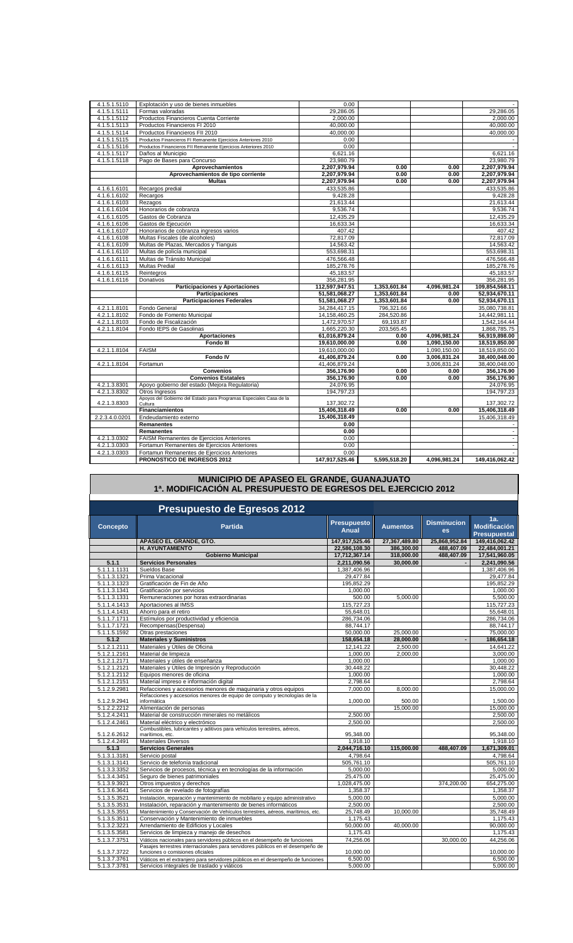| 4.1.5.1.5110   | Explotación y uso de bienes inmuebles                                       | 0.00                   |              |              |                |
|----------------|-----------------------------------------------------------------------------|------------------------|--------------|--------------|----------------|
| 4.1.5.1.5111   | Formas valoradas                                                            | 29,286.05              |              |              | 29,286.05      |
| 4.1.5.1.5112   | Productos Financieros Cuenta Corriente                                      | 2,000.00               |              |              | 2,000.00       |
| 4.1.5.1.5113   | Productos Financieros FI 2010                                               | 40,000.00              |              |              | 40,000.00      |
| 4.1.5.1.5114   | Productos Financieros FII 2010                                              | 40,000.00              |              |              | 40,000.00      |
| 4.1.5.1.5115   | Productos Financieros FI Remanente Ejercicios Anteriores 2010               | 0.00                   |              |              |                |
| 4.1.5.1.5116   | Productos Financieros FII Remanente Ejercicios Anteriores 2010              | 0.00                   |              |              |                |
| 4.1.5.1.5117   | Daños al Municipio                                                          | 6,621.16               |              |              | 6,621.16       |
| 4.1.5.1.5118   | Pago de Bases para Concurso                                                 | 23,980.79              |              |              | 23,980.79      |
|                | Aprovechamientos                                                            | 2,207,979.94           | 0.00         | 0.00         | 2,207,979.94   |
|                | Aprovechamientos de tipo corriente                                          | 2,207,979.94           | 0.00         | 0.00         | 2,207,979.94   |
|                | <b>Multas</b>                                                               | 2,207,979.94           | 0.00         | 0.00         | 2,207,979.94   |
| 4.1.6.1.6101   | Recargos predial                                                            | 433,535.86             |              |              | 433,535.86     |
| 4.1.6.1.6102   | Recargos                                                                    | 9,428.28               |              |              | 9,428.28       |
| 4.1.6.1.6103   | Rezagos                                                                     | 21,613.44              |              |              | 21,613.44      |
| 4.1.6.1.6104   | Honorarios de cobranza                                                      | 9,536.74               |              |              | 9,536.74       |
| 4.1.6.1.6105   | Gastos de Cobranza                                                          | 12,435.29              |              |              | 12,435.29      |
| 4.1.6.1.6106   | Gastos de Ejecución                                                         | 16,633.34              |              |              | 16,633.34      |
| 4.1.6.1.6107   | Honorarios de cobranza ingresos varios                                      | 407.42                 |              |              | 407.42         |
| 4.1.6.1.6108   | Multas Fiscales (de alcoholes)                                              | 72,817.09              |              |              | 72,817.09      |
| 4.1.6.1.6109   | Multas de Plazas, Mercados y Tianguis                                       | 14,563.42              |              |              | 14,563.42      |
| 4.1.6.1.6110   | Multas de policía municipal                                                 | 553,698.31             |              |              | 553,698.31     |
| 4.1.6.1.6111   | Multas de Tránsito Municipal                                                | 476,566.48             |              |              | 476,566.48     |
| 4.1.6.1.6113   | Multas Predial                                                              | 185,278.76             |              |              | 185,278.76     |
| 4.1.6.1.6115   | Reintegros                                                                  | 45,183.57              |              |              | 45,183.57      |
| 4.1.6.1.6116   | Donativos                                                                   | 356,281.95             |              |              | 356,281.95     |
|                |                                                                             |                        |              |              |                |
|                | <b>Participaciones y Aportaciones</b>                                       | 112,597,947.51         | 1,353,601.84 | 4,096,981.24 | 109,854,568.11 |
|                | <b>Participaciones</b>                                                      | 51,581,068.27          | 1,353,601.84 | 0.00         | 52,934,670.11  |
|                | <b>Participaciones Federales</b>                                            | 51,581,068.27          | 1,353,601.84 | 0.00         | 52,934,670.11  |
| 4.2.1.1.8101   | Fondo General                                                               | 34,284,417.15          | 796,321.66   |              | 35,080,738.81  |
| 4.2.1.1.8102   | Fondo de Fomento Municipal                                                  | 14,158,460.25          | 284,520.86   |              | 14,442,981.11  |
| 4.2.1.1.8103   | Fondo de Fiscalización                                                      | 1,472,970.57           | 69,193.87    |              | 1,542,164.44   |
| 4.2.1.1.8104   | Fondo IEPS de Gasolinas                                                     | 1,665,220.30           | 203,565.45   |              | 1,868,785.75   |
|                | <b>Aportaciones</b>                                                         | 61,016,879.24          | 0.00         | 4,096,981.24 | 56,919,898.00  |
|                | Fondo III                                                                   | 19,610,000.00          | 0.00         | 1,090,150.00 | 18,519,850.00  |
| 4.2.1.1.8104   | <b>FAISM</b>                                                                | 19,610,000.00          |              | 1,090,150.00 | 18,519,850.00  |
|                | <b>Fondo IV</b>                                                             | 41,406,879.24          | 0.00         | 3,006,831.24 | 38,400,048.00  |
| 4.2.1.1.8104   | Fortamun                                                                    | 41,406,879.24          |              | 3,006,831.24 | 38,400,048.00  |
|                | <b>Convenios</b>                                                            | 356,176.90             | 0.00         | 0.00         | 356,176.90     |
|                | <b>Convenios Estatales</b>                                                  | 356,176.90             | 0.00         | 0.00         | 356,176.90     |
| 4.2.1.3.8301   | Apoyo gobierno del estado (Mejora Regulatoria)                              | 24,076.95              |              |              | 24,076.95      |
| 4.2.1.3.8302   | Otros Ingresos                                                              | 194,797.23             |              |              | 194,797.23     |
|                | Apoyos del Gobierno del Estado para Programas Especiales Casa de la         |                        |              |              |                |
| 4.2.1.3.8303   | Cultura                                                                     | 137,302.72             |              |              | 137,302.72     |
|                | Financiamientos                                                             | 15,406,318.49          | 0.00         | 0.00         | 15,406,318.49  |
| 2.2.3.4.0.0201 | Endeudamiento externo                                                       | 15,406,318.49          |              |              | 15,406,318.49  |
|                | Remanentes                                                                  | 0.00                   |              |              |                |
|                | Remanentes                                                                  | 0.00                   |              |              | $\sim$         |
| 4.2.1.3.0302   | FAISM Remanentes de Ejercicios Anteriores                                   | 0.00                   |              |              | $\blacksquare$ |
| 4.2.1.3.0303   | Fortamun Remanentes de Ejercicios Anteriores                                | 0.00                   |              |              | $\blacksquare$ |
| 4.2.1.3.0303   | Fortamun Remanentes de Ejercicios Anteriores<br>PRONOSTICO DE INGRESOS 2012 | 0.00<br>147,917,525.46 | 5,595,518.20 | 4,096,981.24 | 149,416,062.42 |

# **MUNICIPIO DE APASEO EL GRANDE, GUANAJUATO 1ª. MODIFICACIÓN AL PRESUPUESTO DE EGRESOS DEL EJERCICIO 2012**

|                              | <b>Presupuesto de Egresos 2012</b>                                                                                      |                                    |                 |                                 |                                                   |
|------------------------------|-------------------------------------------------------------------------------------------------------------------------|------------------------------------|-----------------|---------------------------------|---------------------------------------------------|
| <b>Concepto</b>              | <b>Partida</b>                                                                                                          | <b>Presupuesto</b><br><b>Anual</b> | <b>Aumentos</b> | <b>Disminucion</b><br><b>es</b> | 1a.<br><b>Modificación</b><br><b>Presupuestal</b> |
|                              | APASEO EL GRANDE. GTO.                                                                                                  | 147.917.525.46                     | 27,367,489.80   | 25.868.952.84                   | 149.416.062.42                                    |
|                              | <b>H. AYUNTAMIENTO</b>                                                                                                  | 22,586,108.30                      | 386,300.00      | 488.407.09                      | 22,484,001.21                                     |
|                              | <b>Gobierno Municipal</b>                                                                                               | 17.712.367.14                      | 318.000.00      | 488.407.09                      | 17,541,960.05                                     |
| 5.1.1                        | <b>Servicios Personales</b>                                                                                             | 2,211,090.56                       | 30,000.00       |                                 | 2,241,090.56                                      |
| 5.1.1.1.1131                 | Sueldos Base                                                                                                            | 1,387,406.96                       |                 |                                 | 1,387,406.96                                      |
| 5.1.1.3.1321                 | Prima Vacacional                                                                                                        | 29.477.84                          |                 |                                 | 29.477.84                                         |
| 5.1.1.3.1323                 | Gratificación de Fin de Año                                                                                             | 195,852.29                         |                 |                                 | 195,852.29                                        |
| 5.1.1.3.1341                 | Gratificación por servicios                                                                                             | 1.000.00                           |                 |                                 | 1.000.00                                          |
| 5.1.1.3.1331                 | Remuneraciones por horas extraordinarias                                                                                | 500.00                             | 5,000.00        |                                 | 5,500.00                                          |
| 5.1.1.4.1413                 | Aportaciones al IMSS                                                                                                    | 115.727.23                         |                 |                                 | 115,727.23                                        |
| 5.1.1.4.1431                 | Ahorro para el retiro                                                                                                   | 55,648.01                          |                 |                                 | 55,648.01                                         |
| 5.1.1.7.1711                 | Estímulos por productividad y eficiencia                                                                                | 286.734.06                         |                 |                                 | 286.734.06                                        |
| 5.1.1.7.1721                 | Recompensas(Despensa)                                                                                                   | 88,744.17                          |                 |                                 | 88,744.17                                         |
| 5.1.1.5.1592                 | Otras prestaciones                                                                                                      | 50.000.00                          | 25,000.00       |                                 | 75,000.00                                         |
| 5.1.2                        | <b>Materiales y Suministros</b>                                                                                         | 158,654.18                         | 28.000.00       | $\overline{a}$                  | 186,654.18                                        |
| 5.1.2.1.2111                 | Materiales y Útiles de Oficina                                                                                          | 12,141.22                          | 2,500.00        |                                 | 14,641.22                                         |
| 5.1.2.1.2161                 | Material de limpieza                                                                                                    | 1.000.00                           | 2.000.00        |                                 | 3.000.00                                          |
| 5.1.2.1.2171                 | Materiales y útiles de enseñanza                                                                                        | 1,000.00                           |                 |                                 | 1,000.00                                          |
| 5.1.2.1.2121                 | Materiales y Útiles de Impresión y Reproducción                                                                         | 30,448.22                          |                 |                                 | 30,448.22                                         |
| 5.1.2.1.2112                 | Equipos menores de oficina                                                                                              | 1.000.00                           |                 |                                 | 1.000.00                                          |
| 5.1.2.1.2151                 | Material impreso e información digital                                                                                  | 2,798.64                           |                 |                                 | 2,798.64                                          |
| 5.1.2.9.2981                 | Refacciones y accesorios menores de maquinaria y otros equipos                                                          | 7.000.00                           | 8.000.00        |                                 | 15,000.00                                         |
| 5.1.2.9.2941                 | Refacciones y accesorios menores de equipo de computo y tecnologías de la<br>informática                                | 1.000.00                           | 500.00          |                                 | 1.500.00                                          |
| 5.1.2.2.2212                 | Alimentación de personas                                                                                                |                                    | 15,000.00       |                                 | 15,000.00                                         |
| 5.1.2.4.2411                 | Material de construcción minerales no metálicos                                                                         | 2,500.00                           |                 |                                 | 2,500.00                                          |
| 5.1.2.4.2461                 | Material eléctrico y electrónico                                                                                        | 2,500.00                           |                 |                                 | 2,500.00                                          |
|                              | Combustibles, lubricantes y aditivos para vehículos terrestres, aéreos,                                                 |                                    |                 |                                 |                                                   |
| 5.1.2.6.2612                 | marítimos, etc.                                                                                                         | 95.348.00                          |                 |                                 | 95,348.00                                         |
| 5.1.2.4.2491                 | Materiales Diversos                                                                                                     | 1,918.10                           |                 |                                 | 1,918.10                                          |
| 5.1.3                        | <b>Servicios Generales</b>                                                                                              | 2.044.716.10                       | 115.000.00      | 488.407.09                      | 1.671.309.01                                      |
| 5.1.3.1.3181                 | Servicio postal                                                                                                         | 4,798.64                           |                 |                                 | 4,798.64                                          |
| 5.1.3.1.3141                 | Servicio de telefonía tradicional                                                                                       | 505,761.10                         |                 |                                 | 505,761.10                                        |
| 5.1.3.3.3352                 | Servicios de procesos, técnica y en tecnologías de la información                                                       | 5.000.00                           |                 |                                 | 5,000.00                                          |
| 5.1.3.4.3451                 | Seguro de bienes patrimoniales                                                                                          | 25,475.00                          |                 |                                 | 25,475.00                                         |
| 5.1.3.9.3921                 | Otros impuestos y derechos                                                                                              | 1,028,475.00                       |                 | 374,200.00                      | 654,275.00                                        |
| 5.1.3.6.3641                 | Servicios de revelado de fotografías                                                                                    | 1,358.37                           |                 |                                 | 1,358.37                                          |
| 5.1.3.5.3521                 | Instalación, reparación y mantenimiento de mobiliario y equipo administrativo                                           | 5.000.00                           |                 |                                 | 5.000.00                                          |
| 5.1.3.5.3531                 | Instalación, reparación y mantenimiento de bienes informáticos                                                          | 2,500.00                           |                 |                                 | 2,500.00                                          |
| 5.1.3.5.3551                 | Mantenimiento y Conservación de Vehículos terrestres, aéreos, marítimos, etc.                                           | 25,748.49                          | 10,000.00       |                                 | 35,748.49                                         |
| 5.1.3.5.3511<br>5.1.3.2.3221 | Conservación y Mantenimiento de inmuebles<br>Arrendamiento de Edificios y Locales                                       | 1,175.43<br>50,000.00              | 40,000.00       |                                 | 1,175.43<br>90,000.00                             |
|                              |                                                                                                                         | 1.175.43                           |                 |                                 | 1.175.43                                          |
| 5.1.3.5.3581<br>5.1.3.7.3751 | Servicios de limpieza y manejo de desechos<br>Viáticos nacionales para servidores públicos en el desempeño de funciones | 74,256.06                          |                 | 30,000.00                       | 44,256.06                                         |
|                              | Pasaies terrestres internacionales para servidores públicos en el desempeño de                                          |                                    |                 |                                 |                                                   |
| 5.1.3.7.3722                 | funciones o comisiones oficiales                                                                                        | 10,000.00                          |                 |                                 | 10,000.00                                         |
| 5.1.3.7.3761                 | Viáticos en el extranjero para servidores públicos en el desempeño de funciones                                         | 6.500.00                           |                 |                                 | 6,500.00                                          |
| 5.1.3.7.3781                 | Servicios integrales de traslado y viáticos                                                                             | 5,000.00                           |                 |                                 | 5,000.00                                          |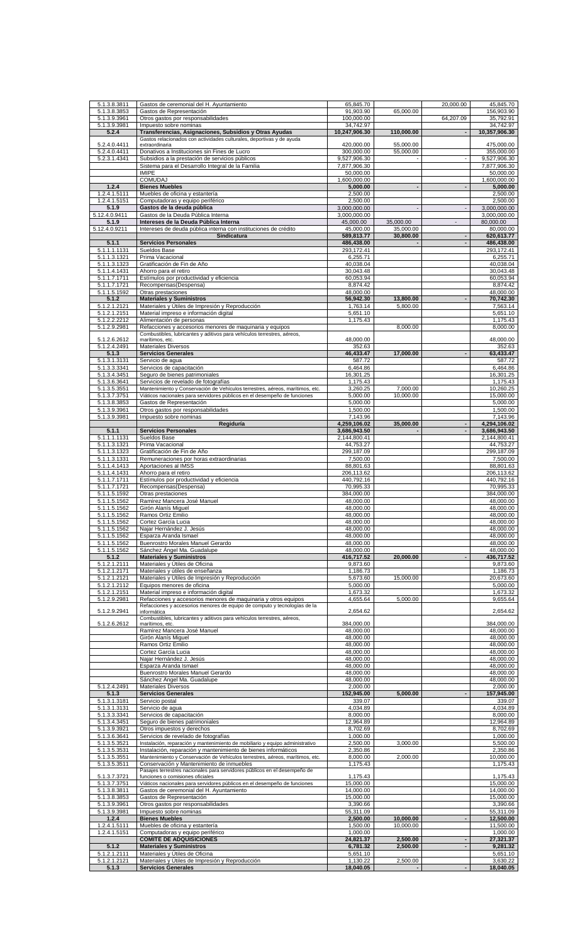| 5.1.3.8.3811                 | Gastos de ceremonial del H. Ayuntamiento                                                   | 65,845.70            |                          | 20,000.00                | 45,845.70                                                 |
|------------------------------|--------------------------------------------------------------------------------------------|----------------------|--------------------------|--------------------------|-----------------------------------------------------------|
| 5.1.3.8.3853                 | Gastos de Representación                                                                   | 91,903.90            | 65,000.00                |                          | 156,903.90                                                |
| 5.1.3.9.3961                 | Otros gastos por responsabilidades                                                         | 100,000.00           |                          | 64,207.09                | 35,792.91                                                 |
| 5.1.3.9.3981                 | Impuesto sobre nominas                                                                     | 34,742.97            |                          |                          | 34,742.97                                                 |
| 5.2.4                        | Transferencias, Asignaciones, Subsidios y Otras Ayudas                                     | 10,247,906.30        | 110,000.00               |                          | 10,357,906.30                                             |
|                              | Gastos relacionados con actividades culturales, deportivas y de ayuda                      |                      |                          |                          |                                                           |
| 5.2.4.0.4411                 | extraordinaria                                                                             | 420,000.00           | 55,000.00                |                          | 475,000.00                                                |
| 5.2.4.0.4411                 | Donativos a Instituciones sin Fines de Lucro                                               | 300,000.00           | 55,000.00                |                          | 355,000.00                                                |
| 5.2.3.1.4341                 | Subsidios a la prestación de servicios públicos                                            | 9,527,906.30         | $\blacksquare$           | $\sim$                   | 9,527,906.30                                              |
|                              | Sistema para el Desarrollo Integral de la Familia                                          | 7,877,906.30         |                          |                          | 7,877,906.30                                              |
|                              | <b>IMIPE</b>                                                                               | 50,000.00            |                          |                          | 50,000.00                                                 |
|                              | <b>COMUDAJ</b>                                                                             | 1,600,000.00         |                          |                          | 1,600,000.00                                              |
| 1.2.4                        | <b>Bienes Muebles</b>                                                                      | 5,000.00             | $\overline{\phantom{a}}$ | $\blacksquare$           | 5,000.00                                                  |
| 1.2.4.1.5111                 | Muebles de oficina y estantería                                                            | 2,500.00             |                          |                          | 2,500.00                                                  |
| 1.2.4.1.5151                 | Computadoras y equipo periférico                                                           | 2,500.00             |                          |                          | 2,500.00                                                  |
| 5.1.9                        | Gastos de la deuda pública                                                                 | 3,000,000.00         | $\overline{a}$           | $\blacksquare$           | 3,000,000.00                                              |
| 5.12.4.0.9411                | Gastos de la Deuda Pública Interna                                                         |                      |                          |                          | 3,000,000.00                                              |
|                              |                                                                                            | 3,000,000.00         |                          |                          |                                                           |
| 5.1.9                        | Intereses de la Deuda Pública Interna                                                      | 45,000.00            | 35,000.00                | $\overline{a}$           | 80,000.00                                                 |
| 5.12.4.0.9211                | Intereses de deuda pública interna con instituciones de crédito                            | 45,000.00            | 35.000.00                |                          | 80,000.00                                                 |
|                              | Sindicatura                                                                                | 589,813.77           | 30,800.00                | $\overline{a}$           | 620,613.77                                                |
| 5.1.1                        | <b>Servicios Personales</b>                                                                | 486,438.00           |                          |                          | 486,438.00                                                |
| 5.1.1.1.1131                 | Sueldos Base                                                                               | 293,172.41           |                          |                          | 293,172.41                                                |
| 5.1.1.3.1321                 | Prima Vacacional                                                                           | 6,255.71             |                          |                          | 6,255.71                                                  |
| 5.1.1.3.1323                 | Gratificación de Fin de Año                                                                | 40,038.04            |                          |                          | 40,038.04                                                 |
| 5.1.1.4.1431                 | Ahorro para el retiro                                                                      | 30,043.48            |                          |                          | 30,043.48                                                 |
| 5.1.1.7.1711                 | Estímulos por productividad y eficiencia                                                   | 60,053.94            |                          |                          | 60,053.94                                                 |
| 5.1.1.7.1721                 | Recompensas(Despensa)                                                                      | 8,874.42             |                          |                          | 8,874.42                                                  |
| 5.1.1.5.1592                 | Otras prestaciones                                                                         | 48,000.00            |                          |                          | 48,000.00                                                 |
| 5.1.2                        | <b>Materiales y Suministros</b>                                                            | 56,942.30            | 13,800.00                | $\overline{\phantom{a}}$ | 70,742.30                                                 |
| 5.1.2.1.2121                 | Materiales y Útiles de Impresión y Reproducción                                            | 1,763.14             | 5,800.00                 |                          | 7,563.14                                                  |
| 5.1.2.1.2151                 | Material impreso e información digital                                                     | 5,651.10             |                          |                          | 5,651.10                                                  |
| 5.1.2.2.2212                 | Alimentación de personas                                                                   | 1,175.43             |                          |                          | 1,175.43                                                  |
| 5.1.2.9.2981                 | Refacciones y accesorios menores de maquinaria y equipos                                   |                      | 8,000.00                 |                          | 8,000.00                                                  |
|                              | Combustibles, lubricantes y aditivos para vehículos terrestres, aéreos,                    |                      |                          |                          |                                                           |
| 5.1.2.6.2612                 | marítimos, etc.                                                                            | 48,000.00            |                          |                          | 48,000.00                                                 |
| 5.1.2.4.2491                 | Materiales Diversos                                                                        | 352.63               |                          |                          | 352.63                                                    |
| 5.1.3                        | <b>Servicios Generales</b>                                                                 | 46,433.47            | 17,000.00                |                          | 63,433.47                                                 |
| 5.1.3.1.3131                 | Servicio de agua                                                                           | 587.72               |                          |                          | 587.72                                                    |
| 5.1.3.3.3341                 | Servicios de capacitación                                                                  | 6,464.86             |                          |                          | 6,464.86                                                  |
| 5.1.3.4.3451                 | Seguro de bienes patrimoniales                                                             | 16,301.25            |                          |                          | 16,301.25                                                 |
| 5.1.3.6.3641                 | Servicios de revelado de fotografías                                                       | 1,175.43             |                          |                          | 1,175.43                                                  |
| 5.1.3.5.3551                 | Mantenimiento y Conservación de Vehículos terrestres, aéreos, marítimos, etc.              | 3,260.25             | 7,000.00                 |                          | 10,260.25                                                 |
| 5.1.3.7.3751                 | Viáticos nacionales para servidores públicos en el desempeño de funciones                  | 5,000.00             | 10,000.00                |                          | 15,000.00                                                 |
| 5.1.3.8.3853                 | Gastos de Representación                                                                   | 5,000.00             |                          |                          | 5,000.00                                                  |
| 5.1.3.9.3961                 | Otros gastos por responsabilidades                                                         | 1,500.00             |                          |                          | 1,500.00                                                  |
| 5.1.3.9.3981                 | Impuesto sobre nominas                                                                     | 7,143.96             |                          |                          | 7,143.96                                                  |
|                              | Regiduría                                                                                  | 4,259,106.02         | 35,000.00                | $\blacksquare$           | 4,294,106.02                                              |
| 5.1.1                        | <b>Servicios Personales</b>                                                                | 3,686,943.50         |                          |                          | 3,686,943.50                                              |
| 5.1.1.1.1131                 | Sueldos Base                                                                               | 2,144,800.41         |                          |                          | 2,144,800.41                                              |
| 5.1.1.3.1321                 | Prima Vacacional                                                                           | 44,753.27            |                          |                          | 44,753.27                                                 |
| 5.1.1.3.1323                 | Gratificación de Fin de Año                                                                | 299,187.09           |                          |                          | 299,187.09                                                |
| 5.1.1.3.1331                 | Remuneraciones por horas extraordinarias                                                   | 7,500.00             |                          |                          | 7,500.00                                                  |
| 5.1.1.4.1413                 | Aportaciones al IMSS                                                                       | 88,801.63            |                          |                          | 88,801.63                                                 |
| 5.1.1.4.1431                 | Ahorro para el retiro                                                                      | 206,113.62           |                          |                          | 206,113.62                                                |
| 5.1.1.7.1711                 | Estímulos por productividad y eficiencia                                                   | 440,792.16           |                          |                          | 440,792.16                                                |
| 5.1.1.7.1721                 | Recompensas(Despensa)                                                                      | 70,995.33            |                          |                          | 70,995.33                                                 |
|                              | Otras prestaciones                                                                         | 384,000.00           |                          |                          | 384,000.00                                                |
| 5.1.1.5.1592<br>5.1.1.5.1562 | Ramírez Mancera José Manuel                                                                | 48,000.00            |                          |                          | 48,000.00                                                 |
| 5.1.1.5.1562                 | Girón Alanís Miquel                                                                        | 48,000.00            |                          |                          | 48,000.00                                                 |
| 5.1.1.5.1562                 | Ramos Ortiz Emilio                                                                         | 48,000.00            |                          |                          | 48,000.00                                                 |
| 5.1.1.5.1562                 | Cortez García Lucia                                                                        | 48,000.00            |                          |                          | 48,000.00                                                 |
| 5.1.1.5.1562                 | Najar Hernández J. Jesús                                                                   | 48,000.00            |                          |                          | 48.000.00                                                 |
| 5.1.1.5.1562                 | Esparza Aranda Ismael                                                                      | 48,000.00            |                          |                          | 48,000.00                                                 |
| 5.1.1.5.1562                 | Buenrostro Morales Manuel Gerardo                                                          | 48,000.00            |                          |                          | 48,000.00                                                 |
| 5.1.1.5.1562                 | Sánchez Ángel Ma. Guadalupe                                                                | 48,000.00            |                          |                          | 48,000.00                                                 |
| 5.1.2                        | <b>Materiales y Suministros</b>                                                            |                      |                          |                          |                                                           |
|                              |                                                                                            |                      |                          |                          |                                                           |
| 5.1.2.1.2111<br>5.1.2.1.2171 |                                                                                            | 416,717.52           | 20,000.00                |                          | 436,717.52                                                |
|                              | Materiales y Útiles de Oficina                                                             | 9,873.60             |                          |                          | 9,873.60                                                  |
|                              | Materiales y útiles de enseñanza                                                           | 1,186.73             |                          |                          |                                                           |
| 5.1.2.1.2121                 | Materiales y Útiles de Impresión y Reproducción                                            | 5,673.60             | 15,000.00                |                          | 20,673.60                                                 |
| 5.1.2.1.2112                 | Equipos menores de oficina                                                                 | 5,000.00             |                          |                          |                                                           |
| 5.1.2.1.2151                 | Material impreso e información digital                                                     | 1,673.32             |                          |                          | 1,673.32                                                  |
| 5.1.2.9.2981                 | Refacciones y accesorios menores de maquinaria y otros equipos                             | 4,655.64             | 5,000.00                 |                          |                                                           |
|                              | Refacciones y accesorios menores de equipo de computo y tecnologías de la                  |                      |                          |                          |                                                           |
| 5.1.2.9.2941                 | informática                                                                                | 2,654.62             |                          |                          | 2,654.62                                                  |
| 5.1.2.6.2612                 | Combustibles, lubricantes y aditivos para vehículos terrestres, aéreos,<br>marítimos, etc. | 384,000.00           |                          |                          | 384,000.00                                                |
|                              | Ramírez Mancera José Manuel                                                                | 48,000.00            |                          |                          | 48.000.00                                                 |
|                              | Girón Alanís Miquel                                                                        | 48,000,00            |                          |                          | 48,000.00                                                 |
|                              | Ramos Ortiz Emilio                                                                         | 48,000.00            |                          |                          | 1,186.73<br>5,000.00<br>9,655.64<br>48,000.00             |
|                              |                                                                                            | 48,000.00            |                          |                          | 48,000.00                                                 |
|                              | Cortez García Lucia                                                                        |                      |                          |                          |                                                           |
|                              | Najar Hernández J. Jesús                                                                   | 48,000.00            |                          |                          | 48,000.00                                                 |
|                              | Esparza Aranda Ismael                                                                      | 48,000.00            |                          |                          |                                                           |
|                              | Buenrostro Morales Manuel Gerardo                                                          | 48,000.00            |                          |                          | 48,000.00<br>48,000.00                                    |
|                              | Sánchez Ángel Ma. Guadalupe                                                                | 48,000.00            |                          |                          | 48,000.00                                                 |
| 5.1.2.4.2491                 | <b>Materiales Diversos</b>                                                                 | 2,000.00             |                          |                          | 2,000.00                                                  |
| 5.1.3                        | <b>Servicios Generales</b>                                                                 | 152,945.00           | 5,000.00                 |                          | 157,945.00                                                |
| 5.1.3.1.3181                 | Servicio postal                                                                            | 339.07               |                          |                          | 339.07                                                    |
| 5.1.3.1.3131                 | Servicio de agua                                                                           | 4,034.89             |                          |                          | 4,034.89                                                  |
| 5.1.3.3.3341                 | Servicios de capacitación                                                                  | 8,000.00             |                          |                          | 8,000.00                                                  |
| 5.1.3.4.3451                 | Seguro de bienes patrimoniales                                                             | 12,964.89            |                          |                          | 12,964.89                                                 |
| 5.1.3.9.3921                 | Otros impuestos y derechos                                                                 | 8,702.69             |                          |                          | 8,702.69                                                  |
| 5.1.3.6.3641                 | Servicios de revelado de fotografías                                                       | 1,000.00             |                          |                          | 1,000.00                                                  |
| 5.1.3.5.3521                 | Instalación, reparación y mantenimiento de mobiliario y equipo administrativo              | 2,500.00             | 3,000.00                 |                          | 5,500.00                                                  |
| 5.1.3.5.3531                 | Instalación, reparación y mantenimiento de bienes informáticos                             | 2,350.86             |                          |                          | 2,350.86                                                  |
| 5.1.3.5.3551                 | Mantenimiento y Conservación de Vehículos terrestres, aéreos, marítimos, etc.              | 8,000.00             | 2,000.00                 |                          | 10,000.00                                                 |
| 5.1.3.5.3511                 | Conservación y Mantenimiento de inmuebles                                                  | 1,175.43             |                          |                          |                                                           |
|                              | Pasajes terrestres nacionales para servidores públicos en el desempeño de                  |                      |                          |                          |                                                           |
| 5.1.3.7.3721                 | funciones o comisiones oficiales                                                           | 1,175.43             |                          |                          | 1,175.43                                                  |
| 5.1.3.7.3751                 | Viáticos nacionales para servidores públicos en el desempeño de funciones                  | 15,000.00            |                          |                          | 15,000.00                                                 |
| 5.1.3.8.3811                 | Gastos de ceremonial del H. Ayuntamiento                                                   | 14,000.00            |                          |                          |                                                           |
| 5.1.3.8.3853                 | Gastos de Representación                                                                   | 15,000.00            |                          |                          | 15,000.00                                                 |
| 5.1.3.9.3961                 | Otros gastos por responsabilidades                                                         | 3,390.66             |                          |                          |                                                           |
| 5.1.3.9.3981                 | Impuesto sobre nominas                                                                     | 55,311.09            |                          |                          | 55,311.09                                                 |
| 1.2.4                        | <b>Bienes Muebles</b>                                                                      | 2,500.00             | 10,000.00                | $\blacksquare$           | 12,500.00                                                 |
| 1.2.4.1.5111                 | Muebles de oficina y estantería                                                            | 1.500.00             | 10,000.00                |                          | 11,500.00                                                 |
| 1.2.4.1.5151                 | Computadoras y equipo periférico                                                           | 1,000.00             |                          |                          |                                                           |
|                              | <b>COMITÉ DE ADQUISICIONES</b>                                                             | 24,821.37            | 2,500.00                 | ÷,                       | 27,321.37                                                 |
| 5.1.2                        | <b>Materiales y Suministros</b>                                                            | 6,781.32             | 2.500.00                 |                          | 1,175.43<br>14,000.00<br>3,390.66<br>1,000.00<br>9,281.32 |
| 5.1.2.1.2111<br>5.1.2.1.2121 | Materiales y Útiles de Oficina<br>Materiales y Útiles de Impresión y Reproducción          | 5,651.10<br>1,130.22 | 2,500.00                 |                          | 5,651.10<br>3,630.22                                      |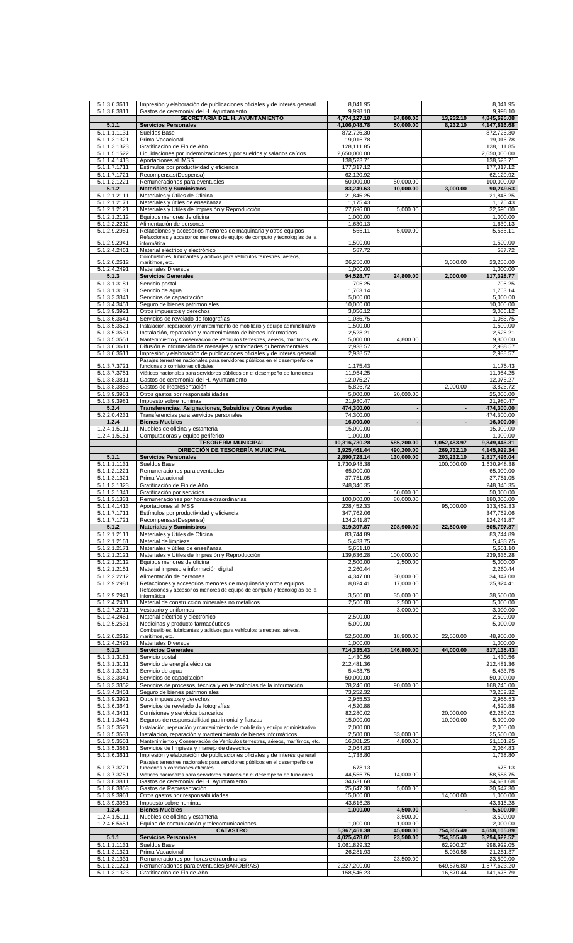| 5.1.3.6.3611                 | Impresión y elaboración de publicaciones oficiales y de interés general                                                                     | 8,041.95                     |                          |                          | 8,041.95                              |
|------------------------------|---------------------------------------------------------------------------------------------------------------------------------------------|------------------------------|--------------------------|--------------------------|---------------------------------------|
| 5.1.3.8.3811                 | Gastos de ceremonial del H. Ayuntamiento<br>SECRETARIA DEL H. AYUNTAMIENTO                                                                  | 9,998.10<br>4,774,127.18     | 84.800.00                | 13,232.10                | 9,998.10<br>4,845,695.08              |
| 5.1.1                        | <b>Servicios Personales</b>                                                                                                                 | 4,106,048.78                 | 50,000.00                | 8,232.10                 | 4,147,816.68                          |
| 5.1.1.1.1131                 | Sueldos Base                                                                                                                                | 872,726.30                   |                          |                          | 872,726.30                            |
| 5.1.1.3.1321<br>5.1.1.3.1323 | Prima Vacacional<br>Gratificación de Fin de Año                                                                                             | 19,016.78<br>128,111.85      |                          |                          | 19,016.78<br>128,111.85               |
| 5.1.1.5.1522                 | Liquidaciones por indemnizaciones y por sueldos y salarios caídos                                                                           | 2,650,000.00                 |                          |                          | 2,650,000.00                          |
| 5.1.1.4.1413                 | Aportaciones al IMSS                                                                                                                        | 138,523.71                   |                          |                          | 138,523.71                            |
| 5.1.1.7.1711<br>5.1.1.7.1721 | Estímulos por productividad y eficiencia<br>Recompensas(Despensa)                                                                           | 177,317.12<br>62,120.92      |                          |                          | 177,317.12<br>62,120.92               |
| 5.1.1.2.1221                 | Remuneraciones para eventuales                                                                                                              | 50,000.00                    | 50,000.00                |                          | 100,000.00                            |
| 5.1.2                        | <b>Materiales y Suministros</b>                                                                                                             | 83,249.63                    | 10,000.00                | 3,000.00                 | 90,249.63                             |
| 5.1.2.1.2111<br>5.1.2.1.2171 | Materiales y Útiles de Oficina<br>Materiales y útiles de enseñanza                                                                          | 21,845.25<br>1,175.43        |                          |                          | 21,845.25<br>1,175.43                 |
| 5.1.2.1.2121                 | Materiales y Útiles de Impresión y Reproducción                                                                                             | 27,696.00                    | 5.000.00                 |                          | 32,696.00                             |
| 5.1.2.1.2112                 | Equipos menores de oficina                                                                                                                  | 1,000.00                     |                          |                          | 1,000.00                              |
| 5.1.2.2.2212<br>5.1.2.9.2981 | Alimentación de personas<br>Refacciones y accesorios menores de maquinaria y otros equipos                                                  | 1,630.13<br>565.11           | 5,000.00                 |                          | 1,630.13<br>5,565.11                  |
|                              | Refacciones y accesorios menores de equipo de computo y tecnologías de la                                                                   |                              |                          |                          |                                       |
| 5.1.2.9.2941<br>5.1.2.4.2461 | informática<br>Material eléctrico y electrónico                                                                                             | 1,500.00<br>587.72           |                          |                          | 1,500.00<br>587.72                    |
|                              | Combustibles, lubricantes y aditivos para vehículos terrestres, aéreos,                                                                     |                              |                          |                          |                                       |
| 5.1.2.6.2612<br>5.1.2.4.2491 | marítimos, etc.<br>Materiales Diversos                                                                                                      | 26,250.00<br>1,000.00        |                          | 3,000.00                 | 23,250.00<br>1,000.00                 |
| 5.1.3                        | <b>Servicios Generales</b>                                                                                                                  | 94,528.77                    | 24,800.00                | 2,000.00                 | 117,328.77                            |
| 5.1.3.1.3181                 | Servicio postal                                                                                                                             | 705.25                       |                          |                          | 705.25                                |
| 5.1.3.1.3131<br>5.1.3.3.3341 | Servicio de aqua<br>Servicios de capacitación                                                                                               | 1,763.14<br>5,000.00         |                          |                          | 1,763.14<br>5,000.00                  |
| 5.1.3.4.3451                 | Seguro de bienes patrimoniales                                                                                                              | 10,000.00                    |                          |                          | 10,000.00                             |
| 5.1.3.9.3921                 | Otros impuestos y derechos                                                                                                                  | 3,056.12                     |                          |                          | 3,056.12                              |
| 5.1.3.6.3641<br>5.1.3.5.3521 | Servicios de revelado de fotografías<br>Instalación, reparación y mantenimiento de mobiliario y equipo administrativo                       | 1,086.75<br>1,500.00         |                          |                          | 1,086.75<br>1,500.00                  |
| 5.1.3.5.3531                 | Instalación, reparación y mantenimiento de bienes informáticos                                                                              | 2.528.21                     |                          |                          | 2,528.21                              |
| 5.1.3.5.3551                 | Mantenimiento y Conservación de Vehículos terrestres, aéreos, marítimos, etc.                                                               | 5,000.00                     | 4,800.00                 |                          | 9,800.00                              |
| 5.1.3.6.3611<br>5.1.3.6.3611 | Difusión e información de mensajes y actividades gubernamentales<br>Impresión y elaboración de publicaciones oficiales y de interés general | 2,938.57<br>2,938.57         |                          |                          | 2,938.57<br>2,938.57                  |
|                              | Pasajes terrestres nacionales para servidores públicos en el desempeño de                                                                   |                              |                          |                          |                                       |
| 5.1.3.7.3721<br>5.1.3.7.3751 | funciones o comisiones oficiales<br>Viáticos nacionales para servidores públicos en el desempeño de funciones                               | 1,175.43<br>11,954.25        |                          |                          | 1,175.43<br>11,954.25                 |
| 5.1.3.8.3811                 | Gastos de ceremonial del H. Ayuntamiento                                                                                                    | 12,075.27                    |                          |                          | 12,075.27                             |
| 5.1.3.8.3853                 | Gastos de Representación                                                                                                                    | 5,826.72                     |                          | 2,000.00                 | 3,826.72                              |
| 5.1.3.9.3961<br>5.1.3.9.3981 | Otros gastos por responsabilidades<br>Impuesto sobre nominas                                                                                | 5,000.00<br>21,980.47        | 20,000.00                |                          | 25,000.00<br>21,980.47                |
| 5.2.4                        | Transferencias, Asignaciones, Subsidios y Otras Ayudas                                                                                      | 474,300.00                   |                          |                          | 474,300.00                            |
| 5.2.2.0.4231                 | Transferencias para servicios personales                                                                                                    | 74,300.00                    |                          |                          | 474,300.00                            |
| 1.2.4                        | <b>Bienes Muebles</b><br>Muebles de oficina y estantería                                                                                    | 16,000.00                    | $\blacksquare$           | $\overline{\phantom{a}}$ | 16,000.00                             |
| 1.2.4.1.5111<br>1.2.4.1.5151 | Computadoras y equipo periférico                                                                                                            | 15,000.00<br>1,000.00        |                          |                          | 15,000.00<br>1,000.00                 |
|                              | <b>TESORERÍA MUNICIPAL</b>                                                                                                                  | 10,316,730.28                | 585,200.00               | 1,052,483.97             | 9,849,446.31                          |
| 5.1.1                        | DIRECCIÓN DE TESORERÍA MUNICIPAL<br><b>Servicios Personales</b>                                                                             | 3,925,461.44<br>2,890,728.14 | 490,200.00<br>130,000.00 | 269,732.10<br>203,232.10 | 4,145,929.34<br>2,817,496.04          |
| 5.1.1.1.1131                 | Sueldos Base                                                                                                                                | 1,730,948.38                 |                          | 100,000.00               | 1,630,948.38                          |
| 5.1.1.2.1221                 | Remuneraciones para eventuales                                                                                                              | 65,000.00                    |                          |                          | 65,000.00                             |
| 5.1.1.3.1321<br>5.1.1.3.1323 | Prima Vacacional<br>Gratificación de Fin de Año                                                                                             | 37,751.05<br>248,340.35      |                          |                          | 37,751.05<br>248,340.35               |
|                              |                                                                                                                                             |                              |                          |                          |                                       |
| 5.1.1.3.1341                 | Gratificación por servicios                                                                                                                 |                              | 50,000.00                |                          | 50,000.00                             |
| 5.1.1.3.1331                 | Remuneraciones por horas extraordinarias                                                                                                    | 100,000.00                   | 80,000.00                |                          | 180,000.00                            |
| 5.1.1.4.1413                 | Aportaciones al IMSS                                                                                                                        | 228,452.33                   |                          | 95,000.00                | 133,452.33                            |
| 5.1.1.7.1711<br>5.1.1.7.1721 | Estímulos por productividad y eficiencia<br>Recompensas(Despensa)                                                                           | 347,762.06<br>124,241.87     |                          |                          | 347,762.06<br>124,241.87              |
| 5.1.2                        | <b>Materiales y Suministros</b>                                                                                                             | 319,397.87                   | 208,900.00               | 22,500.00                | 505,797.87                            |
| 5.1.2.1.2111                 | Materiales y Útiles de Oficina                                                                                                              | 83,744.89                    |                          |                          | 83,744.89                             |
| 5.1.2.1.2161<br>5.1.2.1.2171 | Material de limpieza<br>Materiales y útiles de enseñanza                                                                                    | 5,433.75<br>5,651.10         |                          |                          | 5,433.75<br>5,651.10                  |
| 5.1.2.1.2121                 | Materiales y Útiles de Impresión y Reproducción                                                                                             | 139,636.28                   | 100,000.00               |                          | 239,636.28                            |
| 5.1.2.1.2112                 | Equipos menores de oficina                                                                                                                  | 2,500.00                     | 2,500.00                 |                          | 5,000.00                              |
| 5.1.2.1.2151<br>5.1.2.2.2212 | Material impreso e información digital<br>Alimentación de personas                                                                          | 2,260.44<br>4,347.00         | 30,000.00                |                          | 2,260.44<br>34,347.00                 |
| 5.1.2.9.2981                 | Refacciones y accesorios menores de maquinaria y otros equipos                                                                              | 8,824.41                     | 17,000.00                |                          | 25,824.41                             |
| 5.1.2.9.2941                 | Refacciones y accesorios menores de equipo de computo y tecnologías de la<br>informática                                                    | 3,500.00                     | 35,000.00                |                          | 38,500.00                             |
| 5.1.2.4.2411                 | Material de construcción minerales no metálicos                                                                                             | 2,500.00                     | 2,500.00                 |                          | 5,000.00                              |
| 5.1.2.7.2711                 | Vestuario y uniformes                                                                                                                       |                              | 3,000.00                 |                          | 3,000.00                              |
| 5.1.2.4.2461<br>5.1.2.5.2531 | Material eléctrico y electrónico<br>Medicinas y producto farmacéuticos                                                                      | 2,500.00<br>5,000.00         |                          |                          | 2,500.00<br>5,000.00                  |
|                              | Combustibles, lubricantes y aditivos para vehículos terrestres, aéreos,                                                                     |                              |                          |                          |                                       |
| 5.1.2.6.2612<br>5.1.2.4.2491 | marítimos, etc.<br><b>Materiales Diversos</b>                                                                                               | 52,500.00<br>1,000.00        | 18,900.00                | 22,500.00                | 48,900.00<br>1,000.00                 |
| 5.1.3                        | <b>Servicios Generales</b>                                                                                                                  | 714,335.43                   | 146,800.00               | 44,000.00                | 817,135.43                            |
| 5.1.3.1.3181                 | Servicio postal                                                                                                                             | 1,430.56                     |                          |                          | 1,430.56                              |
| 5.1.3.1.3111<br>5.1.3.1.3131 | Servicio de energía eléctrica<br>Servicio de agua                                                                                           | 212,481.36<br>5,433.75       |                          |                          | 212,481.36<br>5,433.75                |
| 5.1.3.3.3341                 | Servicios de capacitación                                                                                                                   | 50,000.00                    |                          |                          | 50,000.00                             |
| 5.1.3.3.3352                 | Servicios de procesos, técnica y en tecnologías de la información                                                                           | 78,246.00                    | 90,000.00                |                          | 168,246.00                            |
| 5.1.3.4.3451<br>5.1.3.9.3921 | Seguro de bienes patrimoniales<br>Otros impuestos y derechos                                                                                | 73,252.32<br>2,955.53        |                          |                          | 73,252.32<br>2,955.53                 |
| 5.1.3.6.3641                 | Servicios de revelado de fotografías                                                                                                        | 4,520.88                     |                          |                          | 4,520.88                              |
| 5.1.3.4.3411                 | Comisiones y servicios bancarios                                                                                                            | 82,280.02                    |                          | 20,000.00                | 62,280.02                             |
| 5.1.1.1.3441<br>5.1.3.5.3521 | Seguros de responsabilidad patrimonial y fianzas<br>Instalación, reparación y mantenimiento de mobiliario y equipo administrativo           | 15,000.00<br>2,000.00        |                          | 10,000.00                | 5,000.00<br>2,000.00                  |
| 5.1.3.5.3531                 | Instalación, reparación y mantenimiento de bienes informáticos                                                                              | 2,500.00                     | 33,000.00                |                          | 35,500.00                             |
| 5.1.3.5.3551                 | Mantenimiento y Conservación de Vehículos terrestres, aéreos, marítimos, etc.                                                               | 16,301.25                    | 4,800.00                 |                          | 21,101.25                             |
| 5.1.3.5.3581<br>5.1.3.6.3611 | Servicios de limpieza y manejo de desechos<br>Impresión y elaboración de publicaciones oficiales y de interés general                       | 2,064.83<br>1,738.80         |                          |                          | 2,064.83<br>1,738.80                  |
|                              | Pasajes terrestres nacionales para servidores públicos en el desempeño de                                                                   |                              |                          |                          |                                       |
| 5.1.3.7.3721<br>5.1.3.7.3751 | funciones o comisiones oficiales<br>Viáticos nacionales para servidores públicos en el desempeño de funciones                               | 678.13<br>44,556.75          | 14,000.00                |                          | 678.13<br>58,556.75                   |
| 5.1.3.8.3811                 | Gastos de ceremonial del H. Ayuntamiento                                                                                                    | 34,631.68                    |                          |                          |                                       |
| 5.1.3.8.3853                 | Gastos de Representación                                                                                                                    | 25,647.30                    | 5,000.00                 |                          | 30,647.30                             |
| 5.1.3.9.3961<br>5.1.3.9.3981 | Otros gastos por responsabilidades<br>Impuesto sobre nominas                                                                                | 15,000.00<br>43,616.28       |                          | 14,000.00                | 1,000.00<br>43,616.28                 |
| 1.2.4                        | <b>Bienes Muebles</b>                                                                                                                       | 1,000.00                     | 4,500.00                 | $\overline{\phantom{a}}$ | 5,500.00                              |
| 1.2.4.1.5111                 | Muebles de oficina y estantería                                                                                                             |                              | 3,500.00                 |                          | 3,500.00                              |
| 1.2.4.6.5651                 | Equipo de comunicación y telecomunicaciones<br><b>CATASTRO</b>                                                                              | 1,000.00<br>5,367,461.38     | 1,000.00<br>45,000.00    | 754.355.49               | 34,631.68<br>2,000.00<br>4,658,105.89 |
| 5.1.1                        | <b>Servicios Personales</b>                                                                                                                 | 4,025,478.01                 | 23,500.00                | 754,355.49               | 3,294,622.52                          |
| 5.1.1.1.1131                 | Sueldos Base                                                                                                                                | 1,061,829.32                 |                          | 62,900.27                | 998,929.05                            |
| 5.1.1.3.1321<br>5.1.1.3.1331 | Prima Vacacional<br>Remuneraciones por horas extraordinarias                                                                                | 26,281.93                    | 23,500.00                | 5,030.56                 | 21,251.37<br>23,500.00                |
| 5.1.1.2.1221<br>5.1.1.3.1323 | Remuneraciones para eventuales(BANOBRAS)<br>Gratificación de Fin de Año                                                                     | 2,227,200.00<br>158,546.23   |                          | 649,576.80<br>16,870.44  | 1,577,623.20<br>141,675.79            |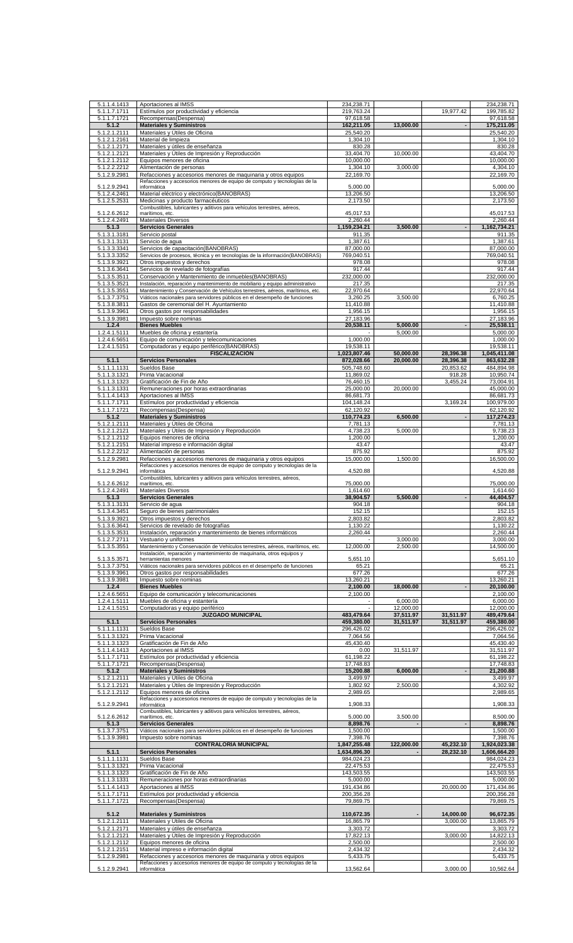| 5.1.1.4.1413 | Aportaciones al IMSS                                                                     | 234,238.71   |                |                          | 234,238.71            |
|--------------|------------------------------------------------------------------------------------------|--------------|----------------|--------------------------|-----------------------|
| 5.1.1.7.1711 | Estímulos por productividad y eficiencia                                                 | 219,763.24   |                | 19,977.42                | 199,785.82            |
| 5.1.1.7.1721 | Recompensas(Despensa)                                                                    | 97,618.58    |                |                          | 97,618.58             |
| 5.1.2        | <b>Materiales y Suministros</b>                                                          | 162,211.05   | 13,000.00      | $\overline{\phantom{a}}$ | 175,211.05            |
| 5.1.2.1.2111 | Materiales y Útiles de Oficina                                                           | 25,540.20    |                |                          | 25,540.20             |
| 5.1.2.1.2161 | Material de limpieza                                                                     | 1,304.10     |                |                          | 1,304.10              |
| 5.1.2.1.2171 | Materiales y útiles de enseñanza                                                         | 830.28       |                |                          | 830.28                |
| 5.1.2.1.2121 | Materiales y Útiles de Impresión y Reproducción                                          | 33,404.70    | 10,000.00      |                          | 43,404.70             |
| 5.1.2.1.2112 | Equipos menores de oficina                                                               | 10,000.00    |                |                          | 10,000.00             |
| 5.1.2.2.2212 | Alimentación de personas                                                                 | 1,304.10     | 3,000.00       |                          | 4.304.10              |
| 5.1.2.9.2981 | Refacciones y accesorios menores de maquinaria y otros equipos                           | 22,169.70    |                |                          | 22,169.70             |
|              | Refacciones y accesorios menores de equipo de computo y tecnologías de la                |              |                |                          |                       |
| 5.1.2.9.2941 | informática                                                                              | 5,000.00     |                |                          | 5,000.00              |
| 5.1.2.4.2461 | Material eléctrico y electrónico(BANOBRAS)                                               | 13,206.50    |                |                          | 13,206.50             |
| 5.1.2.5.2531 | Medicinas y producto farmacéuticos                                                       | 2,173.50     |                |                          | 2,173.50              |
|              | Combustibles, lubricantes y aditivos para vehículos terrestres, aéreos,                  |              |                |                          |                       |
| 5.1.2.6.2612 | marítimos, etc.                                                                          | 45,017.53    |                |                          | 45,017.53             |
| 5.1.2.4.2491 | Materiales Diversos                                                                      | 2,260.44     |                |                          | 2,260.44              |
| 5.1.3        | <b>Servicios Generales</b>                                                               | 1,159,234.21 | 3,500.00       |                          | 1,162,734.21          |
| 5.1.3.1.3181 | Servicio postal                                                                          | 911.35       |                |                          | 911.35                |
| 5.1.3.1.3131 | Servicio de agua                                                                         | 1,387.61     |                |                          | 1,387.61              |
| 5.1.3.3.3341 | Servicios de capacitación (BANOBRAS)                                                     | 87,000.00    |                |                          | 87,000.00             |
| 5.1.3.3.3352 | Servicios de procesos, técnica y en tecnologías de la información (BANOBRAS)             | 769,040.51   |                |                          | 769,040.51            |
| 5.1.3.9.3921 | Otros impuestos y derechos                                                               | 978.08       |                |                          | 978.08                |
| 5.1.3.6.3641 | Servicios de revelado de fotografías                                                     | 917.44       |                |                          | 917.44                |
| 5.1.3.5.3511 | Conservación y Mantenimiento de inmuebles(BANOBRAS)                                      | 232,000.00   |                |                          | 232,000.00            |
| 5.1.3.5.3521 | Instalación, reparación y mantenimiento de mobiliario y equipo administrativo            | 217.35       |                |                          | 217.35                |
| 5.1.3.5.3551 | Mantenimiento y Conservación de Vehículos terrestres, aéreos, marítimos, etc.            | 22,970.64    |                |                          | 22,970.64             |
| 5.1.3.7.3751 | Viáticos nacionales para servidores públicos en el desempeño de funciones                | 3,260.25     | 3,500.00       |                          | 6,760.25              |
| 5.1.3.8.3811 | Gastos de ceremonial del H. Ayuntamiento                                                 | 11,410.88    |                |                          | 11,410.88             |
| 5.1.3.9.3961 | Otros gastos por responsabilidades                                                       | 1,956.15     |                |                          | 1,956.15              |
| 5.1.3.9.3981 | Impuesto sobre nominas                                                                   | 27,183.96    |                |                          | 27,183.96             |
| 1.2.4        | <b>Bienes Muebles</b>                                                                    | 20,538.11    | 5,000.00       |                          | 25,538.11             |
| 1.2.4.1.5111 | Muebles de oficina y estantería                                                          |              | 5.000.00       |                          | 5,000.00              |
| 1.2.4.6.5651 | Equipo de comunicación y telecomunicaciones                                              | 1,000.00     |                |                          |                       |
|              |                                                                                          |              |                |                          | 1,000.00              |
| 1.2.4.1.5151 | Computadoras y equipo periférico(BANOBRAS)                                               | 19,538.11    |                |                          | 19,538.11             |
|              | <b>FISCALIZACIÓN</b>                                                                     | 1,023,807.46 | 50,000.00      | 28,396.38                | 1,045,411.08          |
| 5.1.1        | <b>Servicios Personales</b>                                                              | 872,028.66   | 20,000.00      | 28,396.38                | 863,632.28            |
| 5.1.1.1.1131 | Sueldos Base                                                                             | 505,748.60   |                | 20,853.62                | 484,894.98            |
| 5.1.1.3.1321 | Prima Vacacional                                                                         | 11,869.02    |                | 918.28                   | 10,950.74             |
| 5.1.1.3.1323 | Gratificación de Fin de Año                                                              | 76,460.15    |                | 3,455.24                 | 73,004.91             |
| 5.1.1.3.1331 | Remuneraciones por horas extraordinarias                                                 | 25,000.00    | 20,000.00      |                          | 45,000.00             |
| 5.1.1.4.1413 | Aportaciones al IMSS                                                                     | 86,681.73    |                |                          | 86,681.73             |
| 5.1.1.7.1711 | Estímulos por productividad y eficiencia                                                 | 104,148.24   |                | 3,169.24                 | 100,979.00            |
| 5.1.1.7.1721 | Recompensas(Despensa)                                                                    | 62,120.92    |                |                          | 62,120.92             |
| 5.1.2        | <b>Materiales y Suministros</b>                                                          | 110,774.23   | 6,500.00       | $\overline{\phantom{a}}$ | 117,274.23            |
| 5.1.2.1.2111 | Materiales y Útiles de Oficina                                                           | 7,781.13     |                |                          | 7,781.13              |
| 5.1.2.1.2121 | Materiales y Útiles de Impresión y Reproducción                                          | 4,738.23     | 5,000.00       |                          | 9,738.23              |
| 5.1.2.1.2112 | Equipos menores de oficina                                                               | 1,200.00     |                |                          | 1,200.00              |
| 5.1.2.1.2151 | Material impreso e información digital                                                   | 43.47        |                |                          | 43.47                 |
| 5.1.2.2.2212 | Alimentación de personas                                                                 | 875.92       |                |                          | 875.92                |
| 5.1.2.9.2981 | Refacciones y accesorios menores de maquinaria y otros equipos                           | 15,000.00    | 1,500.00       |                          | 16,500.00             |
|              | Refacciones y accesorios menores de equipo de computo y tecnologías de la                |              |                |                          |                       |
| 5.1.2.9.2941 | informática                                                                              | 4,520.88     |                |                          | 4,520.88              |
|              | Combustibles, lubricantes y aditivos para vehículos terrestres, aéreos,                  |              |                |                          |                       |
| 5.1.2.6.2612 | marítimos, etc.                                                                          | 75,000.00    |                |                          | 75,000.00<br>1,614.60 |
|              |                                                                                          |              |                |                          |                       |
| 5.1.2.4.2491 | Materiales Diversos                                                                      | 1,614.60     |                |                          |                       |
| 5.1.3        | <b>Servicios Generales</b>                                                               | 38,904.57    | 5,500.00       |                          | 44,404.57             |
| 5.1.3.1.3131 | Servicio de agua                                                                         | 904.18       |                |                          | 904.18                |
| 5.1.3.4.3451 | Seguro de bienes patrimoniales                                                           | 152.15       |                |                          | 152.15                |
| 5.1.3.9.3921 | Otros impuestos y derechos                                                               | 2.803.82     |                |                          | 2.803.82              |
| 5.1.3.6.3641 | Servicios de revelado de fotografías                                                     | 1,130.22     |                |                          | 1,130.22              |
| 5.1.3.5.3531 | Instalación, reparación y mantenimiento de bienes informáticos                           | 2.260.44     |                |                          | 2.260.44              |
| 5.1.2.7.2711 | Vestuario y uniformes                                                                    |              | 3,000.00       |                          | 3.000.00              |
| 5.1.3.5.3551 | Mantenimiento y Conservación de Vehículos terrestres, aéreos, marítimos, etc.            | 12,000.00    | 2,500.00       |                          | 14,500.00             |
|              | Instalación, reparación y mantenimiento de maquinaria, otros equipos y                   |              |                |                          |                       |
| 5.1.3.5.3571 | herramientas menores                                                                     | 5.651.10     |                |                          | 5,651.10              |
| 5.1.3.7.3751 | Viáticos nacionales para servidores públicos en el desempeño de funciones                | 65.21        |                |                          | 65.21                 |
| 5.1.3.9.3961 | Otros gastos por responsabilidades                                                       | 677.26       |                |                          | 677.26                |
| 5.1.3.9.3981 | Impuesto sobre nominas                                                                   | 13,260.21    |                |                          | 13,260.21             |
| 1.2.4        | <b>Bienes Muebles</b>                                                                    | 2,100.00     | 18,000.00      |                          | 20,100.00             |
| 1.2.4.6.5651 | Equipo de comunicación y telecomunicaciones                                              | 2,100.00     |                |                          | 2,100.00              |
| 1.2.4.1.5111 | Muebles de oficina y estantería                                                          |              | 6,000.00       |                          | 6,000.00              |
| 1.2.4.1.5151 | Computadoras y equipo periférico                                                         |              | 12,000.00      |                          | 12,000.00             |
|              | <b>JUZGADO MUNICIPAL</b>                                                                 | 483,479.64   | 37,511.97      | 31,511.97                | 489,479.64            |
| 5.1.1        | <b>Servicios Personales</b>                                                              | 459,380.00   | 31,511.97      | 31,511.97                | 459,380.00            |
| 5.1.1.1.1131 | Sueldos Base                                                                             | 296,426.02   |                |                          | 296,426.02            |
| 5.1.1.3.1321 | Prima Vacacional                                                                         | 7,064.56     |                |                          | 7,064.56              |
| 5.1.1.3.1323 | Gratificación de Fin de Año                                                              | 45,430.40    |                |                          | 45,430.40             |
| 5.1.1.4.1413 | Aportaciones al IMSS                                                                     | 0.00         | 31,511.97      |                          | 31,511.97             |
| 5.1.1.7.1711 | Estímulos por productividad y eficiencia                                                 | 61,198.22    |                |                          | 61,198.22             |
| 5.1.1.7.1721 | Recompensas(Despensa)                                                                    | 17,748.83    |                |                          | 17,748.83             |
| 5.1.2        | <b>Materiales y Suministros</b>                                                          | 15,200.88    | 6,000.00       |                          | 21,200.88             |
| 5.1.2.1.2111 | Materiales y Útiles de Oficina                                                           | 3,499.97     |                |                          | 3,499.97              |
| 5.1.2.1.2121 | Materiales y Útiles de Impresión y Reproducción                                          | 1,802.92     | 2,500.00       |                          | 4,302.92              |
| 5.1.2.1.2112 | Equipos menores de oficina                                                               | 2,989.65     |                |                          | 2,989.65              |
|              | Refacciones y accesorios menores de equipo de computo y tecnologías de la                |              |                |                          |                       |
| 5.1.2.9.2941 | informática                                                                              | 1,908.33     |                |                          | 1,908.33              |
|              | Combustibles, lubricantes y aditivos para vehículos terrestres, aéreos,                  |              |                |                          |                       |
| 5.1.2.6.2612 | marítimos, etc.                                                                          | 5,000.00     | 3,500.00       |                          | 8,500.00              |
| 5.1.3        | <b>Servicios Generales</b>                                                               | 8,898.76     | $\overline{a}$ | $\overline{\phantom{a}}$ | 8,898.76              |
| 5.1.3.7.3751 | Viáticos nacionales para servidores públicos en el desempeño de funciones                | 1,500.00     |                |                          | 1,500.00              |
| 5.1.3.9.3981 | Impuesto sobre nominas                                                                   | 7,398.76     |                |                          | 7,398.76              |
|              | <b>CONTRALORÍA MUNICIPAL</b>                                                             | 1,847,255.48 | 122,000.00     | 45,232.10                | 1,924,023.38          |
| 5.1.1        | <b>Servicios Personales</b>                                                              | 1,634,896.30 |                | 28,232.10                | 1,606,664.20          |
| 5.1.1.1.1131 | Sueldos Base                                                                             | 984,024.23   |                |                          | 984,024.23            |
| 5.1.1.3.1321 | Prima Vacacional                                                                         | 22,475.53    |                |                          | 22,475.53             |
| 5.1.1.3.1323 | Gratificación de Fin de Año                                                              | 143,503.55   |                |                          | 143,503.55            |
| 5.1.1.3.1331 | Remuneraciones por horas extraordinarias                                                 | 5,000.00     |                |                          | 5,000.00              |
| 5.1.1.4.1413 | Aportaciones al IMSS                                                                     | 191,434.86   |                | 20,000.00                | 171,434.86            |
| 5.1.1.7.1711 | Estímulos por productividad y eficiencia                                                 | 200,356.28   |                |                          | 200,356.28            |
| 5.1.1.7.1721 | Recompensas(Despensa)                                                                    | 79,869.75    |                |                          | 79,869.75             |
|              |                                                                                          |              |                |                          |                       |
| 5.1.2        | <b>Materiales y Suministros</b>                                                          | 110,672.35   |                | 14,000.00                | 96,672.35             |
| 5.1.2.1.2111 | Materiales y Útiles de Oficina                                                           | 16,865.79    |                | 3,000.00                 | 13,865.79             |
| 5.1.2.1.2171 | Materiales y útiles de enseñanza                                                         | 3,303.72     |                |                          | 3,303.72              |
| 5.1.2.1.2121 | Materiales y Útiles de Impresión y Reproducción                                          | 17,822.13    |                | 3,000.00                 | 14,822.13             |
| 5.1.2.1.2112 | Equipos menores de oficina                                                               | 2,500.00     |                |                          | 2,500.00              |
| 5.1.2.1.2151 | Material impreso e información digital                                                   | 2,434.32     |                |                          | 2,434.32              |
| 5.1.2.9.2981 | Refacciones y accesorios menores de maquinaria y otros equipos                           | 5,433.75     |                |                          | 5,433.75              |
| 5.1.2.9.2941 | Refacciones y accesorios menores de equipo de computo y tecnologías de la<br>informática | 13,562.64    |                | 3,000.00                 | 10,562.64             |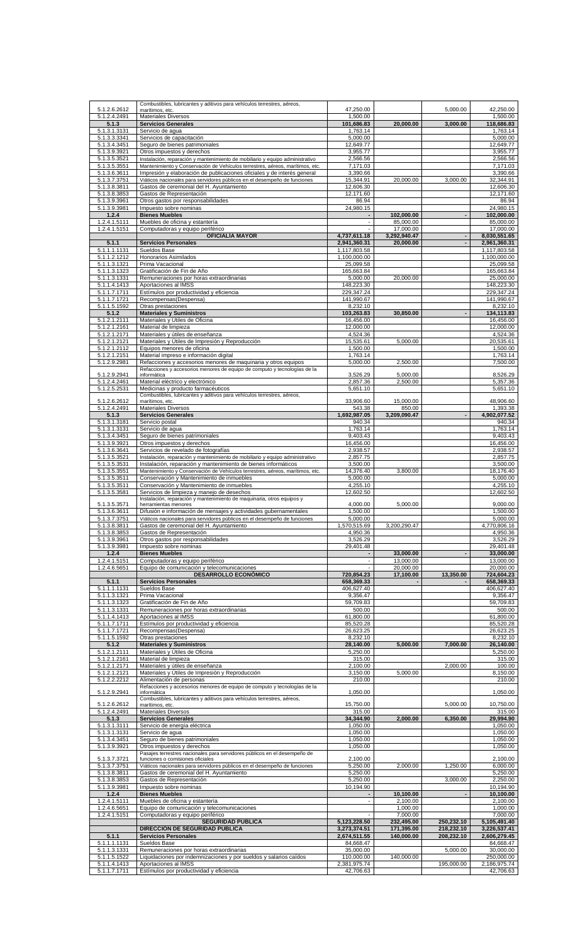| 5.1.2.6.2612                 | Combustibles, lubricantes y aditivos para vehículos terrestres, aéreos,                                                                                  | 47,250.00                    |                           | 5,000.00                 | 42,250.00                    |
|------------------------------|----------------------------------------------------------------------------------------------------------------------------------------------------------|------------------------------|---------------------------|--------------------------|------------------------------|
| 5.1.2.4.2491                 | marítimos, etc.<br>Materiales Diversos                                                                                                                   | 1,500.00                     |                           |                          | 1,500.00                     |
| 5.1.3                        | <b>Servicios Generales</b>                                                                                                                               | 101,686.83                   | 20,000.00                 | 3,000.00                 | 118,686.83                   |
| 5.1.3.1.3131<br>5.1.3.3.3341 | Servicio de aqua<br>Servicios de capacitación                                                                                                            | 1.763.14<br>5,000.00         |                           |                          | 1,763.14<br>5,000.00         |
| 5.1.3.4.3451                 | Seguro de bienes patrimoniales                                                                                                                           | 12,649.77                    |                           |                          | 12,649.77                    |
| 5.1.3.9.3921                 | Otros impuestos y derechos                                                                                                                               | 3,955.77                     |                           |                          | 3,955.77                     |
| 5.1.3.5.3521                 | Instalación, reparación y mantenimiento de mobiliario y equipo administrativo                                                                            | 2,566.56                     |                           |                          | 2,566.56                     |
| 5.1.3.5.3551<br>5.1.3.6.3611 | Mantenimiento y Conservación de Vehículos terrestres, aéreos, marítimos, etc.<br>Impresión y elaboración de publicaciones oficiales y de interés general | 7,171.03<br>3,390.66         |                           |                          | 7,171.03<br>3,390.66         |
| 5.1.3.7.3751                 | Viáticos nacionales para servidores públicos en el desempeño de funciones                                                                                | 15,344.91                    | 20,000.00                 | 3,000.00                 | 32,344.91                    |
| 5.1.3.8.3811                 | Gastos de ceremonial del H. Ayuntamiento                                                                                                                 | 12,606.30                    |                           |                          | 12,606.30                    |
| 5.1.3.8.3853                 | Gastos de Representación                                                                                                                                 | 12,171.60                    |                           |                          | 12,171.60                    |
| 5.1.3.9.3961                 | Otros gastos por responsabilidades                                                                                                                       | 86.94                        |                           |                          | 86.94                        |
| 5.1.3.9.3981<br>1.2.4        | Impuesto sobre nominas<br><b>Bienes Muebles</b>                                                                                                          | 24,980.15                    | 102,000.00                |                          | 24,980.15<br>102,000.00      |
| 1.2.4.1.5111                 | Muebles de oficina y estantería                                                                                                                          | $\sim$                       | 85,000.00                 |                          | 85,000.00                    |
| 1.2.4.1.5151                 | Computadoras y equipo periférico                                                                                                                         |                              | 17,000.00                 |                          | 17,000.00                    |
| 5.1.1                        | <b>OFICIALÍA MAYOR</b><br><b>Servicios Personales</b>                                                                                                    | 4,737,611.18<br>2,941,360.31 | 3,292,940.47<br>20,000.00 | $\overline{\phantom{a}}$ | 8,030,551.65<br>2,961,360.31 |
| 5.1.1.1.1131                 | Sueldos Base                                                                                                                                             | 1,117,803.58                 |                           |                          | 1,117,803.58                 |
| 5.1.1.2.1212                 | Honorarios Asimilados                                                                                                                                    | 1,100,000.00                 |                           |                          | 1,100,000.00                 |
| 5.1.1.3.1321                 | Prima Vacacional                                                                                                                                         | 25,099.58                    |                           |                          | 25,099.58                    |
| 5.1.1.3.1323<br>5.1.1.3.1331 | Gratificación de Fin de Año<br>Remuneraciones por horas extraordinarias                                                                                  | 165,663.84<br>5,000.00       | 20,000.00                 |                          | 165,663.84<br>25,000.00      |
| 5.1.1.4.1413                 | Aportaciones al IMSS                                                                                                                                     | 148,223.30                   |                           |                          | 148,223.30                   |
| 5.1.1.7.1711                 | Estímulos por productividad y eficiencia                                                                                                                 | 229,347.24                   |                           |                          | 229,347.24                   |
| 5.1.1.7.1721                 | Recompensas(Despensa)                                                                                                                                    | 141,990.67                   |                           |                          | 141,990.67                   |
| 5.1.1.5.1592<br>5.1.2        | Otras prestaciones<br><b>Materiales y Suministros</b>                                                                                                    | 8,232.10<br>103,263.83       | 30,850.00                 |                          | 8,232.10<br>134,113.83       |
| 5.1.2.1.2111                 | Materiales y Útiles de Oficina                                                                                                                           | 16,456.00                    |                           |                          | 16,456.00                    |
| 5.1.2.1.2161                 | Material de limpieza                                                                                                                                     | 12,000.00                    |                           |                          | 12,000.00                    |
| 5.1.2.1.2171                 | Materiales y útiles de enseñanza                                                                                                                         | 4,524.36                     |                           |                          | 4,524.36                     |
| 5.1.2.1.2121<br>5.1.2.1.2112 | Materiales y Útiles de Impresión y Reproducción<br>Equipos menores de oficina                                                                            | 15,535.61<br>1,500.00        | 5.000.00                  |                          | 20,535.61<br>1,500.00        |
| 5.1.2.1.2151                 | Material impreso e información digital                                                                                                                   | 1,763.14                     |                           |                          | 1,763.14                     |
| 5.1.2.9.2981                 | Refacciones y accesorios menores de maquinaria y otros equipos                                                                                           | 5,000.00                     | 2,500.00                  |                          | 7,500.00                     |
| 5.1.2.9.2941                 | Refacciones y accesorios menores de equipo de computo y tecnologías de la<br>informática                                                                 | 3,526.29                     | 5,000.00                  |                          | 8,526.29                     |
| 5.1.2.4.2461                 | Material eléctrico y electrónico                                                                                                                         | 2,857.36                     | 2.500.00                  |                          | 5,357.36                     |
| 5.1.2.5.2531                 | Medicinas y producto farmacéuticos                                                                                                                       | 5,651.10                     |                           |                          | 5,651.10                     |
| 5.1.2.6.2612                 | Combustibles, lubricantes y aditivos para vehículos terrestres, aéreos,<br>marítimos, etc.                                                               | 33,906.60                    | 15,000.00                 |                          | 48,906.60                    |
| 5.1.2.4.2491                 | Materiales Diversos                                                                                                                                      | 543.38                       | 850.00                    |                          | 1,393.38                     |
| 5.1.3                        | <b>Servicios Generales</b>                                                                                                                               | 1,692,987.05                 | 3,209,090.47              |                          | 4,902,077.52                 |
| 5.1.3.1.3181                 | Servicio postal                                                                                                                                          | 940.34                       |                           |                          | 940.34                       |
| 5.1.3.1.3131<br>5.1.3.4.3451 | Servicio de agua<br>Seguro de bienes patrimoniales                                                                                                       | 1,763.14<br>9,403.43         |                           |                          | 1,763.14<br>9,403.43         |
| 5.1.3.9.3921                 | Otros impuestos y derechos                                                                                                                               | 16,456.00                    |                           |                          | 16,456.00                    |
| 5.1.3.6.3641                 | Servicios de revelado de fotografías                                                                                                                     | 2,938.57                     |                           |                          | 2,938.57                     |
| 5.1.3.5.3521                 | Instalación, reparación y mantenimiento de mobiliario y equipo administrativo                                                                            | 2,857.75                     |                           |                          | 2,857.75                     |
| 5.1.3.5.3531                 | Instalación, reparación y mantenimiento de bienes informáticos                                                                                           | 3,500.00<br>14,376.40        | 3,800.00                  |                          | 3,500.00<br>18,176.40        |
| 5.1.3.5.3551<br>5.1.3.5.3511 | Mantenimiento y Conservación de Vehículos terrestres, aéreos, marítimos, etc.<br>Conservación y Mantenimiento de inmuebles                               | 5,000.00                     |                           |                          | 5,000.00                     |
| 5.1.3.5.3511                 | Conservación y Mantenimiento de inmuebles                                                                                                                | 4,255.10                     |                           |                          | 4,255.10                     |
| 5.1.3.5.3581                 | Servicios de limpieza y manejo de desechos                                                                                                               | 12,602.50                    |                           |                          | 12,602.50                    |
| 5.1.3.5.3571                 | Instalación, reparación y mantenimiento de maquinaria, otros equipos y<br>herramientas menores                                                           | 4,000.00                     | 5,000.00                  |                          | 9,000.00                     |
| 5.1.3.6.3611                 | Difusión e información de mensajes y actividades gubernamentales                                                                                         | 1,500.00                     |                           |                          | 1,500.00                     |
| 5.1.3.7.3751                 | Viáticos nacionales para servidores públicos en el desempeño de funciones                                                                                | 5,000.00                     |                           |                          | 5,000.00                     |
| 5.1.3.8.3811<br>5.1.3.8.3853 | Gastos de ceremonial del H. Ayuntamiento<br>Gastos de Representación                                                                                     | 1,570,515.69<br>4,950.36     | 3,200,290.47              |                          | 4,770,806.16<br>4,950.36     |
| 5.1.3.9.3961                 | Otros gastos por responsabilidades                                                                                                                       | 3,526.29                     |                           |                          | 3,526.29                     |
| 5.1.3.9.3981                 | Impuesto sobre nominas                                                                                                                                   | 29,401.48                    |                           |                          | 29,401.48                    |
| 1.2.4                        | <b>Bienes Muebles</b>                                                                                                                                    |                              | 33,000.00                 | ÷,                       | 33,000.00                    |
| 1.2.4.1.5151<br>1.2.4.6.5651 | Computadoras y equipo periférico<br>Equipo de comunicación y telecomunicaciones                                                                          |                              |                           |                          |                              |
|                              |                                                                                                                                                          |                              | 13,000.00                 |                          | 13,000.00                    |
|                              | <b>DESARROLLO ECONÓMICO</b>                                                                                                                              | 720,854.23                   | 20,000.00<br>17,100.00    | 13,350.00                | 20,000.00<br>724,604.23      |
| 5.1.1                        | <b>Servicios Personales</b>                                                                                                                              | 658,369.33                   |                           |                          | 658,369.33                   |
| 5.1.1.1.1131                 | Sueldos Base                                                                                                                                             | 406,627.40                   |                           |                          | 406,627.40                   |
| 5.1.1.3.1321                 | Prima Vacacional                                                                                                                                         | 9,356.47                     |                           |                          | 9,356.47                     |
| 5.1.1.3.1323<br>5.1.1.3.1331 | Gratificación de Fin de Año<br>Remuneraciones por horas extraordinarias                                                                                  | 59,709.83<br>500.00          |                           |                          | 59,709.83<br>500.00          |
| 5.1.1.4.1413                 | Aportaciones al IMSS                                                                                                                                     | 61,800.00                    |                           |                          | 61,800.00                    |
| 5.1.1.7.1711                 | Estímulos por productividad y eficiencia                                                                                                                 | 85,520.28                    |                           |                          | 85,520.28                    |
| 5.1.1.7.1721<br>5.1.1.5.1592 | Recompensas(Despensa)<br>Otras prestaciones                                                                                                              | 26,623.25<br>8,232.10        |                           |                          | 26,623.25<br>8,232.10        |
| 5.1.2                        | <b>Materiales y Suministros</b>                                                                                                                          | 28,140.00                    | 5,000.00                  | 7,000.00                 | 26,140.00                    |
| 5.1.2.1.2111                 | Materiales y Útiles de Oficina                                                                                                                           | 5,250.00                     |                           |                          | 5,250.00                     |
| 5.1.2.1.2161                 | Material de limpieza                                                                                                                                     | 315.00                       |                           |                          | 315.00                       |
| 5.1.2.1.2171<br>5.1.2.1.2121 | Materiales y útiles de enseñanza<br>Materiales y Útiles de Impresión y Reproducción                                                                      | 2,100.00<br>3,150.00         | 5,000.00                  | 2,000.00                 | 100.00<br>8,150.00           |
| 5.1.2.2.2212                 | Alimentación de personas                                                                                                                                 | 210.00                       |                           |                          | 210.00                       |
|                              | Refacciones y accesorios menores de equipo de computo y tecnologías de la                                                                                |                              |                           |                          |                              |
| 5.1.2.9.2941                 | informática<br>Combustibles, lubricantes y aditivos para vehículos terrestres, aéreos,                                                                   | 1,050.00                     |                           |                          | 1,050.00                     |
| 5.1.2.6.2612                 | marítimos, etc.                                                                                                                                          | 15,750.00                    |                           | 5,000.00                 | 10,750.00                    |
| 5.1.2.4.2491                 | Materiales Diversos                                                                                                                                      | 315.00                       |                           |                          | 315.00                       |
| 5.1.3<br>5.1.3.1.3111        | <b>Servicios Generales</b><br>Servicio de energía eléctrica                                                                                              | 34,344.90<br>1,050.00        | 2,000.00                  | 6,350.00                 | 29,994.90<br>1,050.00        |
| 5.1.3.1.3131                 | Servicio de agua                                                                                                                                         | 1,050.00                     |                           |                          | 1,050.00                     |
| 5.1.3.4.3451                 | Seguro de bienes patrimoniales                                                                                                                           | 1,050.00                     |                           |                          | 1,050.00                     |
| 5.1.3.9.3921                 | Otros impuestos y derechos                                                                                                                               | 1,050.00                     |                           |                          | 1,050.00                     |
| 5.1.3.7.3721                 | Pasajes terrestres nacionales para servidores públicos en el desempeño de<br>funciones o comisiones oficiales                                            | 2,100.00                     |                           |                          | 2,100.00                     |
| 5.1.3.7.3751                 | Viáticos nacionales para servidores públicos en el desempeño de funciones                                                                                | 5,250.00                     | 2,000.00                  | 1,250.00                 | 6,000.00                     |
| 5.1.3.8.3811                 | Gastos de ceremonial del H. Ayuntamiento                                                                                                                 | 5,250.00                     |                           |                          | 5,250.00                     |
| 5.1.3.8.3853<br>5.1.3.9.3981 | Gastos de Representación<br>Impuesto sobre nominas                                                                                                       | 5,250.00<br>10,194.90        |                           | 3,000.00                 | 2,250.00<br>10,194.90        |
| 1.2.4                        | <b>Bienes Muebles</b>                                                                                                                                    |                              | 10,100.00                 | $\blacksquare$           | 10,100.00                    |
| 1.2.4.1.5111                 | Muebles de oficina y estantería                                                                                                                          |                              | 2,100.00                  |                          | 2,100.00                     |
| 1.2.4.6.5651                 | Equipo de comunicación y telecomunicaciones                                                                                                              |                              | 1,000.00                  |                          | 1,000.00                     |
| 1.2.4.1.5151                 | Computadoras y equipo periférico<br><b>SEGURIDAD PUBLICA</b>                                                                                             | 5,123,228.50                 | 7,000.00<br>232,495.00    | 250,232.10               | 7,000.00<br>5,105,491.40     |
|                              | DIRECCIÓN DE SEGURIDAD PUBLICA                                                                                                                           | 3,273,374.51                 | 171,395.00                | 218,232.10               | 3,226,537.41                 |
| 5.1.1                        | <b>Servicios Personales</b>                                                                                                                              | 2,674,511.55                 | 140.000.00                | 208,232.10               | 2,606,279.45                 |
| 5.1.1.1.1131                 | Sueldos Base                                                                                                                                             | 84,668.47                    |                           |                          | 84,668.47                    |
| 5.1.1.3.1331<br>5.1.1.5.1522 | Remuneraciones por horas extraordinarias<br>Liquidaciones por indemnizaciones y por sueldos y salarios caídos                                            | 35,000.00<br>110,000.00      | 140,000.00                | 5,000.00                 | 30,000.00<br>250,000.00      |
| 5.1.1.4.1413<br>5.1.1.7.1711 | Aportaciones al IMSS<br>Estímulos por productividad y eficiencia                                                                                         | 2,381,975.74<br>42,706.63    |                           | 195,000.00               | 2,186,975.74<br>42,706.63    |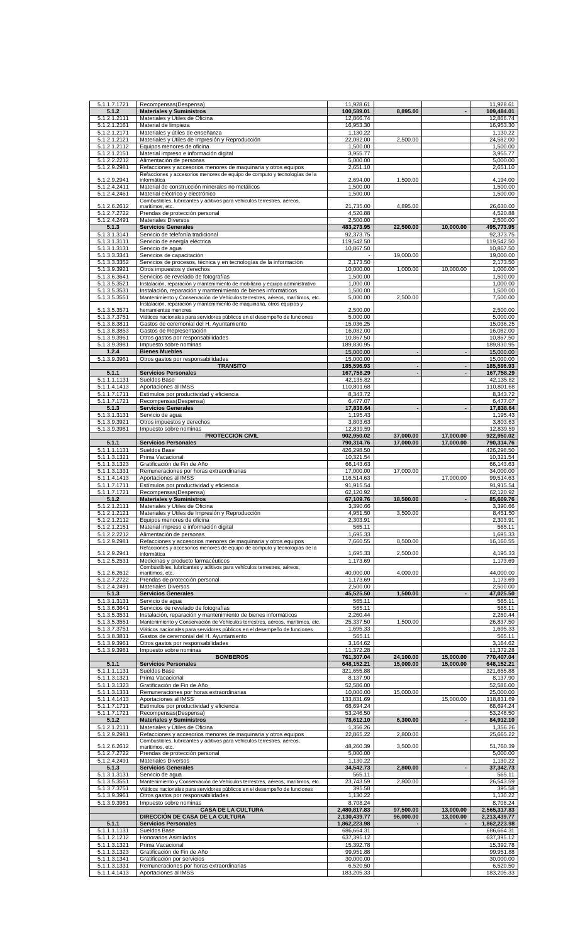| 5.1.1.7.1721                 | Recompensas(Despensa)                                                                                                                           | 11,928.61                |                        |                          | 11,928.61                |
|------------------------------|-------------------------------------------------------------------------------------------------------------------------------------------------|--------------------------|------------------------|--------------------------|--------------------------|
| 5.1.2                        | <b>Materiales y Suministros</b>                                                                                                                 | 100,589.01               | 8,895.00               |                          | 109,484.01               |
| 5.1.2.1.2111<br>5.1.2.1.2161 | Materiales y Útiles de Oficina<br>Material de limpieza                                                                                          | 12,866.74<br>16,953.30   |                        |                          | 12,866.74<br>16,953.30   |
| 5.1.2.1.2171                 | Materiales y útiles de enseñanza                                                                                                                | 1.130.22                 |                        |                          | 1,130.22                 |
| 5.1.2.1.2121                 | Materiales y Útiles de Impresión y Reproducción                                                                                                 | 22,082.00                | 2,500.00               |                          | 24,582.00                |
| 5.1.2.1.2112                 | Equipos menores de oficina                                                                                                                      | 1,500.00                 |                        |                          | 1,500.00                 |
| 5.1.2.1.2151<br>5.1.2.2.2212 | Material impreso e información digital                                                                                                          | 3,955.77                 |                        |                          | 3,955.77                 |
| 5.1.2.9.2981                 | Alimentación de personas<br>Refacciones y accesorios menores de maquinaria y otros equipos                                                      | 5,000.00<br>2,651.10     |                        |                          | 5,000.00<br>2,651.10     |
|                              | Refacciones y accesorios menores de equipo de computo y tecnologías de la                                                                       |                          |                        |                          |                          |
| 5.1.2.9.2941                 | informática                                                                                                                                     | 2,694.00                 | 1,500.00               |                          | 4,194.00                 |
| 5.1.2.4.2411                 | Material de construcción minerales no metálicos                                                                                                 | 1,500.00                 |                        |                          | 1,500.00                 |
| 5.1.2.4.2461                 | Material eléctrico y electrónico<br>Combustibles, lubricantes y aditivos para vehículos terrestres, aéreos,                                     | 1,500.00                 |                        |                          | 1,500.00                 |
| 5.1.2.6.2612                 | marítimos, etc.                                                                                                                                 | 21,735.00                | 4,895.00               |                          | 26,630.00                |
| 5.1.2.7.2722                 | Prendas de protección personal                                                                                                                  | 4,520.88                 |                        |                          | 4,520.88                 |
| 5.1.2.4.2491<br>5.1.3        | <b>Materiales Diversos</b><br><b>Servicios Generales</b>                                                                                        | 2,500.00<br>483,273.95   | 22.500.00              | 10,000.00                | 2,500.00<br>495,773.95   |
| 5.1.3.1.3141                 | Servicio de telefonía tradicional                                                                                                               | 92,373.75                |                        |                          | 92,373.75                |
| 5.1.3.1.3111                 | Servicio de energía eléctrica                                                                                                                   | 119,542.50               |                        |                          | 119,542.50               |
| 5.1.3.1.3131                 | Servicio de agua                                                                                                                                | 10,867.50                |                        |                          | 10,867.50                |
| 5.1.3.3.3341                 | Servicios de capacitación                                                                                                                       |                          | 19,000.00              |                          | 19,000.00                |
| 5.1.3.3.3352                 | Servicios de procesos, técnica y en tecnologías de la información                                                                               | 2,173.50                 |                        |                          | 2,173.50                 |
| 5.1.3.9.3921<br>5.1.3.6.3641 | Otros impuestos y derechos<br>Servicios de revelado de fotografías                                                                              | 10,000.00<br>1,500.00    | 1,000.00               | 10,000.00                | 1,000.00<br>1,500.00     |
| 5.1.3.5.3521                 | Instalación, reparación y mantenimiento de mobiliario y equipo administrativo                                                                   | 1,000.00                 |                        |                          | 1,000.00                 |
| 5.1.3.5.3531                 | Instalación, reparación y mantenimiento de bienes informáticos                                                                                  | 1,500.00                 |                        |                          | 1,500.00                 |
| 5.1.3.5.3551                 | Mantenimiento y Conservación de Vehículos terrestres, aéreos, marítimos, etc.                                                                   | 5,000.00                 | 2,500.00               |                          | 7,500.00                 |
| 5.1.3.5.3571                 | Instalación, reparación y mantenimiento de maquinaria, otros equipos y<br>herramientas menores                                                  | 2,500.00                 |                        |                          | 2,500.00                 |
| 5.1.3.7.3751                 | Viáticos nacionales para servidores públicos en el desempeño de funciones                                                                       | 5,000.00                 |                        |                          | 5,000.00                 |
| 5.1.3.8.3811                 | Gastos de ceremonial del H. Ayuntamiento                                                                                                        | 15,036.25                |                        |                          | 15,036.25                |
| 5.1.3.8.3853                 | Gastos de Representación                                                                                                                        | 16,082.00                |                        |                          | 16,082.00                |
| 5.1.3.9.3961                 | Otros gastos por responsabilidades                                                                                                              | 10,867.50                |                        |                          | 10,867.50                |
| 5.1.3.9.3981                 | Impuesto sobre nominas                                                                                                                          | 189,830.95               |                        |                          | 189,830.95               |
| 1.2.4<br>5.1.3.9.3961        | <b>Bienes Muebles</b><br>Otros gastos por responsabilidades                                                                                     | 15,000,00<br>15,000.00   |                        |                          | 15,000.00<br>15,000.00   |
|                              | <b>TRANSITO</b>                                                                                                                                 | 185,596.93               | $\blacksquare$         |                          | 185,596.93               |
| 5.1.1                        | <b>Servicios Personales</b>                                                                                                                     | 167,758.29               | $\blacksquare$         | $\overline{\phantom{a}}$ | 167,758.29               |
| 5.1.1.1.1131                 | Sueldos Base                                                                                                                                    | 42,135.82                |                        |                          | 42,135.82                |
| 5.1.1.4.1413                 | Aportaciones al IMSS                                                                                                                            | 110,801.68               |                        |                          | 110,801.68               |
| 5.1.1.7.1711                 | Estímulos por productividad y eficiencia                                                                                                        | 8,343.72                 |                        |                          | 8,343.72                 |
| 5.1.1.7.1721<br>5.1.3        | Recompensas(Despensa)<br><b>Servicios Generales</b>                                                                                             | 6,477.07<br>17,838.64    |                        |                          | 6,477.07<br>17,838.64    |
| 5.1.3.1.3131                 | Servicio de aqua                                                                                                                                | 1,195.43                 |                        |                          | 1,195.43                 |
| 5.1.3.9.3921                 | Otros impuestos y derechos                                                                                                                      | 3,803.63                 |                        |                          | 3,803.63                 |
| 5.1.3.9.3981                 | Impuesto sobre nominas                                                                                                                          | 12,839.59                |                        |                          | 12,839.59                |
|                              | PROTECCIÓN CIVIL                                                                                                                                | 902,950.02               | 37,000.00              | 17,000.00                | 922,950.02               |
| 5.1.1                        | <b>Servicios Personales</b>                                                                                                                     | 790,314.76               | 17,000.00              | 17,000.00                | 790,314.76               |
| 5.1.1.1.1131<br>5.1.1.3.1321 | Sueldos Base<br>Prima Vacacional                                                                                                                | 426,298.50               |                        |                          | 426,298.50               |
| 5.1.1.3.1323                 | Gratificación de Fin de Año                                                                                                                     | 10,321.54<br>66,143.63   |                        |                          | 10,321.54<br>66,143.63   |
| 5.1.1.3.1331                 | Remuneraciones por horas extraordinarias                                                                                                        | 17,000.00                | 17,000.00              |                          | 34,000.00                |
| 5.1.1.4.1413                 | Aportaciones al IMSS                                                                                                                            | 116,514.63               |                        | $\overline{17},000.00$   | 99,514.63                |
| 5.1.1.7.1711                 | Estímulos por productividad y eficiencia                                                                                                        | 91,915.54                |                        |                          | 91,915.54                |
| 5.1.1.7.1721                 | Recompensas(Despensa)                                                                                                                           | 62,120.92                |                        |                          | 62,120.92                |
| 5.1.2                        | <b>Materiales y Suministros</b><br>Materiales y Útiles de Oficina                                                                               | 67,109.76                | 18,500.00              | $\overline{\phantom{a}}$ | 85,609.76                |
| 5.1.2.1.2111<br>5.1.2.1.2121 | Materiales y Útiles de Impresión y Reproducción                                                                                                 | 3,390.66<br>4,951.50     | 3,500.00               |                          | 3,390.66<br>8,451.50     |
| 5.1.2.1.2112                 | Equipos menores de oficina                                                                                                                      | 2,303.91                 |                        |                          | 2,303.91                 |
| 5.1.2.1.2151                 | Material impreso e información digital                                                                                                          | 565.11                   |                        |                          | 565.11                   |
| 5.1.2.2.2212                 | Alimentación de personas                                                                                                                        | 1,695.33                 |                        |                          | 1,695.33                 |
| 5.1.2.9.2981                 | Refacciones y accesorios menores de maquinaria y otros equipos                                                                                  | 7,660.55                 | 8,500.00               |                          | 16,160.55                |
| 5.1.2.9.2941                 | Refacciones y accesorios menores de equipo de computo y tecnologías de la<br>informática                                                        | 1.695.33                 | 2,500.00               |                          | 4,195.33                 |
| 5.1.2.5.2531                 | Medicinas y producto farmacéuticos                                                                                                              | 1,173.69                 |                        |                          | 1,173.69                 |
|                              | Combustibles, lubricantes y aditivos para vehículos terrestres, aéreos,                                                                         |                          |                        |                          |                          |
| 5.1.2.6.2612<br>5.1.2.7.2722 | marítimos, etc.<br>Prendas de protección personal                                                                                               | 40,000.00<br>1,173.69    | 4,000.00               |                          | 44,000.00<br>1,173.69    |
| 5.1.2.4.2491                 | <b>Materiales Diversos</b>                                                                                                                      | 2,500.00                 |                        |                          | 2,500.00                 |
| 5.1.3                        | <b>Servicios Generales</b>                                                                                                                      | 45,525.50                | 1,500.00               |                          | 47,025.50                |
| 5.1.3.1.3131                 | Servicio de agua                                                                                                                                | 565.11                   |                        |                          | 565.11                   |
| 5.1.3.6.3641                 | Servicios de revelado de fotografías                                                                                                            | 565.11                   |                        |                          | 565.11                   |
| 5.1.3.5.3531                 | Instalación, reparación y mantenimiento de bienes informáticos<br>Mantenimiento y Conservación de Vehículos terrestres, aéreos, marítimos, etc. | 2,260.44<br>25,337.50    |                        |                          | 2,260.44                 |
| 5.1.3.5.3551<br>5.1.3.7.3751 | Viáticos nacionales para servidores públicos en el desempeño de funciones                                                                       | 1,695.33                 | 1,500.00               |                          | 26,837.50<br>1,695.33    |
| 5.1.3.8.3811                 | Gastos de ceremonial del H. Ayuntamiento                                                                                                        | 565.11                   |                        |                          | 565.11                   |
| 5.1.3.9.3961                 | Otros gastos por responsabilidades                                                                                                              | 3,164.62                 |                        |                          | 3,164.62                 |
| 5.1.3.9.3981                 | Impuesto sobre nominas                                                                                                                          | 11,372.28                |                        |                          | 11,372.28                |
| 5.1.1                        | <b>BOMBEROS</b><br><b>Servicios Personales</b>                                                                                                  | 761,307.04<br>648,152.21 | 24,100.00<br>15,000.00 | 15,000.00<br>15,000.00   | 770,407.04<br>648,152.21 |
| 5.1.1.1.1131                 | Sueldos Base                                                                                                                                    | 321,655.88               |                        |                          | 321,655.88               |
| 5.1.1.3.1321                 | Prima Vacacional                                                                                                                                | 8,137.90                 |                        |                          | 8,137.90                 |
| 5.1.1.3.1323                 | Gratificación de Fin de Año                                                                                                                     | 52,586.00                |                        |                          | 52,586.00                |
| 5.1.1.3.1331                 | Remuneraciones por horas extraordinarias                                                                                                        | 10,000.00                | 15,000.00              |                          | 25,000.00                |
| 5.1.1.4.1413                 | Aportaciones al IMSS                                                                                                                            | 133,831.69               |                        | 15,000.00                | 118,831.69               |
| 5.1.1.7.1711<br>5.1.1.7.1721 | Estímulos por productividad y eficiencia<br>Recompensas(Despensa)                                                                               | 68,694.24<br>53,246.50   |                        |                          | 68,694.24<br>53,246.50   |
| 5.1.2                        | <b>Materiales y Suministros</b>                                                                                                                 | 78,612.10                | 6,300.00               |                          | 84,912.10                |
| 5.1.2.1.2111                 | Materiales y Útiles de Oficina                                                                                                                  | 1,356.26                 |                        |                          | 1,356.26                 |
| 5.1.2.9.2981                 | Refacciones y accesorios menores de maquinaria y otros equipos                                                                                  | 22,865.22                | 2,800.00               |                          | 25,665.22                |
| 5.1.2.6.2612                 | Combustibles, lubricantes y aditivos para vehículos terrestres, aéreos,<br>marítimos, etc.                                                      | 48,260.39                | 3,500.00               |                          | 51,760.39                |
| 5.1.2.7.2722                 | Prendas de protección personal                                                                                                                  | 5,000.00                 |                        |                          | 5,000.00                 |
| 5.1.2.4.2491                 | Materiales Diversos                                                                                                                             | 1,130.22                 |                        |                          | 1,130.22                 |
| 5.1.3                        | <b>Servicios Generales</b>                                                                                                                      | 34,542.73                | 2,800.00               |                          | 37,342.73                |
| 5.1.3.1.3131                 | Servicio de agua                                                                                                                                | 565.11                   |                        |                          | 565.11                   |
| 5.1.3.5.3551                 | Mantenimiento y Conservación de Vehículos terrestres, aéreos, marítimos, etc.                                                                   | 23,743.59                | 2,800.00               |                          | 26,543.59                |
| 5.1.3.7.3751<br>5.1.3.9.3961 | Viáticos nacionales para servidores públicos en el desempeño de funciones<br>Otros gastos por responsabilidades                                 | 395.58<br>1,130.22       |                        |                          | 395.58<br>1,130.22       |
| 5.1.3.9.3981                 | Impuesto sobre nominas                                                                                                                          | 8,708.24                 |                        |                          | 8,708.24                 |
|                              | <b>CASA DE LA CULTURA</b>                                                                                                                       | 2,480,817.83             | 97,500.00              | 13,000.00                | 2,565,317.83             |
|                              | DIRECCIÓN DE CASA DE LA CULTURA                                                                                                                 | 2,130,439.77             | 96,000.00              | 13,000.00                | 2,213,439.77             |
| 5.1.1                        | <b>Servicios Personales</b>                                                                                                                     | 1,862,223.98             |                        |                          | 1,862,223.98             |
| 5.1.1.1.1131<br>5.1.1.2.1212 | Sueldos Base<br>Honorarios Asimilados                                                                                                           | 686,664.31<br>637,395.12 |                        |                          | 686,664.31<br>637,395.12 |
| 5.1.1.3.1321                 | Prima Vacacional                                                                                                                                | 15,392.78                |                        |                          | 15,392.78                |
| 5.1.1.3.1323                 | Gratificación de Fin de Año                                                                                                                     | 99,951.88                |                        |                          | 99,951.88                |
| 5.1.1.3.1341                 | Gratificación por servicios                                                                                                                     | 30,000.00                |                        |                          | 30,000.00                |
| 5.1.1.3.1331                 | Remuneraciones por horas extraordinarias                                                                                                        | 6,520.50                 |                        |                          | 6,520.50                 |
| 5.1.1.4.1413                 | Aportaciones al IMSS                                                                                                                            | 183,205.33               |                        |                          | 183,205.33               |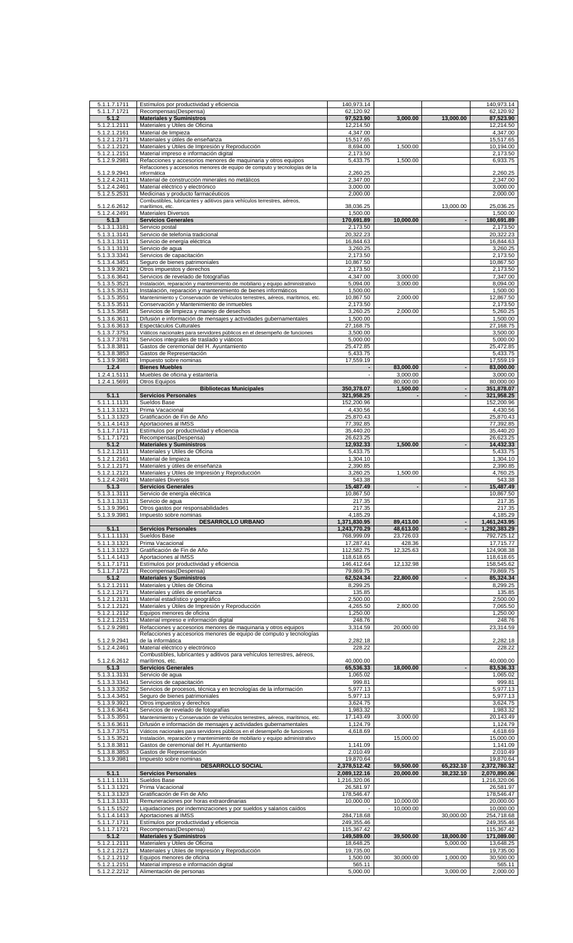| 5.1.1.7.1711                 | Estímulos por productividad y eficiencia                                                                                                        | 140,973.14               |                          |                          | 140,973.14               |
|------------------------------|-------------------------------------------------------------------------------------------------------------------------------------------------|--------------------------|--------------------------|--------------------------|--------------------------|
| 5.1.1.7.1721                 | Recompensas(Despensa)                                                                                                                           | 62,120.92                |                          |                          | 62,120.92                |
| 5.1.2                        | <b>Materiales y Suministros</b>                                                                                                                 | 97,523.90                | 3,000.00                 | 13,000.00                | 87,523.90                |
| 5.1.2.1.2111                 | Materiales y Útiles de Oficina                                                                                                                  | 12,214.50                |                          |                          | 12,214.50                |
| 5.1.2.1.2161                 | Material de limpieza                                                                                                                            | 4,347.00                 |                          |                          | 4,347.00                 |
| 5.1.2.1.2171<br>5.1.2.1.2121 | Materiales y útiles de enseñanza<br>Materiales y Útiles de Impresión y Reproducción                                                             | 15,517.65<br>8,694.00    | 1,500.00                 |                          | 15,517.65<br>10,194.00   |
| 5.1.2.1.2151                 | Material impreso e información digital                                                                                                          | 2,173.50                 |                          |                          | 2,173.50                 |
| 5.1.2.9.2981                 | Refacciones y accesorios menores de maquinaria y otros equipos                                                                                  | 5,433.75                 | 1,500.00                 |                          | 6,933.75                 |
|                              | Refacciones y accesorios menores de equipo de computo y tecnologías de la                                                                       |                          |                          |                          |                          |
| 5.1.2.9.2941                 | informática                                                                                                                                     | 2,260.25                 |                          |                          | 2,260.25                 |
| 5.1.2.4.2411<br>5.1.2.4.2461 | Material de construcción minerales no metálicos<br>Material eléctrico y electrónico                                                             | 2,347.00<br>3,000.00     |                          |                          | 2,347.00<br>3,000.00     |
| 5.1.2.5.2531                 | Medicinas y producto farmacéuticos                                                                                                              | 2,000.00                 |                          |                          | 2,000.00                 |
|                              | Combustibles, lubricantes y aditivos para vehículos terrestres, aéreos,                                                                         |                          |                          |                          |                          |
| 5.1.2.6.2612                 | marítimos, etc.                                                                                                                                 | 38,036.25                |                          | 13,000.00                | 25,036.25                |
| 5.1.2.4.2491                 | <b>Materiales Diversos</b>                                                                                                                      | 1.500.00                 |                          |                          | 1,500.00                 |
| 5.1.3                        | <b>Servicios Generales</b>                                                                                                                      | 170,691.89               | 10,000.00                | $\overline{\phantom{a}}$ | 180,691.89               |
| 5.1.3.1.3181<br>5.1.3.1.3141 | Servicio postal<br>Servicio de telefonía tradicional                                                                                            | 2,173.50<br>20,322.23    |                          |                          | 2,173.50<br>20,322.23    |
| 5.1.3.1.3111                 | Servicio de energía eléctrica                                                                                                                   | 16,844.63                |                          |                          | 16,844.63                |
| 5.1.3.1.3131                 | Servicio de agua                                                                                                                                | 3,260.25                 |                          |                          | 3,260.25                 |
| 5.1.3.3.3341                 | Servicios de capacitación                                                                                                                       | 2,173.50                 |                          |                          | 2,173.50                 |
| 5.1.3.4.3451                 | Seguro de bienes patrimoniales                                                                                                                  | 10,867.50                |                          |                          | 10,867.50                |
| 5.1.3.9.3921                 | Otros impuestos y derechos                                                                                                                      | 2,173.50                 |                          |                          | 2,173.50                 |
| 5.1.3.6.3641                 | Servicios de revelado de fotografías                                                                                                            | 4,347.00                 | 3,000.00                 |                          | 7,347.00                 |
| 5.1.3.5.3521<br>5.1.3.5.3531 | Instalación, reparación y mantenimiento de mobiliario y equipo administrativo                                                                   | 5,094.00                 | 3,000.00                 |                          | 8,094.00                 |
| 5.1.3.5.3551                 | Instalación, reparación y mantenimiento de bienes informáticos<br>Mantenimiento y Conservación de Vehículos terrestres, aéreos, marítimos, etc. | 1,500.00<br>10,867.50    | 2,000.00                 |                          | 1,500.00<br>12,867.50    |
| 5.1.3.5.3511                 | Conservación y Mantenimiento de inmuebles                                                                                                       | 2,173.50                 |                          |                          | 2,173.50                 |
| 5.1.3.5.3581                 | Servicios de limpieza y manejo de desechos                                                                                                      | 3,260.25                 | 2.000.00                 |                          | 5,260.25                 |
| 5.1.3.6.3611                 | Difusión e información de mensajes y actividades gubernamentales                                                                                | 1,500.00                 |                          |                          | 1,500.00                 |
| 5.1.3.6.3613                 | Espectáculos Culturales                                                                                                                         | 27,168.75                |                          |                          | 27,168.75                |
| 5.1.3.7.3751                 | Viáticos nacionales para servidores públicos en el desempeño de funciones                                                                       | 3,500.00                 |                          |                          | 3,500.00                 |
| 5.1.3.7.3781                 | Servicios integrales de traslado y viáticos                                                                                                     | 5,000.00                 |                          |                          | 5,000.00                 |
| 5.1.3.8.3811                 | Gastos de ceremonial del H. Avuntamiento                                                                                                        | 25.472.85                |                          |                          | 25,472.85                |
| 5.1.3.8.3853<br>5.1.3.9.3981 | Gastos de Representación<br>Impuesto sobre nominas                                                                                              | 5,433.75<br>17,559.19    |                          |                          | 5,433.75<br>17,559.19    |
| 1.2.4                        | <b>Bienes Muebles</b>                                                                                                                           |                          | 83,000.00                |                          | 83,000.00                |
| 1.2.4.1.5111                 | Muebles de oficina y estantería                                                                                                                 |                          | 3,000.00                 |                          | 3,000.00                 |
| 1.2.4.1.5691                 | Otros Equipos                                                                                                                                   |                          | 80,000.00                |                          | 80,000.00                |
|                              | <b>Bibliotecas Municipales</b>                                                                                                                  | 350,378.07               | 1,500.00                 | $\blacksquare$           | 351,878.07               |
| 5.1.1                        | <b>Servicios Personales</b>                                                                                                                     | 321,958.25               |                          |                          | 321,958.25               |
| 5.1.1.1.1131                 | Sueldos Base                                                                                                                                    | 152,200.96               |                          |                          | 152,200.96               |
| 5.1.1.3.1321                 | Prima Vacacional                                                                                                                                | 4,430.56<br>25,870.43    |                          |                          | 4,430.56<br>25,870.43    |
| 5.1.1.3.1323<br>5.1.1.4.1413 | Gratificación de Fin de Año<br>Aportaciones al IMSS                                                                                             | 77,392.85                |                          |                          | 77,392.85                |
| 5.1.1.7.1711                 | Estímulos por productividad y eficiencia                                                                                                        | 35,440.20                |                          |                          | 35,440.20                |
| 5.1.1.7.1721                 | Recompensas(Despensa)                                                                                                                           | 26,623.25                |                          |                          | 26,623.25                |
| 5.1.2                        | <b>Materiales y Suministros</b>                                                                                                                 | 12,932.33                | 1,500.00                 | $\blacksquare$           | 14,432.33                |
| 5.1.2.1.2111                 | Materiales y Útiles de Oficina                                                                                                                  | 5,433.75                 |                          |                          | 5,433.75                 |
| 5.1.2.1.2161                 | Material de limpieza                                                                                                                            | 1,304.10                 |                          |                          | 1,304.10                 |
| 5.1.2.1.2171                 | Materiales y útiles de enseñanza                                                                                                                | 2,390.85                 |                          |                          | 2.390.85                 |
| 5.1.2.1.2121<br>5.1.2.4.2491 | Materiales y Útiles de Impresión y Reproducción<br><b>Materiales Diversos</b>                                                                   | 3,260.25<br>543.38       | 1,500.00                 |                          | 4,760.25<br>543.38       |
|                              |                                                                                                                                                 |                          |                          |                          |                          |
|                              |                                                                                                                                                 |                          |                          | $\overline{\phantom{a}}$ |                          |
| 5.1.3                        | <b>Servicios Generales</b>                                                                                                                      | 15,487.49<br>10.867.50   | $\overline{\phantom{a}}$ |                          | 15,487.49                |
| 5.1.3.1.3111<br>5.1.3.1.3131 | Servicio de energía eléctrica<br>Servicio de agua                                                                                               | 217.35                   |                          |                          | 10,867.50<br>217.35      |
| 5.1.3.9.3961                 | Otros gastos por responsabilidades                                                                                                              | 217.35                   |                          |                          | 217.35                   |
| 5.1.3.9.3981                 | Impuesto sobre nominas                                                                                                                          | 4,185.29                 |                          |                          | 4,185.29                 |
|                              | <b>DESARROLLO URBANO</b>                                                                                                                        | 1,371,830.95             | 89,413.00                |                          | 1,461,243.95             |
| 5.1.1                        | <b>Servicios Personales</b>                                                                                                                     | 1,243,770.29             | 48,613.00                |                          | 1,292,383.29             |
| 5.1.1.1.1131                 | Sueldos Base                                                                                                                                    | 768,999.09               | 23,726.03                |                          | 792,725.12               |
| 5.1.1.3.1321<br>5.1.1.3.1323 | Prima Vacacional<br>Gratificación de Fin de Año                                                                                                 | 17,287.41<br>112,582.75  | 428.36<br>12,325.63      |                          | 17,715.77<br>124,908.38  |
| 5.1.1.4.1413                 | Aportaciones al IMSS                                                                                                                            | 118,618.65               |                          |                          | 118,618.65               |
| 5.1.1.7.1711                 | Estímulos por productividad y eficiencia                                                                                                        | 146,412.64               | 12,132.98                |                          | 158,545.62               |
| 5.1.1.7.1721                 | Recompensas(Despensa)                                                                                                                           | 79,869.75                |                          |                          | 79,869.75                |
| 5.1.2                        | <b>Materiales y Suministros</b>                                                                                                                 | 62,524.34                | 22,800.00                | $\overline{\phantom{a}}$ | 85,324.34                |
| 5.1.2.1.2111                 | Materiales y Útiles de Oficina                                                                                                                  | 8,299.25                 |                          |                          | 8,299.25                 |
| 5.1.2.1.2171                 | Materiales y útiles de enseñanza                                                                                                                | 135.85                   |                          |                          | 135.85                   |
| 5.1.2.1.2131<br>5.1.2.1.2121 | Material estadístico y geográfico<br>Materiales y Útiles de Impresión y Reproducción                                                            | 2,500.00<br>4,265.50     | 2,800.00                 |                          | 2,500.00<br>7,065.50     |
| 5.1.2.1.2112                 | Equipos menores de oficina                                                                                                                      | 1,250.00                 |                          |                          | 1,250.00                 |
| 5.1.2.1.2151                 | Material impreso e información digital                                                                                                          | 248.76                   |                          |                          | 248.76                   |
| 5.1.2.9.2981                 | Refacciones y accesorios menores de maquinaria y otros equipos                                                                                  | 3,314.59                 | 20,000.00                |                          | 23,314.59                |
|                              | Refacciones y accesorios menores de equipo de computo y tecnologías                                                                             |                          |                          |                          |                          |
| 5.1.2.9.2941                 | de la informática                                                                                                                               | 2,282.18                 |                          |                          | 2,282.18                 |
| 5.1.2.4.2461                 | Material eléctrico y electrónico<br>Combustibles, lubricantes y aditivos para vehículos terrestres, aéreos,                                     | 228.22                   |                          |                          | 228.22                   |
| 5.1.2.6.2612                 | marítimos, etc.                                                                                                                                 | 40,000.00                |                          |                          | 40,000.00                |
| 5.1.3                        | <b>Servicios Generales</b>                                                                                                                      | 65,536.33                | 18,000.00                | $\blacksquare$           | 83,536.33                |
| 5.1.3.1.3131                 | Servicio de agua                                                                                                                                | 1,065.02                 |                          |                          | 1,065.02                 |
| 5.1.3.3.3341                 | Servicios de capacitación                                                                                                                       | 999.81                   |                          |                          | 999.81                   |
| 5.1.3.3.3352                 | Servicios de procesos, técnica y en tecnologías de la información                                                                               | 5,977.13                 |                          |                          | 5,977.13                 |
| 5.1.3.4.3451<br>5.1.3.9.3921 | Seguro de bienes patrimoniales<br>Otros impuestos y derechos                                                                                    | 5,977.13<br>3,624.75     |                          |                          | 5,977.13<br>3,624.75     |
| 5.1.3.6.3641                 | Servicios de revelado de fotografías                                                                                                            | 1,983.32                 |                          |                          | 1,983.32                 |
| 5.1.3.5.3551                 | Mantenimiento y Conservación de Vehículos terrestres, aéreos, marítimos, etc.                                                                   | 17,143.49                | 3,000.00                 |                          | 20,143.49                |
| 5.1.3.6.3611                 | Difusión e información de mensajes y actividades gubernamentales                                                                                | 1,124.79                 |                          |                          | 1,124.79                 |
| 5.1.3.7.3751                 | Viáticos nacionales para servidores públicos en el desempeño de funciones                                                                       | 4,618.69                 |                          |                          | 4,618.69                 |
| 5.1.3.5.3521                 | Instalación, reparación y mantenimiento de mobiliario y equipo administrativo                                                                   |                          | 15,000.00                |                          | 15,000.00                |
| 5.1.3.8.3811                 | Gastos de ceremonial del H. Ayuntamiento                                                                                                        | 1,141.09                 |                          |                          | 1,141.09                 |
| 5.1.3.8.3853                 | Gastos de Representación                                                                                                                        | 2,010.49<br>19,870.64    |                          |                          | 2,010.49<br>19,870.64    |
| 5.1.3.9.3981                 | Impuesto sobre nominas<br>DESARROLLO SOCIAL                                                                                                     | 2,378,512.42             | 59,500.00                | 65,232.10                | 2,372,780.32             |
| 5.1.1                        | <b>Servicios Personales</b>                                                                                                                     | 2,089,122.16             | 20,000.00                | 38,232.10                | 2,070,890.06             |
| 5.1.1.1.1131                 | Sueldos Base                                                                                                                                    | 1,216,320.06             |                          |                          | 1,216,320.06             |
| 5.1.1.3.1321                 | Prima Vacacional                                                                                                                                | 26,581.97                |                          |                          | 26,581.97                |
| 5.1.1.3.1323                 | Gratificación de Fin de Año                                                                                                                     | 178,546.47               |                          |                          | 178,546.47               |
| 5.1.1.3.1331                 | Remuneraciones por horas extraordinarias                                                                                                        | 10,000.00                | 10,000.00                |                          | 20,000.00                |
| 5.1.1.5.1522                 | Liquidaciones por indemnizaciones y por sueldos y salarios caídos                                                                               |                          | 10,000.00                |                          | 10,000.00                |
| 5.1.1.4.1413                 | Aportaciones al IMSS<br>Estímulos por productividad y eficiencia                                                                                | 284,718.68<br>249,355.46 |                          | 30,000.00                | 254,718.68               |
| 5.1.1.7.1711<br>5.1.1.7.1721 | Recompensas(Despensa)                                                                                                                           | 115,367.42               |                          |                          | 249,355.46<br>115,367.42 |
| 5.1.2                        | <b>Materiales y Suministros</b>                                                                                                                 | 149,589.00               | 39,500.00                | 18,000.00                | 171,089.00               |
| 5.1.2.1.2111                 | Materiales y Útiles de Oficina                                                                                                                  | 18,648.25                |                          | 5,000.00                 | 13,648.25                |
| 5.1.2.1.2121                 | Materiales y Útiles de Impresión y Reproducción                                                                                                 | 19,735.00                |                          |                          | 19,735.00                |
| 5.1.2.1.2112<br>5.1.2.1.2151 | Equipos menores de oficina<br>Material impreso e información digital                                                                            | 1,500.00<br>565.11       | 30,000.00                | 1,000.00                 | 30,500.00<br>565.11      |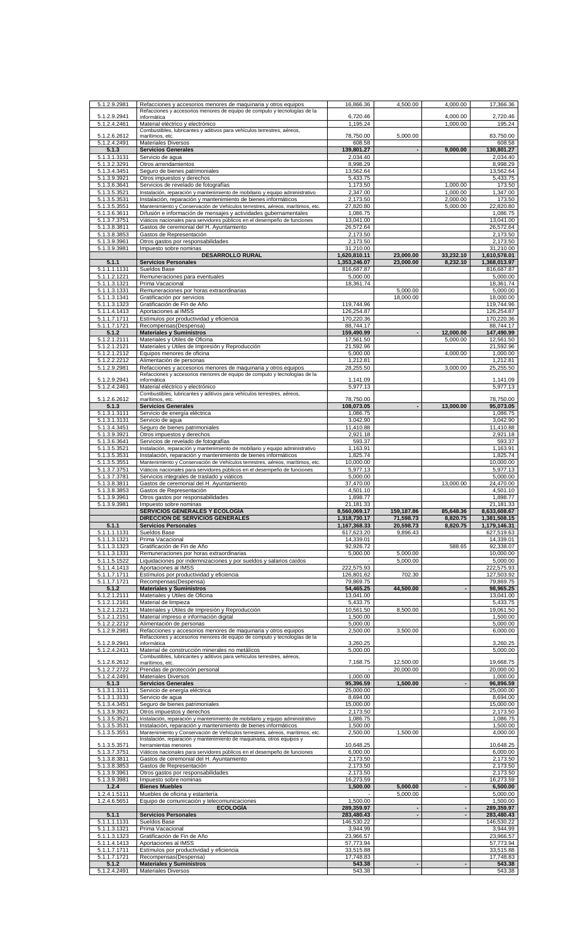| 5.1.2.9.2981                 | Refacciones y accesorios menores de maquinaria y otros equipos                                                                                             | 16,866.36                 | 4,500.00       | 4,000.00                 | 17,366.36                 |
|------------------------------|------------------------------------------------------------------------------------------------------------------------------------------------------------|---------------------------|----------------|--------------------------|---------------------------|
| 5.1.2.9.2941                 | Refacciones y accesorios menores de equipo de computo y tecnologías de la<br>informática                                                                   | 6,720.46                  |                | 4,000.00                 | 2,720.46                  |
| 5.1.2.4.2461                 | Material eléctrico y electrónico                                                                                                                           | 1,195.24                  |                | 1,000.00                 | 195.24                    |
|                              | Combustibles, lubricantes y aditivos para vehículos terrestres, aéreos,                                                                                    |                           |                |                          |                           |
| 5.1.2.6.2612<br>5.1.2.4.2491 | marítimos, etc.<br><b>Materiales Diversos</b>                                                                                                              | 78,750.00<br>608.58       | 5,000.00       |                          | 83,750.00<br>608.58       |
| 5.1.3                        | <b>Servicios Generales</b>                                                                                                                                 | 139,801.27                |                | 9,000.00                 | 130,801.27                |
| 5.1.3.1.3131                 | Servicio de agua                                                                                                                                           | 2,034.40                  |                |                          | 2,034.40                  |
| 5.1.3.2.3291                 | Otros arrendamientos                                                                                                                                       | 8,998.29<br>13,562.64     |                |                          | 8,998.29                  |
| 5.1.3.4.3451<br>5.1.3.9.3921 | Seguro de bienes patrimoniales<br>Otros impuestos y derechos                                                                                               | 5,433.75                  |                |                          | 13,562.64<br>5,433.75     |
| 5.1.3.6.3641                 | Servicios de revelado de fotografías                                                                                                                       | 1,173.50                  |                | 1,000.00                 | 173.50                    |
| 5.1.3.5.3521                 | Instalación, reparación y mantenimiento de mobiliario y equipo administrativo                                                                              | 2.347.00                  |                | 1,000.00                 | 1,347.00                  |
| 5.1.3.5.3531                 | Instalación, reparación y mantenimiento de bienes informáticos                                                                                             | 2,173.50                  |                | 2,000.00                 | 173.50                    |
| 5.1.3.5.3551<br>5.1.3.6.3611 | Mantenimiento y Conservación de Vehículos terrestres, aéreos, marítimos, etc.<br>Difusión e información de mensajes y actividades gubernamentales          | 27,820.80<br>1,086.75     |                | 5,000.00                 | 22,820.80<br>1,086.75     |
| 5.1.3.7.3751                 | Viáticos nacionales para servidores públicos en el desempeño de funciones                                                                                  | 13,041.00                 |                |                          | 13,041.00                 |
| 5.1.3.8.3811                 | Gastos de ceremonial del H. Ayuntamiento                                                                                                                   | 26.572.64                 |                |                          | 26,572.64                 |
| 5.1.3.8.3853                 | Gastos de Representación                                                                                                                                   | 2,173.50                  |                |                          | 2,173.50                  |
| 5.1.3.9.3961<br>5.1.3.9.3981 | Otros gastos por responsabilidades<br>Impuesto sobre nominas                                                                                               | 2,173.50<br>31,210.00     |                |                          | 2,173.50<br>31,210.00     |
|                              | <b>DESARROLLO RURAL</b>                                                                                                                                    | 1,620,810.11              | 23,000.00      | 33,232.10                | 1,610,578.01              |
| 5.1.1                        | <b>Servicios Personales</b>                                                                                                                                | 1,353,246.07              | 23,000.00      | 8,232.10                 | 1,368,013.97              |
| 5.1.1.1.1131                 | Sueldos Base                                                                                                                                               | 816,687.87                |                |                          | 816,687.87                |
| 5.1.1.2.1221<br>5.1.1.3.1321 | Remuneraciones para eventuales<br>Prima Vacacional                                                                                                         | 5,000.00<br>18,361.74     |                |                          | 5,000.00<br>18,361.74     |
| 5.1.1.3.1331                 | Remuneraciones por horas extraordinarias                                                                                                                   |                           | 5,000.00       |                          | 5,000.00                  |
| 5.1.1.3.1341                 | Gratificación por servicios                                                                                                                                |                           | 18,000.00      |                          | 18,000.00                 |
| 5.1.1.3.1323<br>5.1.1.4.1413 | Gratificación de Fin de Año<br>Aportaciones al IMSS                                                                                                        | 119.744.96<br>126,254.87  |                |                          | 119,744.96<br>126,254.87  |
| 5.1.1.7.1711                 | Estímulos por productividad y eficiencia                                                                                                                   | 170,220.36                |                |                          | 170,220.36                |
| 5.1.1.7.1721                 | Recompensas(Despensa)                                                                                                                                      | 88,744.17                 |                |                          | 88,744.17                 |
| 5.1.2                        | <b>Materiales y Suministros</b>                                                                                                                            | 159,490.99                |                | 12,000.00                | 147.490.99                |
| 5.1.2.1.2111<br>5.1.2.1.2121 | Materiales y Útiles de Oficina<br>Materiales y Útiles de Impresión y Reproducción                                                                          | 17.561.50<br>21,592.96    |                | 5.000.00                 | 12,561.50<br>21,592.96    |
| 5.1.2.1.2112                 | Equipos menores de oficina                                                                                                                                 | 5,000.00                  |                | 4,000.00                 | 1,000.00                  |
| 5.1.2.2.2212                 | Alimentación de personas                                                                                                                                   | 1,212.81                  |                |                          | 1,212.81                  |
| 5.1.2.9.2981                 | Refacciones y accesorios menores de maquinaria y otros equipos                                                                                             | 28,255.50                 |                | 3,000.00                 | 25,255.50                 |
| 5.1.2.9.2941                 | Refacciones y accesorios menores de equipo de computo y tecnologías de la<br>informática                                                                   | 1,141.09                  |                |                          | 1,141.09                  |
| 5.1.2.4.2461                 | Material eléctrico y electrónico                                                                                                                           | 5,977.13                  |                |                          | 5,977.13                  |
| 5.1.2.6.2612                 | Combustibles, lubricantes y aditivos para vehículos terrestres, aéreos,<br>marítimos, etc.                                                                 | 78,750.00                 |                |                          | 78,750.00                 |
| 5.1.3                        | <b>Servicios Generales</b>                                                                                                                                 | 108,073.05                |                | 13,000.00                | 95,073.05                 |
| 5.1.3.1.3111                 | Servicio de energía eléctrica                                                                                                                              | 1,086.75                  |                |                          | 1,086.75                  |
| 5.1.3.1.3131                 | Servicio de agua                                                                                                                                           | 3,042.90                  |                |                          | 3,042.90                  |
| 5.1.3.4.3451<br>5.1.3.9.3921 | Seguro de bienes patrimoniales<br>Otros impuestos y derechos                                                                                               | 11,410.88<br>2,921.18     |                |                          | 11,410.88<br>2,921.18     |
| 5.1.3.6.3641                 | Servicios de revelado de fotografías                                                                                                                       | 593.37                    |                |                          | 593.37                    |
| 5.1.3.5.3521                 | Instalación, reparación y mantenimiento de mobiliario y equipo administrativo                                                                              | 1,163.91                  |                |                          | 1,163.91                  |
| 5.1.3.5.3531                 | Instalación, reparación y mantenimiento de bienes informáticos                                                                                             | 1,825.74                  |                |                          | 1,825.74                  |
| 5.1.3.5.3551<br>5.1.3.7.3751 | Mantenimiento y Conservación de Vehículos terrestres, aéreos, marítimos, etc.<br>Viáticos nacionales para servidores públicos en el desempeño de funciones | 10,000.00<br>5,977.13     |                |                          | 10,000.00<br>5,977.13     |
| 5.1.3.7.3781                 | Servicios integrales de traslado y viáticos                                                                                                                | 5,000.00                  |                |                          | 5,000.00                  |
| 5.1.3.8.3811                 | Gastos de ceremonial del H. Ayuntamiento                                                                                                                   | 37,470.00                 |                | 13,000.00                | 24,470.00                 |
|                              |                                                                                                                                                            |                           |                |                          |                           |
| 5.1.3.8.3853                 | Gastos de Representación                                                                                                                                   | 4,501.10                  |                |                          | 4,501.10                  |
| 5.1.3.9.3961                 | Otros gastos por responsabilidades                                                                                                                         | 1,898.77                  |                |                          | 1,898.77                  |
| 5.1.3.9.3981                 | Impuesto sobre nominas<br>SERVICIOS GENERALES Y ECOLOGÍA                                                                                                   | 21,181.33<br>8,560,069.17 | 159,187.86     | 85,648.36                | 21,181.33<br>8,633,608.67 |
|                              | DIRECCIÓN DE SERVICIOS GENERALES                                                                                                                           | 1,318,730.17              | 71,598.73      | 8,820.75                 | 1,381,508.15              |
| 5.1.1                        | <b>Servicios Personales</b>                                                                                                                                | 1,167,368.33              | 20,598.73      | 8,820.75                 | 1,179,146.31              |
| 5.1.1.1.1131<br>5.1.1.3.1321 | Sueldos Base<br>Prima Vacacional                                                                                                                           | 617,623.20<br>14,339.01   | 9,896.43       |                          | 627,519.63<br>14,339.01   |
| 5.1.1.3.1323                 | Gratificación de Fin de Año                                                                                                                                | 92,926.72                 |                | 588.65                   | 92,338.07                 |
| 5.1.1.3.1331                 | Remuneraciones por horas extraordinarias                                                                                                                   | 5,000.00                  | 5,000.00       |                          | 10,000.00                 |
| 5.1.1.5.1522                 | Liquidaciones por indemnizaciones y por sueldos y salarios caídos                                                                                          |                           | 5,000.00       |                          | 5,000.00                  |
| 5.1.1.4.1413<br>5.1.1.7.1711 | Aportaciones al IMSS<br>Estímulos por productividad y eficiencia                                                                                           | 222,575.93<br>126,801.62  | 702.30         |                          | 222,575.93<br>127,503.92  |
| 5.1.1.7.1721                 | Recompensas(Despensa)                                                                                                                                      | 79,869.75                 |                |                          | 79,869.75                 |
| 5.1.2                        | <b>Materiales y Suministros</b>                                                                                                                            | 54,465.25                 | 44,500.00      |                          | 98,965.25                 |
| 5.1.2.1.2111                 | Materiales y Útiles de Oficina                                                                                                                             | 13,041.00                 |                |                          | 13,041.00                 |
| 5.1.2.1.2161<br>5.1.2.1.2121 | Material de limpieza<br>Materiales y Útiles de Impresión y Reproducción                                                                                    | 5,433.75<br>10,561.50     | 8,500.00       |                          | 5,433.75<br>19,061.50     |
| 5.1.2.1.2151                 | Material impreso e información digital                                                                                                                     | 1,500.00                  |                |                          | 1,500.00                  |
| 5.1.2.2.2212                 | Alimentación de personas                                                                                                                                   | 5,000.00                  |                |                          | 5,000.00                  |
| 5.1.2.9.2981                 | Refacciones y accesorios menores de maquinaria y otros equipos<br>Refacciones y accesorios menores de equipo de computo y tecnologías de la                | 2,500.00                  | 3,500.00       |                          | 6,000.00                  |
| 5.1.2.9.2941                 | informática                                                                                                                                                | 3,260.25                  |                |                          | 3,260.25                  |
| 5.1.2.4.2411                 | Material de construcción minerales no metálicos<br>Combustibles, lubricantes y aditivos para vehículos terrestres, aéreos,                                 | 5,000.00                  |                |                          | 5,000.00                  |
| 5.1.2.6.2612                 | marítimos, etc.                                                                                                                                            | 7,168.75                  | 12,500.00      |                          | 19,668.75                 |
| 5.1.2.7.2722                 | Prendas de protección personal                                                                                                                             |                           | 20,000.00      |                          | 20,000.00                 |
| 5.1.2.4.2491                 | <b>Materiales Diversos</b>                                                                                                                                 | 1,000.00                  |                |                          | 1,000.00                  |
| 5.1.3<br>5.1.3.1.3111        | <b>Servicios Generales</b><br>Servicio de energía eléctrica                                                                                                | 95,396.59<br>25,000.00    | 1,500.00       |                          | 96,896.59<br>25,000.00    |
| 5.1.3.1.3131                 | Servicio de agua                                                                                                                                           | 8,694.00                  |                |                          | 8,694.00                  |
| 5.1.3.4.3451                 | Seguro de bienes patrimoniales                                                                                                                             | 15,000.00                 |                |                          | 15,000.00                 |
| 5.1.3.9.3921                 | Otros impuestos y derechos                                                                                                                                 | 2,173.50                  |                |                          | 2,173.50                  |
| 5.1.3.5.3521<br>5.1.3.5.3531 | Instalación, reparación y mantenimiento de mobiliario y equipo administrativo<br>Instalación, reparación y mantenimiento de bienes informáticos            | 1,086.75<br>1,500.00      |                |                          | 1,086.75<br>1,500.00      |
| 5.1.3.5.3551                 | Mantenimiento y Conservación de Vehículos terrestres, aéreos, marítimos, etc.                                                                              | 2,500.00                  | 1,500.00       |                          | 4,000.00                  |
|                              | Instalación, reparación y mantenimiento de maquinaria, otros equipos y<br>herramientas menores                                                             | 10,648.25                 |                |                          | 10,648.25                 |
| 5.1.3.5.3571<br>5.1.3.7.3751 | Viáticos nacionales para servidores públicos en el desempeño de funciones                                                                                  | 6,000.00                  |                |                          | 6,000.00                  |
| 5.1.3.8.3811                 | Gastos de ceremonial del H. Ayuntamiento                                                                                                                   | 2,173.50                  |                |                          | 2,173.50                  |
| 5.1.3.8.3853                 | Gastos de Representación                                                                                                                                   | 2,173.50                  |                |                          | 2,173.50                  |
| 5.1.3.9.3961<br>5.1.3.9.3981 | Otros gastos por responsabilidades<br>Impuesto sobre nominas                                                                                               | 2,173.50<br>16,273.59     |                |                          | 2,173.50<br>16,273.59     |
| 1.2.4                        | <b>Bienes Muebles</b>                                                                                                                                      | 1,500.00                  | 5,000.00       | $\blacksquare$           | 6,500.00                  |
| 1.2.4.1.5111                 | Muebles de oficina y estantería                                                                                                                            |                           | 5,000.00       |                          | 5,000.00                  |
| 1.2.4.6.5651                 | Equipo de comunicación y telecomunicaciones<br><b>ECOLOGÍA</b>                                                                                             | 1,500.00<br>289,359.97    |                |                          | 1,500.00                  |
| 5.1.1                        | <b>Servicios Personales</b>                                                                                                                                | 283,480.43                | $\blacksquare$ | $\overline{\phantom{a}}$ | 289,359.97<br>283,480.43  |
| 5.1.1.1.1131                 | Sueldos Base                                                                                                                                               | 146,530.22                |                |                          | 146,530.22                |
| 5.1.1.3.1321                 | Prima Vacacional                                                                                                                                           | 3,944.99                  |                |                          | 3,944.99                  |
| 5.1.1.3.1323<br>5.1.1.4.1413 | Gratificación de Fin de Año<br>Aportaciones al IMSS                                                                                                        | 23,966.57<br>57,773.94    |                |                          | 23,966.57<br>57,773.94    |
| 5.1.1.7.1711                 | Estímulos por productividad y eficiencia                                                                                                                   | 33,515.88                 |                |                          | 33,515.88                 |
| 5.1.1.7.1721<br>5.1.2        | Recompensas(Despensa)<br><b>Materiales y Suministros</b>                                                                                                   | 17,748.83<br>543.38       |                | $\blacksquare$           | 17,748.83<br>543.38       |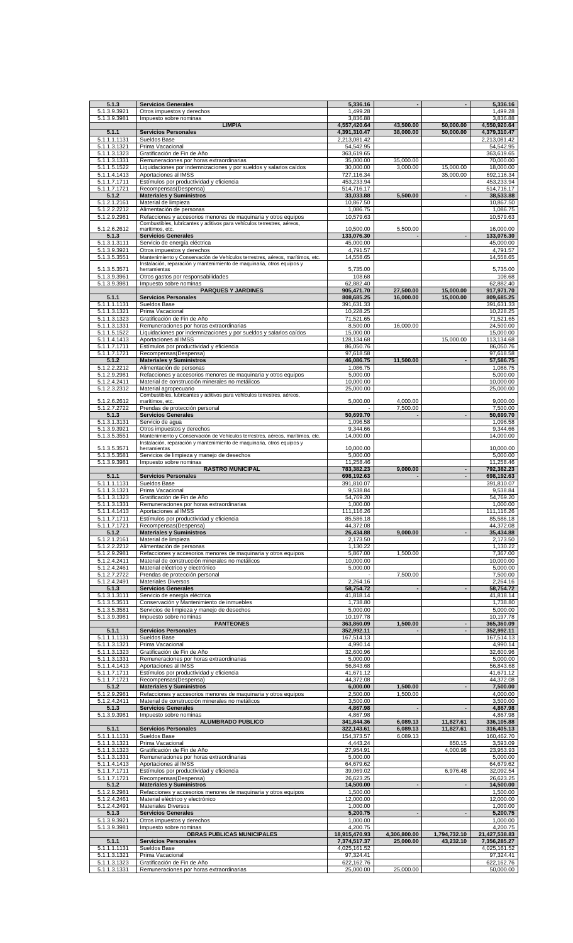| 5.1.3                        | <b>Servicios Generales</b>                                                                                                                              | 5,336.16                      | $\blacksquare$            |                                            | 5,336.16<br>1,499.28          |
|------------------------------|---------------------------------------------------------------------------------------------------------------------------------------------------------|-------------------------------|---------------------------|--------------------------------------------|-------------------------------|
| 5.1.3.9.3921<br>5.1.3.9.3981 | Otros impuestos y derechos<br>Impuesto sobre nominas                                                                                                    | 1,499.28<br>3,836.88          |                           |                                            | 3,836.88                      |
| 5.1.1                        | <b>LIMPIA</b>                                                                                                                                           | 4,557,420.64                  | 43,500.00<br>38,000.00    | 50,000.00                                  | 4,550,920.64                  |
| 5.1.1.1.1131                 | <b>Servicios Personales</b><br>Sueldos Base                                                                                                             | 4,391,310.47<br>2,213,081.42  |                           | 50,000.00                                  | 4,379,310.47<br>2,213,081.42  |
| 5.1.1.3.1321                 | Prima Vacacional                                                                                                                                        | 54,542.95                     |                           |                                            | 54,542.95                     |
| 5.1.1.3.1323<br>5.1.1.3.1331 | Gratificación de Fin de Año<br>Remuneraciones por horas extraordinarias                                                                                 | 363,619.65<br>35,000.00       | 35,000.00                 |                                            | 363,619.65<br>70,000.00       |
| 5.1.1.5.1522                 | Liquidaciones por indemnizaciones y por sueldos y salarios caídos                                                                                       | 30,000.00                     | 3,000.00                  | 15,000.00                                  | 18,000.00                     |
| 5.1.1.4.1413<br>5.1.1.7.1711 | Aportaciones al IMSS<br>Estímulos por productividad y eficiencia                                                                                        | 727,116.34<br>453,233.94      |                           | 35,000.00                                  | 692,116.34<br>453,233.94      |
| 5.1.1.7.1721                 | Recompensas(Despensa)                                                                                                                                   | 514,716.17                    |                           |                                            | 514,716.17                    |
| 5.1.2<br>5.1.2.1.2161        | <b>Materiales y Suministros</b><br>Material de limpieza                                                                                                 | 33,033.88<br>10,867.50        | 5,500.00                  |                                            | 38,533.88<br>10,867.50        |
| 5.1.2.2.2212                 | Alimentación de personas                                                                                                                                | 1,086.75                      |                           |                                            | 1.086.75                      |
| 5.1.2.9.2981                 | Refacciones y accesorios menores de maquinaria y otros equipos<br>Combustibles, lubricantes y aditivos para vehículos terrestres, aéreos,               | 10,579.63                     |                           |                                            | 10,579.63                     |
| 5.1.2.6.2612                 | marítimos, etc.                                                                                                                                         | 10,500.00                     | 5,500.00                  |                                            | 16,000.00                     |
| 5.1.3<br>5.1.3.1.3111        | <b>Servicios Generales</b><br>Servicio de energía eléctrica                                                                                             | 133,076.30<br>45,000.00       |                           |                                            | 133,076.30<br>45,000.00       |
| 5.1.3.9.3921                 | Otros impuestos y derechos                                                                                                                              | 4,791.57                      |                           |                                            | 4,791.57                      |
| 5.1.3.5.3551                 | Mantenimiento y Conservación de Vehículos terrestres, aéreos, marítimos, etc.                                                                           | 14,558.65                     |                           |                                            | 14,558.65                     |
| 5.1.3.5.3571                 | Instalación, reparación y mantenimiento de maquinaria, otros equipos y<br>herramientas                                                                  | 5,735.00                      |                           |                                            | 5,735.00                      |
| 5.1.3.9.3961<br>5.1.3.9.3981 | Otros gastos por responsabilidades<br>Impuesto sobre nominas                                                                                            | 108.68<br>62,882.40           |                           |                                            | 108.68<br>62,882.40           |
|                              | <b>PARQUES Y JARDINES</b>                                                                                                                               | 905,471.70                    | 27,500.00                 | 15,000.00                                  | 917,971.70                    |
| 5.1.1                        | <b>Servicios Personales</b>                                                                                                                             | 808,685.25                    | 16,000.00                 | 15,000.00                                  | 809,685.25                    |
| 5.1.1.1.1131<br>5.1.1.3.1321 | Sueldos Base<br>Prima Vacacional                                                                                                                        | 391,631.33<br>10,228.25       |                           |                                            | 391,631.33<br>10,228.25       |
| 5.1.1.3.1323                 | Gratificación de Fin de Año                                                                                                                             | 71,521.65                     |                           |                                            | 71,521.65                     |
| 5.1.1.3.1331<br>5.1.1.5.1522 | Remuneraciones por horas extraordinarias<br>Liquidaciones por indemnizaciones y por sueldos y salarios caídos                                           | 8,500.00<br>15,000.00         | 16,000.00                 |                                            | 24,500.00<br>15,000.00        |
| 5.1.1.4.1413                 | Aportaciones al IMSS                                                                                                                                    | 128,134.68                    |                           | 15.000.00                                  | 113,134.68                    |
| 5.1.1.7.1711<br>5.1.1.7.1721 | Estímulos por productividad y eficiencia                                                                                                                | 86,050.76                     |                           |                                            | 86,050.76                     |
| 5.1.2                        | Recompensas(Despensa)<br><b>Materiales y Suministros</b>                                                                                                | 97,618.58<br>46,086.75        | 11,500.00                 |                                            | 97,618.58<br>57,586.75        |
| 5.1.2.2.2212                 | Alimentación de personas                                                                                                                                | 1,086.75                      |                           |                                            | 1,086.75                      |
| 5.1.2.9.2981<br>5.1.2.4.2411 | Refacciones y accesorios menores de maquinaria y otros equipos<br>Material de construcción minerales no metálicos                                       | 5,000.00<br>10,000.00         |                           |                                            | 5,000.00<br>10,000.00         |
| 5.1.2.3.2312                 | Material agropecuario                                                                                                                                   | 25,000.00                     |                           |                                            | 25,000.00                     |
| 5.1.2.6.2612                 | Combustibles, lubricantes y aditivos para vehículos terrestres, aéreos,<br>marítimos, etc.                                                              | 5,000.00                      | 4,000.00                  |                                            | 9,000.00                      |
| 5.1.2.7.2722                 | Prendas de protección personal                                                                                                                          |                               | 7,500.00                  |                                            | 7,500.00                      |
| 5.1.3<br>5.1.3.1.3131        | <b>Servicios Generales</b><br>Servicio de agua                                                                                                          | 50,699.70<br>1,096.58         |                           | $\overline{\phantom{a}}$                   | 50,699.70<br>1,096.58         |
| 5.1.3.9.3921                 | Otros impuestos y derechos                                                                                                                              | 9,344.66                      |                           |                                            | 9,344.66                      |
| 5.1.3.5.3551                 | Mantenimiento y Conservación de Vehículos terrestres, aéreos, marítimos, etc.<br>Instalación, reparación y mantenimiento de maquinaria, otros equipos y | 14,000.00                     |                           |                                            | 14,000.00                     |
| 5.1.3.5.3571                 | herramientas                                                                                                                                            | 10,000.00                     |                           |                                            | 10,000.00                     |
| 5.1.3.5.3581<br>5.1.3.9.3981 | Servicios de limpieza y manejo de desechos<br>Impuesto sobre nominas                                                                                    | 5,000.00<br>11,258.46         |                           |                                            | 5,000.00<br>11,258.46         |
|                              | <b>RASTRO MUNICIPAL</b>                                                                                                                                 | 783,382.23                    | 9.000.00                  |                                            | 792,382.23                    |
| 5.1.1<br>5.1.1.1.1131        | <b>Servicios Personales</b><br>Sueldos Base                                                                                                             | 698,192.63<br>391,810.07      |                           |                                            | 698,192.63<br>391.810.07      |
| 5.1.1.3.1321                 | Prima Vacacional                                                                                                                                        | 9,538.84                      |                           |                                            | 9,538.84                      |
| 5.1.1.3.1323                 | Gratificación de Fin de Año                                                                                                                             | 54,769.20                     |                           |                                            | 54,769.20                     |
| 5.1.1.3.1331<br>5.1.1.4.1413 | Remuneraciones por horas extraordinarias<br>Aportaciones al IMSS                                                                                        | 1,000.00<br>111,116.26        |                           |                                            | 1,000.00<br>111,116.26        |
| 5.1.1.7.1711                 | Estímulos por productividad y eficiencia                                                                                                                | 85.586.18                     |                           |                                            | 85.586.18                     |
| 5.1.1.7.1721<br>5.1.2        | Recompensas(Despensa)<br><b>Materiales y Suministros</b>                                                                                                | 44,372.08<br>26,434.88        | 9,000.00                  |                                            | 44,372.08<br>35,434.88        |
| 5.1.2.1.2161                 | Material de limpieza                                                                                                                                    | 2,173.50                      |                           |                                            | 2,173.50                      |
| 5.1.2.2.2212<br>5.1.2.9.2981 | Alimentación de personas<br>Refacciones y accesorios menores de maquinaria y otros equipos                                                              | 1,130.22<br>5,867.00          | 1,500.00                  |                                            | 1,130.22<br>7,367.00          |
| 5.1.2.4.2411                 | Material de construcción minerales no metálicos                                                                                                         | 10,000.00                     |                           |                                            | 10,000.00                     |
| 5.1.2.4.2461                 | Material eléctrico y electrónico                                                                                                                        | 5,000.00                      |                           |                                            | 5,000.00                      |
| 5.1.2.7.2722<br>5.1.2.4.2491 | Prendas de protección personal<br>Materiales Diversos                                                                                                   | 2,264.16                      | 7,500.00                  |                                            | 7,500.00<br>2,264.16          |
| 5.1.3                        | <b>Servicios Generales</b>                                                                                                                              | 58,754.72                     | $\overline{\phantom{a}}$  | $\overline{\phantom{a}}$                   | 58,754.72                     |
| 5.1.3.1.3111<br>5.1.3.5.3511 | Servicio de energía eléctrica<br>Conservación y Mantenimiento de inmuebles                                                                              | 41,818.14<br>1,738.80         |                           |                                            | 41,818.14<br>1,738.80         |
| 5.1.3.5.3581                 | Servicios de limpieza y manejo de desechos                                                                                                              | 5,000.00                      |                           |                                            | 5,000.00                      |
| 5.1.3.9.3981                 | Impuesto sobre nominas<br><b>PANTEONES</b>                                                                                                              | 10,197.78                     |                           |                                            | 10,197.78                     |
| 5.1.1                        | <b>Servicios Personales</b>                                                                                                                             | 363,860.09<br>352,992.11      | 1,500.00                  | $\overline{\phantom{a}}$<br>$\overline{a}$ | 365,360.09<br>352,992.11      |
| 5.1.1.1.1131                 | Sueldos Base                                                                                                                                            | 167,514.13                    |                           |                                            | 167,514.13                    |
| 5.1.1.3.1321<br>5.1.1.3.1323 | Prima Vacacional<br>Gratificación de Fin de Año                                                                                                         | 4,990.14<br>32,600.96         |                           |                                            | 4,990.14<br>32,600.96         |
| 5.1.1.3.1331                 | Remuneraciones por horas extraordinarias                                                                                                                | 5,000.00                      |                           |                                            | 5,000.00                      |
| 5.1.1.4.1413<br>5.1.1.7.1711 | Aportaciones al IMSS<br>Estímulos por productividad y eficiencia                                                                                        | 56,843.68<br>41,671.12        |                           |                                            | 56,843.68<br>41,671.12        |
| 5.1.1.7.1721                 | Recompensas(Despensa)                                                                                                                                   | 44,372.08                     |                           |                                            | 44,372.08                     |
| 5.1.2<br>5.1.2.9.2981        | <b>Materiales y Suministros</b><br>Refacciones y accesorios menores de maquinaria y otros equipos                                                       | 6,000.00<br>2,500.00          | 1,500.00<br>1,500.00      | $\blacksquare$                             | 7,500.00<br>4,000.00          |
| 5.1.2.4.2411                 | Material de construcción minerales no metálicos                                                                                                         | 3,500.00                      |                           |                                            | 3,500.00                      |
| 5.1.3                        | <b>Servicios Generales</b>                                                                                                                              | 4,867.98                      | $\overline{\phantom{a}}$  | $\blacksquare$                             | 4,867.98                      |
| 5.1.3.9.3981                 | Impuesto sobre nominas<br><b>ALUMBRADO PUBLICO</b>                                                                                                      | 4,867.98<br>341,844.36        | 6,089.13                  | 11,827.61                                  | 4,867.98<br>336,105.88        |
| 5.1.1                        | <b>Servicios Personales</b>                                                                                                                             | 322,143.61                    | 6,089.13                  | 11,827.61                                  | 316,405.13                    |
| 5.1.1.1.1131<br>5.1.1.3.1321 | Sueldos Base<br>Prima Vacacional                                                                                                                        | 154,373.57<br>4,443.24        | 6,089.13                  | 850.15                                     | 160,462.70<br>3,593.09        |
| 5.1.1.3.1323                 | Gratificación de Fin de Año                                                                                                                             | 27,954.91                     |                           | 4,000.98                                   | 23,953.93                     |
| 5.1.1.3.1331<br>5.1.1.4.1413 | Remuneraciones por horas extraordinarias<br>Aportaciones al IMSS                                                                                        | 5,000.00<br>64,679.62         |                           |                                            | 5,000.00<br>64,679.62         |
| 5.1.1.7.1711                 | Estímulos por productividad y eficiencia                                                                                                                | 39,069.02                     |                           | 6,976.48                                   | 32,092.54                     |
| 5.1.1.7.1721                 | Recompensas(Despensa)                                                                                                                                   | 26,623.25                     |                           |                                            | 26,623.25                     |
| 5.1.2<br>5.1.2.9.2981        | <b>Materiales y Suministros</b><br>Refacciones y accesorios menores de maquinaria y otros equipos                                                       | 14,500.00<br>1,500.00         | $\blacksquare$            |                                            | 14,500.00<br>1,500.00         |
| 5.1.2.4.2461                 | Material eléctrico y electrónico                                                                                                                        | 12,000.00                     |                           |                                            | 12,000.00                     |
| 5.1.2.4.2491<br>5.1.3        | Materiales Diversos<br><b>Servicios Generales</b>                                                                                                       | 1,000.00<br>5,200.75          | $\overline{\phantom{a}}$  | $\blacksquare$                             | 1,000.00<br>5,200.75          |
| 5.1.3.9.3921                 | Otros impuestos y derechos                                                                                                                              | 1,000.00                      |                           |                                            | 1,000.00                      |
| 5.1.3.9.3981                 | Impuesto sobre nominas                                                                                                                                  | 4,200.75                      |                           |                                            | 4,200.75                      |
| 5.1.1                        | <b>OBRAS PUBLICAS MUNICIPALES</b><br><b>Servicios Personales</b>                                                                                        | 18,915,470.93<br>7,374,517.37 | 4,306,800.00<br>25,000.00 | 1,794,732.10<br>43,232.10                  | 21,427,538.83<br>7,356,285.27 |
| 5.1.1.1.1131                 | Sueldos Base                                                                                                                                            | 4,025,161.52                  |                           |                                            | 4,025,161.52                  |
| 5.1.1.3.1321<br>5.1.1.3.1323 | Prima Vacacional<br>Gratificación de Fin de Año                                                                                                         | 97,324.41<br>622,162.76       |                           |                                            | 97,324.41<br>622,162.76       |
| 5.1.1.3.1331                 | Remuneraciones por horas extraordinarias                                                                                                                | 25,000.00                     | 25,000.00                 |                                            | 50,000.00                     |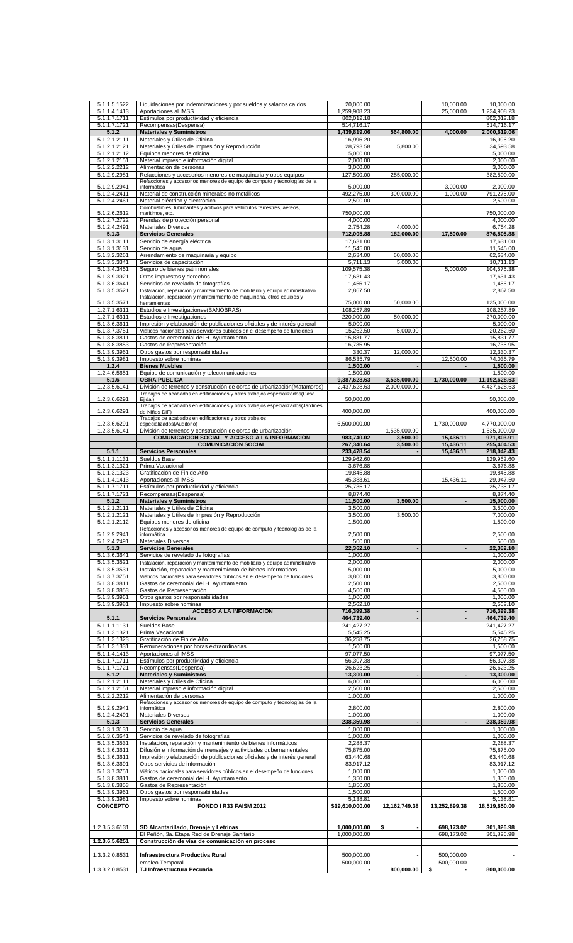| 5.1.1.5.1522<br>5.1.1.4.1413 | Liquidaciones por indemnizaciones y por sueldos y salarios caídos              | 20,000.00              |                          | 10,000.00                | 10,000.00              |
|------------------------------|--------------------------------------------------------------------------------|------------------------|--------------------------|--------------------------|------------------------|
|                              | Aportaciones al IMSS                                                           | 1,259,908.23           |                          | 25,000.00                | 1,234,908.23           |
| 5.1.1.7.1711                 | Estímulos por productividad y eficiencia                                       | 802,012.18             |                          |                          | 802,012.18             |
| 5.1.1.7.1721                 | Recompensas(Despensa)                                                          | 514,716.17             |                          |                          | 514,716.17             |
| 5.1.2                        | <b>Materiales y Suministros</b>                                                | 1,439,819.06           | 564,800.00               | 4,000.00                 | 2,000,619.06           |
| 5.1.2.1.2111                 | Materiales y Útiles de Oficina                                                 | 16,996.20              |                          |                          | 16,996.20              |
| 5.1.2.1.2121                 | Materiales y Útiles de Impresión y Reproducción                                | 28,793.58              | 5,800.00                 |                          | 34,593.58              |
| 5.1.2.1.2112                 | Equipos menores de oficina                                                     | 5,000.00               |                          |                          | 5,000.00               |
|                              |                                                                                | 2.000.00               |                          |                          |                        |
| 5.1.2.1.2151                 | Material impreso e información digital                                         |                        |                          |                          | 2,000.00               |
| 5.1.2.2.2212                 | Alimentación de personas                                                       | 3,000.00               |                          |                          | 3,000.00               |
| 5.1.2.9.2981                 | Refacciones y accesorios menores de maquinaria y otros equipos                 | 127,500.00             | 255,000.00               |                          | 382,500.00             |
|                              | Refacciones y accesorios menores de equipo de computo y tecnologías de la      |                        |                          |                          |                        |
| 5.1.2.9.2941                 | informática                                                                    | 5,000.00               |                          | 3,000.00                 | 2,000.00               |
| 5.1.2.4.2411                 | Material de construcción minerales no metálicos                                | 492,275.00             | 300,000.00               | 1,000.00                 | 791,275.00             |
| 5.1.2.4.2461                 | Material eléctrico y electrónico                                               | 2,500.00               |                          |                          | 2,500.00               |
|                              | Combustibles, lubricantes y aditivos para vehículos terrestres, aéreos,        |                        |                          |                          |                        |
| 5.1.2.6.2612                 | marítimos, etc.                                                                | 750,000.00             |                          |                          | 750,000.00             |
| 5.1.2.7.2722                 | Prendas de protección personal                                                 | 4,000.00               |                          |                          | 4,000.00               |
| 5.1.2.4.2491                 | <b>Materiales Diversos</b>                                                     | 2,754.28               | 4,000.00                 |                          | 6,754.28               |
|                              | <b>Servicios Generales</b>                                                     |                        | 182.000.00               | 17.500.00                | 876,505.88             |
| 5.1.3                        |                                                                                | 712,005.88             |                          |                          |                        |
| 5.1.3.1.3111                 | Servicio de energía eléctrica                                                  | 17,631.00              |                          |                          | 17,631.00              |
| 5.1.3.1.3131                 | Servicio de agua                                                               | 11,545.00              |                          |                          | 11,545.00              |
| 5.1.3.2.3261                 | Arrendamiento de maquinaria y equipo                                           | 2,634.00               | 60,000.00                |                          | 62,634.00              |
| 5.1.3.3.3341                 | Servicios de capacitación                                                      | 5,711.13               | 5,000.00                 |                          | 10,711.13              |
| 5.1.3.4.3451                 | Seguro de bienes patrimoniales                                                 | 109,575.38             |                          | 5,000.00                 | 104,575.38             |
| 5.1.3.9.3921                 | Otros impuestos y derechos                                                     | 17,631.43              |                          |                          | 17,631.43              |
| 5.1.3.6.3641                 | Servicios de revelado de fotografías                                           | 1,456.17               |                          |                          | 1,456.17               |
|                              |                                                                                |                        |                          |                          |                        |
| 5.1.3.5.3521                 | Instalación, reparación y mantenimiento de mobiliario y equipo administrativo  | 2,867.50               |                          |                          | 2,867.50               |
|                              | Instalación, reparación y mantenimiento de maquinaria, otros equipos y         |                        |                          |                          |                        |
| 5.1.3.5.3571                 | herramientas                                                                   | 75,000.00              | 50,000.00                |                          | 125,000.00             |
| 1.2.7.1 6311                 | Estudios e Investigaciones(BANOBRAS)                                           | 108,257.89             |                          |                          | 108,257.89             |
| 1.2.7.1 6311                 | Estudios e Investigaciones                                                     | 220,000.00             | 50,000.00                |                          | 270,000.00             |
| 5.1.3.6.3611                 | Impresión y elaboración de publicaciones oficiales y de interés general        | 5,000.00               |                          |                          | 5,000.00               |
| 5.1.3.7.3751                 | Viáticos nacionales para servidores públicos en el desempeño de funciones      | 15,262.50              | 5,000.00                 |                          | 20,262.50              |
| 5.1.3.8.3811                 | Gastos de ceremonial del H. Ayuntamiento                                       | 15,831.77              |                          |                          | 15,831.77              |
| 5.1.3.8.3853                 | Gastos de Representación                                                       | 16,735.95              |                          |                          | 16,735.95              |
| 5.1.3.9.3961                 | Otros gastos por responsabilidades                                             | 330.37                 | 12,000.00                |                          | 12,330.37              |
|                              |                                                                                |                        |                          |                          |                        |
| 5.1.3.9.3981                 | Impuesto sobre nominas                                                         | 86,535.79              |                          | 12,500.00                | 74,035.79              |
| 1.2.4                        | <b>Bienes Muebles</b>                                                          | 1,500.00               | $\blacksquare$           |                          | 1.500.00               |
| 1.2.4.6.5651                 | Equipo de comunicación y telecomunicaciones                                    | 1,500.00               |                          |                          | 1,500.00               |
| 5.1.6                        | <b>OBRA PUBLICA</b>                                                            | 9,387,628.63           | 3,535,000.00             | 1,730,000.00             | 11,192,628.63          |
| 1.2.3.5.6141                 | División de terrenos y construcción de obras de urbanización(Matamoros)        | 2,437,628.63           | 2,000,000.00             |                          | 4,437,628.63           |
|                              | Trabajos de acabados en edificaciones y otros trabajos especializados(Casa     |                        |                          |                          |                        |
| 1.2.3.6.6291                 | Ejidal)                                                                        | 50,000.00              |                          |                          | 50,000.00              |
|                              | Trabajos de acabados en edificaciones y otros trabajos especializados(Jardines |                        |                          |                          |                        |
| 1.2.3.6.6291                 | de Niños DIF)                                                                  | 400,000.00             |                          |                          | 400,000.00             |
|                              | Trabajos de acabados en edificaciones y otros trabajos                         |                        |                          |                          |                        |
| 1.2.3.6.6291                 | especializados(Auditorio)                                                      | 6,500,000.00           |                          | 1,730,000.00             | 4,770,000.00           |
| 1.2.3.5.6141                 | División de terrenos y construcción de obras de urbanización                   |                        | 1,535,000.00             |                          | 1,535,000.00           |
|                              | COMUNICACIÓN SOCIAL Y ACCESO A LA INFORMACIÓN                                  |                        |                          |                          |                        |
|                              |                                                                                | 983,740.02             | 3,500.00                 | 15,436.11                | 971,803.91             |
|                              | <b>COMUNICACIÓN SOCIAL</b>                                                     | 267,340.64             | 3,500.00                 | 15,436.11                | 255,404.53             |
| 5.1.1                        | <b>Servicios Personales</b>                                                    | 233,478.54             |                          | 15,436.11                | 218,042.43             |
| 5.1.1.1.1131                 | Sueldos Base                                                                   | 129,962.60             |                          |                          | 129,962.60             |
| 5.1.1.3.1321                 | Prima Vacacional                                                               | 3,676.88               |                          |                          | 3,676.88               |
| 5.1.1.3.1323                 | Gratificación de Fin de Año                                                    | 19,845.88              |                          |                          | 19,845.88              |
| 5.1.1.4.1413                 | Aportaciones al IMSS                                                           | 45,383.61              |                          | 15,436.11                | 29,947.50              |
|                              | Estímulos por productividad y eficiencia                                       |                        |                          |                          |                        |
| 5.1.1.7.1711                 |                                                                                | 25,735.17              |                          |                          | 25,735.17              |
| $5.1.1.\overline{7.1721}$    | Recompensas(Despensa)                                                          | 8,874.40               |                          |                          | 8.874.40               |
| 5.1.2                        | <b>Materiales y Suministros</b>                                                | 11,500.00              | 3,500.00                 | $\overline{\phantom{a}}$ | 15,000.00              |
| 5.1.2.1.2111                 | Materiales y Útiles de Oficina                                                 | 3,500.00               |                          |                          | 3,500.00               |
| 5.1.2.1.2121                 | Materiales y Útiles de Impresión y Reproducción                                | 3,500.00               |                          |                          |                        |
|                              |                                                                                |                        |                          |                          |                        |
|                              |                                                                                |                        | 3,500.00                 |                          | 7,000.00               |
| 5.1.2.1.2112                 | Equipos menores de oficina                                                     | 1,500.00               |                          |                          | 1,500.00               |
|                              | Refacciones y accesorios menores de equipo de computo y tecnologías de la      |                        |                          |                          |                        |
| 5.1.2.9.2941                 | informática                                                                    | 2,500.00               |                          |                          | 2,500.00               |
| 5.1.2.4.2491                 | Materiales Diversos                                                            | 500.00                 |                          |                          | 500.00                 |
| 5.1.3                        | <b>Servicios Generales</b>                                                     | 22,362.10              | $\blacksquare$           | $\blacksquare$           | 22,362.10              |
| 5.1.3.6.3641                 | Servicios de revelado de fotografías                                           | 1,000.00               |                          |                          | 1.000.00               |
| 5.1.3.5.3521                 | Instalación, reparación y mantenimiento de mobiliario y equipo administrativo  | 2.000.00               |                          |                          | 2,000.00               |
| 5.1.3.5.3531                 | Instalación, reparación y mantenimiento de bienes informáticos                 | 5,000.00               |                          |                          | 5,000.00               |
| 5.1.3.7.3751                 | Viáticos nacionales para servidores públicos en el desempeño de funciones      | 3,800.00               |                          |                          | 3,800.00               |
|                              |                                                                                |                        |                          |                          |                        |
| 5.1.3.8.3811                 | Gastos de ceremonial del H. Ayuntamiento                                       | 2.500.00               |                          |                          | 2,500.00               |
| 5.1.3.8.3853                 | Gastos de Representación                                                       | 4.500.00               |                          |                          | 4,500.00               |
| 5.1.3.9.3961                 | Otros gastos por responsabilidades                                             | 1.000.00               |                          |                          | 1,000.00               |
| 5.1.3.9.3981                 | Impuesto sobre nominas                                                         | 2,562.10               |                          |                          | 2,562.10               |
|                              | <b>ACCESO A LA INFORMACIÓN</b>                                                 | 716,399.38             |                          | $\overline{\phantom{a}}$ | 716,399.38             |
| 5.1.1                        | <b>Servicios Personales</b>                                                    | 464,739.40             | $\blacksquare$           | $\blacksquare$           | 464,739.40             |
|                              | Sueldos Base                                                                   |                        |                          |                          |                        |
| 5.1.1.1.1131<br>5.1.1.3.1321 | Prima Vacacional                                                               | 241,427.27<br>5,545.25 |                          |                          | 241,427.27<br>5,545.25 |
|                              |                                                                                |                        |                          |                          |                        |
| 5.1.1.3.1323                 | Gratificación de Fin de Año                                                    | 36,258.75              |                          |                          | 36,258.75              |
| 5.1.1.3.1331                 | Remuneraciones por horas extraordinarias                                       | 1,500.00               |                          |                          | 1,500.00               |
| 5.1.1.4.1413                 | Aportaciones al IMSS                                                           | 97,077.50              |                          |                          | 97,077.50              |
| 5.1.1.7.1711                 | Estímulos por productividad y eficiencia                                       | 56,307.38              |                          |                          | 56,307.38              |
| 5.1.1.7.1721                 | Recompensas(Despensa)                                                          | 26,623.25              |                          |                          | 26,623.25              |
| 5.1.2                        | <b>Materiales y Suministros</b>                                                | 13,300.00              | $\overline{\phantom{a}}$ | $\overline{\phantom{a}}$ | 13,300.00              |
| 5.1.2.1.2111                 | Materiales y Útiles de Oficina                                                 | 6,000.00               |                          |                          | 6,000.00               |
|                              |                                                                                | 2,500.00               |                          |                          |                        |
| 5.1.2.1.2151                 | Material impreso e información digital                                         |                        |                          |                          | 2,500.00               |
| 5.1.2.2.2212                 | Alimentación de personas                                                       | 1,000.00               |                          |                          | 1,000.00               |
|                              | Refacciones y accesorios menores de equipo de computo y tecnologías de la      |                        |                          |                          |                        |
| 5.1.2.9.2941                 | informática                                                                    | 2,800.00               |                          |                          | 2,800.00               |
| 5.1.2.4.2491                 | <b>Materiales Diversos</b>                                                     | 1,000.00               |                          |                          | 1,000.00               |
| 5.1.3                        | <b>Servicios Generales</b>                                                     | 238,359.98             |                          | $\overline{\phantom{a}}$ | 238,359.98             |
| 5.1.3.1.3131                 | Servicio de agua                                                               | 1,000.00               |                          |                          | 1,000.00               |
| 5.1.3.6.3641                 | Servicios de revelado de fotografías                                           | 1,000.00               |                          |                          | 1,000.00               |
| 5.1.3.5.3531                 | Instalación, reparación y mantenimiento de bienes informáticos                 | 2,288.37               |                          |                          | 2,288.37               |
|                              |                                                                                |                        |                          |                          |                        |
| 5.1.3.6.3611                 | Difusión e información de mensajes y actividades gubernamentales               | 75,875.00              |                          |                          | 75,875.00              |
| 5.1.3.6.3611                 | Impresión y elaboración de publicaciones oficiales y de interés general        | 63,440.68              |                          |                          | 63,440.68              |
| 5.1.3.6.3691                 | Otros servicios de información                                                 | 83,917.12              |                          |                          | 83,917.12              |
| 5.1.3.7.3751                 | Viáticos nacionales para servidores públicos en el desempeño de funciones      | 1,000.00               |                          |                          | 1,000.00               |
| 5.1.3.8.3811                 | Gastos de ceremonial del H. Ayuntamiento                                       | 1,350.00               |                          |                          | 1,350.00               |
| 5.1.3.8.3853                 | Gastos de Representación                                                       | 1,850.00               |                          |                          | 1,850.00               |
| 5.1.3.9.3961                 |                                                                                | 1,500.00               |                          |                          | 1,500.00               |
|                              | Otros gastos por responsabilidades                                             |                        |                          |                          |                        |
| 5.1.3.9.3981                 | Impuesto sobre nominas                                                         | 5,138.81               |                          |                          | 5,138.81               |
| <b>CONCEPTO</b>              | FONDO I R33 FAISM 2012                                                         | \$19,610,000.00        | 12,162,749.38            | 13,252,899.38            | 18,519,850.00          |
|                              |                                                                                |                        |                          |                          |                        |
|                              |                                                                                |                        |                          |                          |                        |
| 1.2.3.5.3.6131               | SD Alcantarillado, Drenaje y Letrinas                                          | 1,000,000.00           | \$                       | 698,173.02               | 301,826.98             |
|                              | El Peñón, 3a. Etapa Red de Drenaje Sanitario                                   | 1,000,000.00           |                          | 698,173.02               | 301,826.98             |
| 1.2.3.6.5.6251               | Construcción de vías de comunicación en proceso                                |                        |                          |                          |                        |
|                              |                                                                                |                        |                          |                          |                        |
|                              |                                                                                |                        |                          |                          |                        |
| 1.3.3.2.0.8531               | Infraestructura Productiva Rural                                               | 500,000.00             |                          | 500,000.00               |                        |
| 1.3.3.2.0.8531               | empleo Temporal<br>TJ Infraestructura Pecuaria                                 | 500,000.00             | 800,000.00               | 500,000.00<br>\$         | 800,000.00             |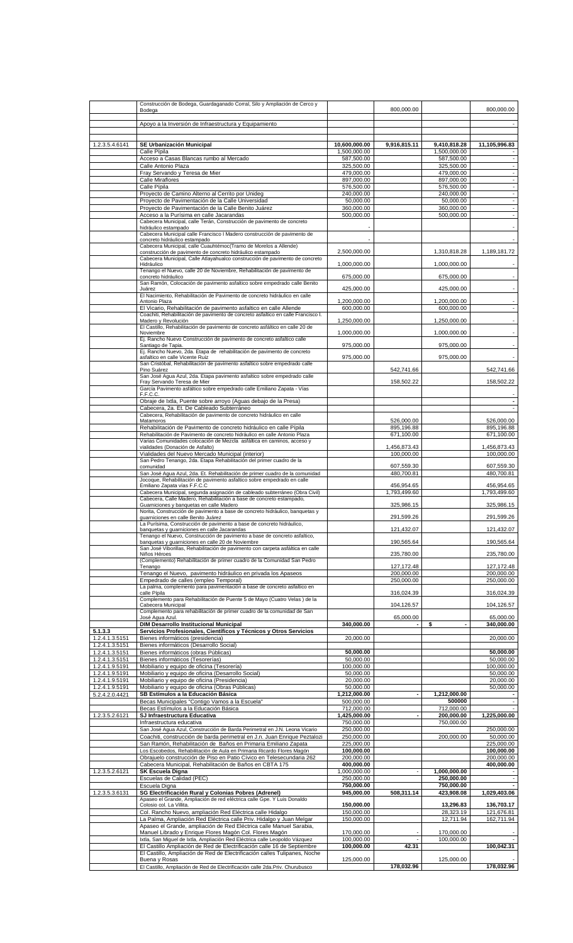|                                  | Construcción de Bodega, Guardaganado Corral, Silo y Ampliación de Cerco y<br>Bodega                                                                    |                               | 800,000.00                 |                              | 800,000.00                                           |
|----------------------------------|--------------------------------------------------------------------------------------------------------------------------------------------------------|-------------------------------|----------------------------|------------------------------|------------------------------------------------------|
|                                  | Apoyo a la Inversión de Infraestructura y Equipamiento                                                                                                 |                               |                            |                              | $\overline{\phantom{a}}$                             |
|                                  |                                                                                                                                                        |                               |                            |                              |                                                      |
| 1.2.3.5.4.6141                   | SE Urbanización Municipal<br>Calle Pípila                                                                                                              | 10,600,000.00<br>1,500,000.00 | 9,916,815.11               | 9,410,818.28<br>1,500,000.00 | 11,105,996.83                                        |
|                                  | Acceso a Casas Blancas rumbo al Mercado                                                                                                                | 587,500.00                    |                            | 587,500.00                   | $\overline{\phantom{a}}$                             |
|                                  | Calle Antonio Plaza                                                                                                                                    | 325,500.00                    |                            | 325,500.00                   | $\overline{\phantom{a}}$                             |
|                                  | Fray Servando y Teresa de Mier<br>Calle Miraflores                                                                                                     | 479,000.00<br>897,000.00      |                            | 479,000.00<br>897,000.00     | $\overline{\phantom{a}}$<br>$\overline{\phantom{a}}$ |
|                                  | Calle Pípila                                                                                                                                           | 576,500.00                    |                            | 576,500.00                   | $\overline{\phantom{a}}$                             |
|                                  | Proyecto de Camino Alterno al Cerrito por Unideg<br>Proyecto de Pavimentación de la Calle Universidad                                                  | 240,000.00<br>50,000.00       |                            | 240,000.00<br>50,000.00      | $\overline{\phantom{a}}$<br>$\overline{\phantom{a}}$ |
|                                  | Proyecto de Pavimentación de la Calle Benito Juárez                                                                                                    | 360,000.00                    |                            | 360,000.00                   | $\overline{\phantom{a}}$                             |
|                                  | Acceso a la Purísima en calle Jacarandas                                                                                                               | 500,000.00                    |                            | 500,000.00                   | $\blacksquare$                                       |
|                                  | Cabecera Municipal, calle Terán, Construcción de pavimento de concreto<br>hidráulico estampado                                                         |                               |                            |                              |                                                      |
|                                  | Cabecera Municipal calle Francisco I Madero construcción de pavimento de<br>concreto hidráulico estampado                                              |                               |                            |                              |                                                      |
|                                  | Cabecera Municipal, calle Cuauhtémoc(Tramo de Morelos a Allende)                                                                                       |                               |                            |                              |                                                      |
|                                  | construcción de pavimento de concreto hidráulico estampado<br>Cabecera Municipal, Calle Atlayahualco construcción de pavimento de concreto             | 2,500,000.00                  |                            | 1,310,818.28                 | 1,189,181.72                                         |
|                                  | Hidráulico                                                                                                                                             | 1,000,000.00                  |                            | 1,000,000.00                 |                                                      |
|                                  | Tenango el Nuevo, calle 20 de Noviembre, Rehabilitación de pavimento de<br>concreto hidráulico                                                         | 675,000.00                    |                            | 675,000.00                   |                                                      |
|                                  | San Ramón, Colocación de pavimento asfaltico sobre empedrado calle Benito<br>Juárez                                                                    | 425,000.00                    |                            | 425,000.00                   | $\overline{\phantom{a}}$                             |
|                                  | El Nacimiento, Rehabilitación de Pavimento de concreto hidráulico en calle                                                                             |                               |                            |                              |                                                      |
|                                  | Antonio Plaza<br>El Vicario, Rehabilitación de pavimento asfaltico en calle Allende                                                                    | 1.200.000.00<br>600,000.00    |                            | 1,200,000.00<br>600,000.00   | $\blacksquare$<br>$\overline{\phantom{a}}$           |
|                                  | Coachiti, Rehabilitación de pavimento de concreto asfaltico en calle Francisco I.                                                                      |                               |                            |                              |                                                      |
|                                  | Madero y Revolución<br>El Castillo, Rehabilitación de pavimento de concreto asfáltico en calle 20 de                                                   | 1,250,000.00                  |                            | 1,250,000.00                 | $\overline{\phantom{a}}$                             |
|                                  | Noviembre                                                                                                                                              | 1,000,000.00                  |                            | 1,000,000.00                 | $\overline{\phantom{a}}$                             |
|                                  | Ej. Rancho Nuevo Construcción de pavimento de concreto asfaltico calle<br>Santiago de Tapia.                                                           | 975,000.00                    |                            | 975,000.00                   | $\overline{\phantom{a}}$                             |
|                                  | Ej. Rancho Nuevo, 2da. Etapa de rehabilitación de pavimento de concreto<br>asfaltico en calle Vicente Ruiz                                             | 975,000.00                    |                            | 975,000.00                   |                                                      |
|                                  | San Cristóbal, Rehabilitación de pavimento asfaltico sobre empedrado calle                                                                             |                               |                            |                              |                                                      |
|                                  | Pino Suárez<br>San José Agua Azul, 2da. Etapa pavimento asfaltico sobre empedrado calle                                                                |                               | 542,741.66                 |                              | 542,741.66                                           |
|                                  | Fray Servando Teresa de Mier                                                                                                                           |                               | 158,502.22                 |                              | 158,502.22                                           |
|                                  | García Pavimento asfáltico sobre empedrado calle Emiliano Zapata - Vías<br>F.F.C.C.                                                                    |                               |                            |                              |                                                      |
|                                  | Obraje de Ixtla, Puente sobre arroyo (Aguas debajo de la Presa)                                                                                        |                               |                            |                              | $\overline{\phantom{a}}$                             |
|                                  | Cabecera, 2a. Et. De Cableado Subterráneo<br>Cabecera, Rehabilitación de pavimento de concreto hidráulico en calle                                     |                               |                            |                              |                                                      |
|                                  | Matamoros                                                                                                                                              |                               | 526,000.00                 |                              | 526,000.00                                           |
|                                  | Rehabilitación de Pavimento de concreto hidráulico en calle Pípila<br>Rehabilitación de Pavimento de concreto hidráulico en calle Antonio Plaza        |                               | 895,196.88<br>671,100.00   |                              | 895,196.88<br>671,100.00                             |
|                                  | Varias Comunidades colocación de Mezcla asfáltica en caminos, acceso y<br>vialidades (Donación de Asfalto)                                             |                               | 1,456,873.43               |                              | 1,456,873.43                                         |
|                                  | Vialidades del Nuevo Mercado Municipal (interior)                                                                                                      |                               | 100,000.00                 |                              | 100,000.00                                           |
|                                  | San Pedro Tenango, 2da. Etapa Rehabilitación del primer cuadro de la<br>comunidad                                                                      |                               | 607,559.30                 |                              | 607,559.30                                           |
|                                  | San José Agua Azul, 2da. Et. Rehabilitación de primer cuadro de la comunidad                                                                           |                               | 480,700.81                 |                              | 480,700.81                                           |
|                                  | Jocoque, Rehabilitación de pavimento asfaltico sobre empedrado en calle<br>Emiliano Zapata vías F.F.C.C                                                |                               | 456,954.65                 |                              | 456,954.65                                           |
|                                  | Cabecera Municipal, segunda asignación de cableado subterráneo (Obra Civil)                                                                            |                               | 1,793,499.60               |                              | 1,793,499.60                                         |
|                                  | Cabecera, Calle Madero, Rehabilitación a base de concreto estampado,<br>Guarniciones y banquetas en calle Madero                                       |                               | 325,986.15                 |                              | 325,986.15                                           |
|                                  | Norita, Construcción de pavimento a base de concreto hidráulico, banquetas y                                                                           |                               |                            |                              |                                                      |
|                                  | quarniciones en calle Benito Juárez<br>La Purísima, Construcción de pavimento a base de concreto hidráulico,                                           |                               | 291.599.26                 |                              | 291.599.26                                           |
|                                  | banquetas y guarniciones en calle Jacarandas                                                                                                           |                               | 121,432.07                 |                              | 121,432.07                                           |
|                                  | Tenango el Nuevo, Construcción de pavimento a base de concreto asfaltico,<br>banquetas y quarniciones en calle 20 de Noviembre                         |                               | 190,565.64                 |                              | 190,565.64                                           |
|                                  | San José Viborillas, Rehabilitación de pavimento con carpeta asfáltica en calle<br>Niños Héroes                                                        |                               | 235,780.00                 |                              | 235,780.00                                           |
|                                  | (Complemento) Rehabilitación de primer cuadro de la Comunidad San Pedro                                                                                |                               |                            |                              |                                                      |
|                                  | Tenango<br>Tenango el Nuevo, pavimento hidráulico en privada los Apaseos                                                                               |                               | 127, 172. 48<br>200,000.00 |                              | 127,172.48<br>200,000.00                             |
|                                  | Empedrado de calles (empleo Temporal)                                                                                                                  |                               | 250,000.00                 |                              | 250,000.00                                           |
|                                  | La palma, complemento para pavimentación a base de concreto asfaltico en<br>calle Pípila                                                               |                               | 316,024.39                 |                              | 316,024.39                                           |
|                                  | Complemento para Rehabilitación de Puente 5 de Mayo (Cuatro Velas) de la                                                                               |                               |                            |                              |                                                      |
|                                  | Cabecera Municipal<br>Complemento para rehabilitación de primer cuadro de la comunidad de San                                                          |                               | 104,126.57                 |                              | 104,126.57                                           |
|                                  | José Agua Azul.                                                                                                                                        | 340.000.00                    | 65,000.00                  | ÷,                           | 65,000.00                                            |
| 5.1.3.3                          | <b>DIM Desarrollo Institucional Municipal</b><br>Servicios Profesionales, Científicos y Técnicos y Otros Servicios                                     |                               |                            | \$                           | 340,000.00                                           |
| 1.2.4.1.3.5151                   | Bienes informáticos (presidencia)                                                                                                                      | 20,000.00                     |                            |                              | 20,000.00                                            |
| 1.2.4.1.3.5151                   | Bienes informáticos (Desarrollo Social)                                                                                                                | 50,000.00                     |                            |                              | 50,000.00                                            |
| 1.2.4.1.3.5151<br>1.2.4.1.3.5151 | Bienes informáticos (obras Públicas)<br>Bienes informáticos (Tesorerías)                                                                               | 50,000.00                     |                            |                              | 50,000.00                                            |
| 1.2.4.1.9.5191                   | Mobiliario y equipo de oficina (Tesorería)                                                                                                             | 100,000.00                    |                            |                              | 100,000.00                                           |
| 1.2.4.1.9.5191<br>1.2.4.1.9.5191 | Mobiliario y equipo de oficina (Desarrollo Social)<br>Mobiliario y equipo de oficina (Presidencia)                                                     | 50,000.00<br>20,000.00        |                            |                              | 50,000.00<br>20,000.00                               |
| 1.2.4.1.9.5191                   | Mobiliario y equipo de oficina (Obras Públicas)                                                                                                        | 50,000.00                     |                            |                              | 50,000.00                                            |
| 5.2.4.2.0.4421                   | SB Estímulos a la Educación Básica<br>Becas Municipales "Contigo Vamos a la Escuela"                                                                   | 1,212,000.00<br>500,000.00    | $\blacksquare$             | 1,212,000.00<br>500000       | $\overline{\phantom{a}}$                             |
|                                  | Becas Estímulos a la Educación Básica                                                                                                                  | 712,000.00                    |                            | 712,000.00                   |                                                      |
| 1.2.3.5.2.6121                   | SJ Infraestructura Educativa                                                                                                                           | 1,425,000.00                  |                            | 200,000.00                   | 1,225,000.00                                         |
|                                  | Infraestructura educativa<br>San José Agua Azul, Construcción de Barda Perimetral en J.N. Leona Vicario                                                | 750,000.00<br>250,000.00      |                            | 750,000.00                   | 250,000.00                                           |
|                                  | Coachiti, construcción de barda perimetral en J.n. Juan Enrique Peztalozi                                                                              | 250,000.00                    |                            | 200,000.00                   | 50,000.00                                            |
|                                  | San Ramón, Rehabilitación de Baños en Primaria Emiliano Zapata<br>Los Escobedos, Rehabilitación de Aula en Primaria Ricardo Flores Magón               | 225,000.00<br>100,000.00      |                            |                              | 225,000.00<br>100,000.00                             |
|                                  | Obrajuelo construcción de Piso en Patio Cívico en Telesecundaria 262                                                                                   | 200,000.00                    |                            |                              | 200,000.00                                           |
|                                  | Cabecera Municipal, Rehabilitación de Baños en CBTA 175                                                                                                | 400,000.00                    |                            |                              | 400,000.00                                           |
| 1.2.3.5.2.6121                   | <b>SK Escuela Digna</b><br>Escuelas de Calidad (PEC)                                                                                                   | 1,000,000.00<br>250,000.00    |                            | 1,000,000.00<br>250,000.00   | $\blacksquare$                                       |
|                                  | Escuela Digna                                                                                                                                          | 750,000.00                    |                            | 750,000.00                   |                                                      |
| 1.2.3.5.3.6131                   | SG Electrificación Rural y Colonias Pobres (Adrenel)<br>Apaseo el Grande, Ampliación de red eléctrica calle Gpe. Y Luis Donaldo                        | 945,000.00                    | 508,311.14                 | 423,908.08                   | 1,029,403.06                                         |
|                                  | Colosio col. La Villita.                                                                                                                               | 150,000.00                    |                            | 13,296.83                    | 136,703.17                                           |
|                                  | Col. Rancho Nuevo, ampliación Red Eléctrica calle Hidalgo<br>La Palma, Ampliación Red Eléctrica calle Priv. Hidalgo y Juan Melgar                      | 150,000.00<br>150,000.00      |                            | 28,323.19<br>12,711.94       | 121,676.81<br>162,711.94                             |
|                                  | Apaseo el Grande, ampliación de Red Eléctrica calle Manuel Sarabia,                                                                                    |                               |                            |                              |                                                      |
|                                  | Manuel Librado y Enrique Flores Magón Col. Flores Magón                                                                                                | 170,000.00<br>100,000.00      |                            | 170,000.00<br>100,000.00     |                                                      |
|                                  | Ixtla, San Miguel de Ixtla, Ampliación Red Eléctrica calle Leopoldo Vázquez<br>El Castillo Ampliación de Red de Electrificación calle 16 de Septiembre | 100.000.00                    | 42.31                      |                              | 100,042.31                                           |
|                                  | El Castillo, Ampliación de Red de Electrificación calles Tulipanes, Noche                                                                              |                               |                            |                              |                                                      |
|                                  | Buena v Rosas<br>El Castillo, Ampliación de Red de Electrificación calle 2da.Priv. Churubusco                                                          | 125,000.00                    | 178,032.96                 | 125,000.00                   | 178,032.96                                           |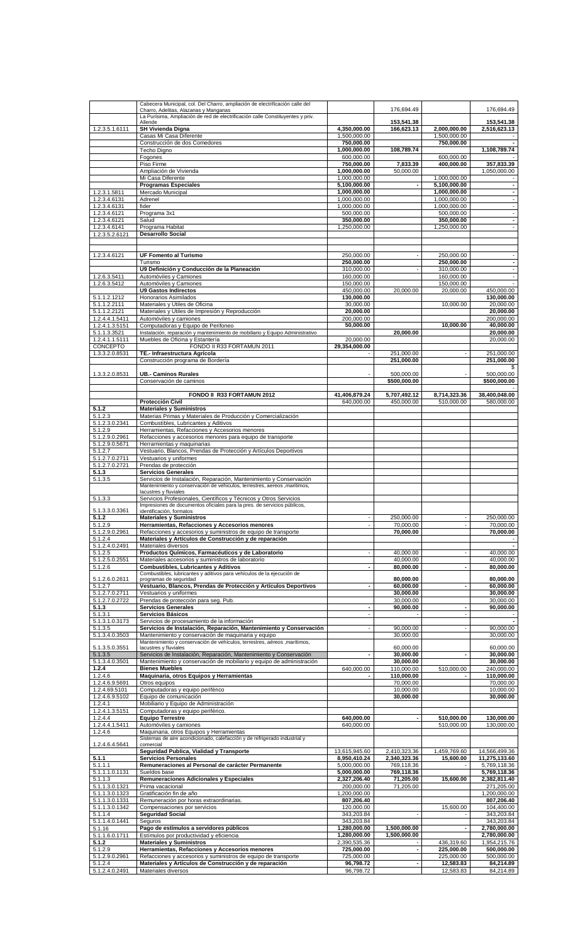|                                        | Cabecera Municipal, col. Del Charro, ampliación de electrificación calle del                                              |                               |                              |                              |                                            |
|----------------------------------------|---------------------------------------------------------------------------------------------------------------------------|-------------------------------|------------------------------|------------------------------|--------------------------------------------|
|                                        | Charro, Adelitas, Alazanas y Manganas<br>La Purísima, Ampliación de red de electrificación calle Constituyentes y priv.   |                               | 176,694.49                   |                              | 176,694.49                                 |
|                                        | Allende                                                                                                                   |                               | 153,541.38                   |                              | 153,541.38                                 |
| 1.2.3.5.1.6111                         | <b>SH Vivienda Digna</b><br>Casas Mi Casa Diferente                                                                       | 4,350,000.00<br>1,500,000.00  | 166,623.13                   | 2,000,000.00<br>1,500,000.00 | 2,516,623.13                               |
|                                        | Construcción de dos Comedores                                                                                             | 750,000.00                    |                              | 750,000.00                   |                                            |
|                                        | Techo Digno                                                                                                               | 1,000,000.00                  | 108,789.74                   |                              | 1,108,789.74                               |
|                                        | Fogones                                                                                                                   | 600,000.00                    |                              | 600,000.00                   |                                            |
|                                        | Piso Firme<br>Ampliación de Vivienda                                                                                      | 750,000.00<br>1,000,000.00    | 7,833.39<br>50,000.00        | 400,000.00                   | 357,833.39<br>1,050,000.00                 |
|                                        | Mi Casa Diferente                                                                                                         | 1,000,000.00                  |                              | 1,000,000.00                 |                                            |
|                                        | <b>Programas Especiales</b>                                                                                               | 5,100,000.00                  |                              | 5,100,000.00                 | $\blacksquare$                             |
| 1.2.3.1.5811                           | Mercado Municipal                                                                                                         | 1,000,000.00                  |                              | 1,000,000.00                 | $\overline{\phantom{a}}$                   |
| 1.2.3.4.6131<br>1.2.3.4.6131           | Adrenel<br>fider                                                                                                          | 1,000,000.00<br>1,000,000.00  |                              | 1,000,000.00<br>1,000,000.00 | $\blacksquare$                             |
| 1.2.3.4.6121                           | Programa 3x1                                                                                                              | 500,000.00                    |                              | 500,000.00                   | $\overline{\phantom{a}}$<br>$\blacksquare$ |
| 1.2.3.4.6121                           | Salud                                                                                                                     | 350,000.00                    |                              | 350,000.00                   | $\blacksquare$                             |
| 1.2.3.4.6141                           | Programa Habitat                                                                                                          | 1,250,000.00                  |                              | 1,250,000.00                 |                                            |
| 1.2.3.5.2.6121                         | <b>Desarrollo Social</b>                                                                                                  |                               |                              |                              |                                            |
|                                        |                                                                                                                           |                               |                              |                              |                                            |
| 1.2.3.4.6121                           | <b>UF Fomento al Turismo</b>                                                                                              | 250,000.00                    |                              | 250,000.00                   |                                            |
|                                        | Turismo                                                                                                                   | 250,000.00                    |                              | 250,000.00                   | $\overline{\phantom{a}}$                   |
|                                        | U9 Definición y Conducción de la Planeación                                                                               | 310,000.00                    |                              | 310,000.00                   |                                            |
| 1.2.6.3.5411<br>1.2.6.3.5412           | Automóviles y Camiones<br>Automóviles y Camiones                                                                          | 160,000.00<br>150,000.00      |                              | 160,000.00<br>150,000.00     | $\overline{\phantom{a}}$                   |
|                                        | <b>U9 Gastos Indirectos</b>                                                                                               | 450,000.00                    | 20,000.00                    | 20,000.00                    | 450,000.00                                 |
| 5.1.1.2.1212                           | Honorarios Asimilados                                                                                                     | 130,000.00                    |                              |                              | 130,000.00                                 |
| 5.1.1.2.2111                           | Materiales y Útiles de Oficina                                                                                            | 30,000.00                     |                              | 10,000.00                    | 20,000.00                                  |
| 5.1.1.2.2121                           | Materiales y Útiles de Impresión y Reproducción                                                                           | 20,000.00<br>200,000.00       |                              |                              | 20,000.00<br>200,000.00                    |
| 1.2.4.4.1.5411<br>1.2.4.1.3.5151       | Automóviles y camiones<br>Computadoras y Equipo de Perifoneo                                                              | 50,000.00                     |                              | 10,000.00                    | 40,000.00                                  |
| 5.1.1.3.3521                           | Instalación, reparación y mantenimiento de mobiliario y Equipo Administrativo                                             |                               | 20,000.00                    |                              | 20,000.00                                  |
| 1.2.4.1.1.5111                         | Muebles de Oficina y Estantería                                                                                           | 20,000.00                     |                              |                              | 20,000.00                                  |
| CONCEPTO                               | FONDO II R33 FORTAMUN 2011                                                                                                | 29,354,000.00                 |                              |                              |                                            |
| 1.3.3.2.0.8531                         | TE .- Infraestructura Agrícola<br>Construcción programa de Bordería                                                       |                               | 251,000.00<br>251,000.00     |                              | 251,000.00<br>251,000.00                   |
|                                        |                                                                                                                           |                               |                              |                              |                                            |
| 1.3.3.2.0.8531                         | <b>UB.- Caminos Rurales</b>                                                                                               |                               | 500,000.00                   |                              | 500,000.00                                 |
|                                        | Conservación de caminos                                                                                                   |                               | \$500,000.00                 |                              | \$500,000.00                               |
|                                        | FONDO II R33 FORTAMUN 2012                                                                                                | 41,406,879.24                 | 5,707,492.12                 | 8,714,323.36                 | 38,400,048.00                              |
|                                        | <b>Protección Civil</b>                                                                                                   | 640,000.00                    | 450,000.00                   | 510,000.00                   | 580,000.00                                 |
| 5.1.2                                  | <b>Materiales y Suministros</b>                                                                                           |                               |                              |                              |                                            |
| 5.1.2.3                                | Materias Primas y Materiales de Producción y Comercialización                                                             |                               |                              |                              |                                            |
| 5.1.2.3.0.2341                         | Combustibles, Lubricantes y Aditivos                                                                                      |                               |                              |                              |                                            |
| 5.1.2.9<br>5.1.2.9.0.2961              | Herramientas, Refacciones y Accesorios menores<br>Refacciones y accesorios menores para equipo de transporte              |                               |                              |                              |                                            |
| 5.1.2.9.0.5671                         | Herramientas y maquinarias                                                                                                |                               |                              |                              |                                            |
| 5.1.2.7                                | Vestuario, Blancos, Prendas de Protección y Artículos Deportivos                                                          |                               |                              |                              |                                            |
| 5.1.2.7.0.2711                         | Vestuarios y uniformes                                                                                                    |                               |                              |                              |                                            |
| 5.1.2.7.0.2721<br>5.1.3                | Prendas de protección<br><b>Servicios Generales</b>                                                                       |                               |                              |                              |                                            |
| 5.1.3.5                                | Servicios de Instalación, Reparación, Mantenimiento y Conservación                                                        |                               |                              |                              |                                            |
|                                        | Mantenimiento y conservación de vehiculos, terrestres, aereos , maritimos,                                                |                               |                              |                              |                                            |
|                                        | lacustres y fluviales<br>Servicios Profesionales, Científicos y Técnicos y Otros Servicios                                |                               |                              |                              |                                            |
| 5.1.3.3                                | Impresiones de documentos oficiales para la pres. de servicios públicos,                                                  |                               |                              |                              |                                            |
| 5.1.3.3.0.3361                         | identificación, formatos                                                                                                  |                               |                              |                              |                                            |
| 5.1.2                                  | <b>Materiales v Suministros</b>                                                                                           |                               | 250,000.00                   |                              | 250,000.00                                 |
| 5.1.2.9<br>5.1.2.9.0.2961              | Herramientas, Refacciones y Accesorios menores<br>Refacciones y accesorios y suministros de equipo de transporte          |                               | 70,000.00<br>70.000.00       |                              | 70,000.00<br>70,000.00                     |
| 5.1.2.4                                | Materiales y Artículos de Construcción y de reparación                                                                    |                               |                              |                              |                                            |
| 5.1.2.4.0.2491                         | Materiales diversos                                                                                                       |                               |                              |                              | $\sim$                                     |
| 5.1.2.5                                | Productos Químicos, Farmacéuticos y de Laboratorio                                                                        |                               | 40.000.00                    |                              | 40,000.00                                  |
| 5.1.2.5.0.2551<br>5.1.2.6              | Materiales accesorios y suministros de laboratorio<br><b>Combustibles, Lubricantes y Aditivos</b>                         | $\blacksquare$                | 40,000.00<br>80,000.00       | $\blacksquare$               | 40,000.00<br>80,000.00                     |
|                                        | Combustibles, lubricantes y aditivos para vehículos de la ejecución de                                                    |                               |                              |                              |                                            |
| 5.1.2.6.0.2611                         | programas de seguridad                                                                                                    |                               | 80,000.00                    |                              | 80,000.00                                  |
| 5.1.2.7<br>5.1.2.7.0.2711              | Vestuario, Blancos, Prendas de Protección y Artículos Deportivos                                                          | $\blacksquare$                | 60,000.00<br>30,000.00       | ä,                           | 60,000.00<br>30,000.00                     |
| 5.1.2.7.0.2722                         | Vestuarios y uniformes<br>Prendas de protección para seg. Pub.                                                            |                               | 30,000.00                    |                              | 30,000.00                                  |
| 5.1.3                                  | <b>Servicios Generales</b>                                                                                                | $\blacksquare$                | 90,000.00                    | $\blacksquare$               | 90,000.00                                  |
| $5.1.3.\overline{1}$                   | Servicios Básicos                                                                                                         | $\overline{\phantom{a}}$      |                              | $\overline{a}$               |                                            |
| 5.1.3.1.0.3173                         | Servicios de procesamiento de la información                                                                              |                               |                              | $\overline{a}$               | $\overline{\phantom{a}}$                   |
| 5.1.3.5<br>5.1.3.4.0.3503              | Servicios de Instalación, Reparación, Mantenimiento y Conservación<br>Mantenimiento y conservación de maquinaria y equipo |                               | 90,000.00<br>30,000.00       |                              | 90,000.00<br>30,000.00                     |
|                                        | Mantenimiento y conservación de vehículos, terrestres, aéreos , marítimos,                                                |                               |                              |                              |                                            |
| 5.1.3.5.0.3551                         | lacustres y fluviales<br>Servicios de Instalación, Reparación, Mantenimiento y Conservación                               |                               | 60,000.00<br>30,000.00       |                              | 60,000.00<br>30,000.00                     |
| 5.1.3.5<br>5.1.3.4.0.3501              | Mantenimiento y conservación de mobiliario y equipo de administración                                                     |                               | 30,000.00                    |                              | 30,000.00                                  |
| 1.2.4                                  | <b>Bienes Muebles</b>                                                                                                     | 640,000.00                    | 110,000.00                   | 510,000.00                   | 240,000.00                                 |
| 1.2.4.6                                | Maquinaria, otros Equipos y Herramientas                                                                                  |                               | 110,000.00                   |                              | 110,000.00                                 |
| 1.2.4.6.9.5691                         | Otros equipos                                                                                                             |                               | 70,000.00                    |                              | 70,000.00                                  |
| 1.2.4.69.5101<br>1.2.4.6.9.5102        | Computadoras y equipo periférico<br>Equipo de comunicación                                                                |                               | 10,000.00<br>30,000.00       |                              | 10,000.00<br>30,000.00                     |
| 1.2.4.1                                | Mobiliario y Equipo de Administración                                                                                     |                               |                              |                              |                                            |
| 1.2.4.1.3.5151                         | Computadoras y equipo periférico.                                                                                         |                               |                              |                              |                                            |
| 1.2.4.4                                | <b>Equipo Terrestre</b>                                                                                                   | 640,000.00                    |                              | 510,000.00                   | 130,000.00                                 |
| 1.2.4.4.1.5411<br>1.2.4.6              | Automóviles y camiones<br>Maquinaria, otros Equipos y Herramientas                                                        | 640,000.00                    |                              | 510,000.00                   | 130,000.00                                 |
|                                        | Sistemas de aire acondicionado, calefacción y de refrigerado industrial y                                                 |                               |                              |                              |                                            |
| 1.2.4.6.4.5641                         | comercial                                                                                                                 |                               |                              |                              |                                            |
| 5.1.1                                  | Seguridad Publica, Vialidad y Transporte<br><b>Servicios Personales</b>                                                   | 13,615,945.60<br>8,950,410.24 | 2,410,323.36<br>2,340,323.36 | 1,459,769.60<br>15,600.00    | 14,566,499.36<br>11,275,133.60             |
| 5.1.1.1                                | Remuneraciones al Personal de carácter Permanente                                                                         | 5,000,000.00                  | 769,118.36                   |                              | 5,769,118.36                               |
| $5.1.\overline{1.1.0.1131}$            | Sueldos base                                                                                                              | 5,000,000.00                  | 769,118.36                   |                              | 5,769,118.36                               |
| 5.1.1.3                                | Remuneraciones Adicionales y Especiales                                                                                   | 2,327,206.40                  | 71,205.00                    | 15,600.00                    | 2,382,811.40                               |
| 5.1.1.3.0.1321<br>5.1.1.3.0.1323       | Prima vacacional<br>Gratificación fin de año                                                                              | 200,000.00<br>1,200,000.00    | 71,205.00                    |                              | 271,205.00<br>1,200,000.00                 |
| 5.1.1.3.0.1331                         | Remuneración por horas extraordinarias.                                                                                   | 807,206.40                    |                              |                              | 807,206.40                                 |
| 5.1.1.3.0.1342                         | Compensaciones por servicios                                                                                              | 120,000.00                    |                              | 15,600.00                    | 104,400.00                                 |
| 5.1.1.4                                | <b>Seguridad Social</b>                                                                                                   | 343,203.84                    |                              |                              | 343,203.84                                 |
| 5.1.1.4.0.1441<br>5.1.16               | Seguros<br>Pago de estímulos a servidores públicos                                                                        | 343,203.84<br>1,280,000.00    | 1,500,000.00                 |                              | 343,203.84<br>2.780.000.00                 |
| 5.1.1.6.0.1711                         | Estímulos por productividad y eficiencia                                                                                  | 1,280,000.00                  | 1,500,000.00                 |                              | 2,780,000.00                               |
| 5.1.2                                  | <b>Materiales y Suministros</b>                                                                                           | 2,390,535.36                  |                              | 436,319.60                   | 1,954,215.76                               |
| 5.1.2.9                                | Herramientas, Refacciones y Accesorios menores                                                                            | 725,000.00                    | $\blacksquare$               | 225,000.00                   | 500,000.00                                 |
| 5.1.2.9.0.2961                         | Refacciones y accesorios y suministros de equipo de transporte                                                            | 725,000.00                    |                              | 225,000.00                   | 500,000.00                                 |
| $5.1.\overline{2.4}$<br>5.1.2.4.0.2491 | Materiales y Artículos de Construcción y de reparación<br>Materiales diversos                                             | 96,798.72<br>96,798.72        |                              | 12,583.83<br>12,583.83       | 84,214.89<br>84,214.89                     |
|                                        |                                                                                                                           |                               |                              |                              |                                            |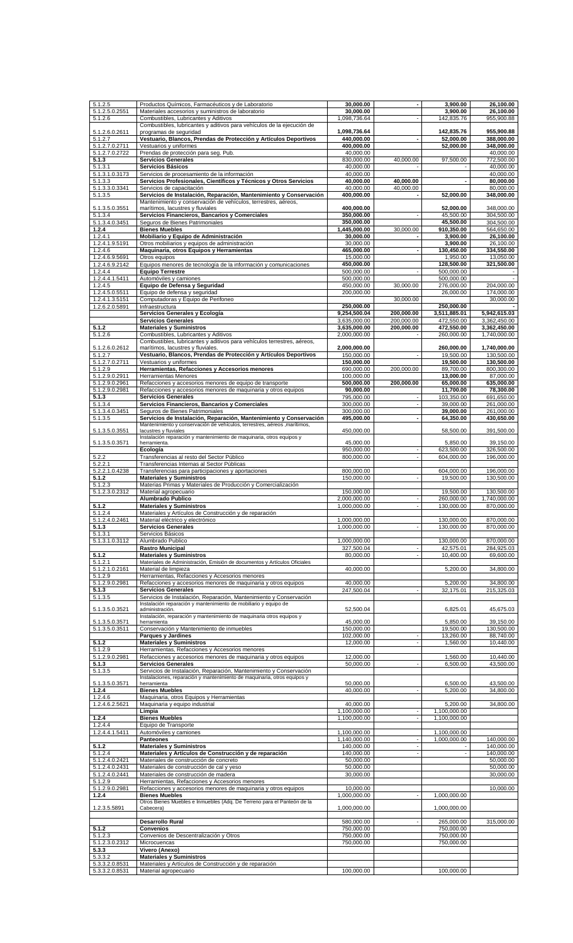| 5.1.2.5                          | Productos Químicos, Farmacéuticos y de Laboratorio                                                                         | 30,000.00                  |                                    | 3,900.00                 | 26,100.00                  |
|----------------------------------|----------------------------------------------------------------------------------------------------------------------------|----------------------------|------------------------------------|--------------------------|----------------------------|
| 5.1.2.5.0.2551                   | Materiales accesorios y suministros de laboratorio                                                                         | 30,000.00                  |                                    | 3,900.00                 | 26,100.00                  |
| 5.1.2.6                          | Combustibles, Lubricantes y Aditivos                                                                                       | 1,098,736.64               | $\overline{\phantom{a}}$           | 142,835.76               | 955,900.88                 |
|                                  | Combustibles, lubricantes y aditivos para vehículos de la ejecución de                                                     |                            |                                    |                          |                            |
| 5.1.2.6.0.2611                   | programas de seguridad                                                                                                     | 1,098,736.64               |                                    | 142,835.76               | 955,900.88                 |
| 5.1.2.7                          | Vestuario, Blancos, Prendas de Protección y Artículos Deportivos                                                           | 440,000.00                 | ä,                                 | 52,000.00                | 388,000.00                 |
| 5.1.2.7.0.2711                   | Vestuarios y uniformes                                                                                                     | 400,000.00                 |                                    | 52,000.00                | 348,000.00                 |
| 5.1.2.7.0.2722                   | Prendas de protección para seg. Pub.                                                                                       | 40,000.00                  |                                    |                          | 40,000.00                  |
| 5.1.3                            | <b>Servicios Generales</b>                                                                                                 | 830,000.00                 | 40.000.00                          | 97,500.00                | 772,500.00                 |
| 5.1.3.1                          | Servicios Básicos                                                                                                          | 40.000.00<br>40,000.00     |                                    |                          | 40,000.00<br>40,000.00     |
| 5.1.3.1.0.3173<br>5.1.3.3        | Servicios de procesamiento de la información<br>Servicios Profesionales, Científicos y Técnicos y Otros Servicios          | 40,000.00                  | 40,000.00                          | $\overline{\phantom{a}}$ | 80,000.00                  |
| 5.1.3.3.0.3341                   | Servicios de capacitación                                                                                                  | 40,000.00                  | 40,000.00                          |                          | 80,000.00                  |
| 5.1.3.5                          | Servicios de Instalación, Reparación, Mantenimiento y Conservación                                                         | 400,000.00                 |                                    | 52,000.00                | 348,000.00                 |
|                                  | Mantenimiento y conservación de vehículos, terrestres, aéreos,                                                             |                            |                                    |                          |                            |
| 5.1.3.5.0.3551                   | marítimos, lacustres y fluviales                                                                                           | 400,000.00                 |                                    | 52,000.00                | 348,000.00                 |
| 5.1.3.4                          | Servicios Financieros, Bancarios y Comerciales                                                                             | 350,000.00                 |                                    | 45,500.00                | 304,500.00                 |
| 5.1.3.4.0.3451                   | Seguros de Bienes Patrimoniales                                                                                            | 350,000.00                 |                                    | 45,500.00                | 304,500.00                 |
| 1.2.4                            | <b>Bienes Muebles</b>                                                                                                      | 1,445,000.00               | 30,000.00                          | 910,350.00               | 564,650.00                 |
| 1.2.4.1<br>1.2.4.1.9.5191        | Mobiliario y Equipo de Administración<br>Otros mobiliarios y equipos de administración                                     | 30,000.00<br>30,000.00     | $\blacksquare$                     | 3,900.00<br>3,900.00     | 26,100.00<br>26,100.00     |
| 1.2.4.6                          | Maquinaria, otros Equipos y Herramientas                                                                                   | 465,000.00                 |                                    | 130,450.00               | 334,550.00                 |
| 1.2.4.6.9.5691                   | Otros equipos                                                                                                              | 15,000.00                  |                                    | 1,950.00                 | 13,050.00                  |
| 1.2.4.6.9.2142                   | Equipos menores de tecnología de la información y comunicaciones                                                           | 450,000.00                 |                                    | 128,500.00               | 321,500.00                 |
| 1.2.4.4                          | <b>Equipo Terrestre</b>                                                                                                    | 500,000.00                 |                                    | 500,000.00               |                            |
| 1.2.4.4.1.5411                   | Automóviles y camiones                                                                                                     | 500,000.00                 |                                    | 500,000.00               |                            |
| 1.2.4.5                          | Equipo de Defensa y Seguridad                                                                                              | 450,000.00                 | 30,000.00                          | 276,000.00               | 204,000.00                 |
| 1.2.4.5.0.5511                   | Equipo de defensa y sequridad                                                                                              | 200,000.00                 |                                    | 26,000.00                | 174,000.00                 |
| 1.2.4.1.3.5151<br>1.2.6.2.0.5891 | Computadoras y Equipo de Perifoneo<br>Infraestructura                                                                      | 250,000.00                 | 30,000.00                          | 250,000.00               | 30,000.00                  |
|                                  | Servicios Generales y Ecología                                                                                             | 9,254,500.04               | 200,000.00                         | 3,511,885.01             | 5,942,615.03               |
|                                  | <b>Servicios Generales</b>                                                                                                 | 3,635,000.00               | 200,000.00                         | 472,550.00               | 3,362,450.00               |
| 5.1.2                            | <b>Materiales y Suministros</b>                                                                                            | 3,635,000.00               | 200,000.00                         | 472,550.00               | 3,362,450.00               |
| 5.1.2.6                          | Combustibles, Lubricantes y Aditivos                                                                                       | 2,000,000.00               |                                    | 260,000.00               | 1,740,000.00               |
|                                  | Combustibles, lubricantes y aditivos para vehículos terrestres, aéreos,                                                    |                            |                                    |                          |                            |
| 5.1.2.6.0.2612                   | marítimos, lacustres y fluviales.                                                                                          | 2,000,000.00               |                                    | 260,000.00               | 1.740.000.00               |
| 5.1.2.7                          | Vestuario, Blancos, Prendas de Protección y Artículos Deportivos                                                           | 150,000.00                 | $\sim$                             | 19,500.00                | 130,500.00                 |
| 5.1.2.7.0.2711                   | Vestuarios y uniformes                                                                                                     | 150,000.00                 |                                    | 19,500.00                | 130,500.00                 |
| 5.1.2.9<br>5.1.2.9.0.2911        | Herramientas, Refacciones y Accesorios menores<br>Herramientas Menores                                                     | 690,000.00<br>100,000.00   | 200,000.00                         | 89,700.00<br>13,000.00   | 800,300.00<br>87,000.00    |
| 5.1.2.9.0.2961                   |                                                                                                                            | 500,000.00                 | 200,000.00                         | 65,000.00                | 635,000.00                 |
| 5.1.2.9.0.2981                   | Refacciones y accesorios menores de equipo de transporte<br>Refacciones y accesorios menores de maquinaria y otros equipos | 90,000.00                  |                                    | 11,700.00                | 78,300.00                  |
| 5.1.3                            | <b>Servicios Generales</b>                                                                                                 | 795,000.00                 |                                    | 103,350.00               | 691,650.00                 |
| 5.1.3.4                          | Servicios Financieros, Bancarios y Comerciales                                                                             | 300,000.00                 | $\blacksquare$                     | 39,000.00                | 261,000.00                 |
| 5.1.3.4.0.3451                   | Seguros de Bienes Patrimoniales                                                                                            | 300,000.00                 |                                    | 39,000.00                | 261,000.00                 |
| 5.1.3.5                          | Servicios de Instalación, Reparación, Mantenimiento y Conservación                                                         | 495,000.00                 |                                    | 64,350.00                | 430,650.00                 |
|                                  | Mantenimiento y conservación de vehículos, terrestres, aéreos , marítimos,                                                 |                            |                                    |                          |                            |
| 5.1.3.5.0.3551                   | lacustres y fluviales<br>Instalación reparación y mantenimiento de maquinaria, otros equipos y                             | 450,000.00                 |                                    | 58,500.00                | 391,500.00                 |
| 5.1.3.5.0.3571                   | herramienta.                                                                                                               | 45,000.00                  |                                    | 5,850.00                 | 39,150.00                  |
|                                  | Ecología                                                                                                                   | 950,000.00                 | $\overline{\phantom{a}}$           | 623,500.00               | 326,500.00                 |
| 5.2.2                            | Transferencias al resto del Sector Público                                                                                 | 800,000.00                 |                                    | 604,000.00               | 196,000.00                 |
| 5.2.2.1                          | Transferencias Internas al Sector Públicas                                                                                 |                            |                                    |                          |                            |
| 5.2.2.1.0.4238                   | Transferencias para participaciones y aportaciones                                                                         | 800,000.00                 |                                    | 604,000.00               | 196,000.00                 |
| 5.1.2                            | <b>Materiales y Suministros</b>                                                                                            | 150,000.00                 | $\overline{\phantom{a}}$           | 19,500.00                | 130,500.00                 |
| 5.1.2.3                          | Materias Primas y Materiales de Producción y Comercialización                                                              |                            |                                    |                          |                            |
| 5.1.2.3.0.2312                   | Material agropecuario<br>Alumbrado Publico                                                                                 | 150,000.00<br>2,000,000.00 |                                    | 19,500.00<br>260,000.00  | 130,500.00<br>1,740,000.00 |
| 5.1.2                            | <b>Materiales y Suministros</b>                                                                                            | 1,000,000.00               | $\blacksquare$                     | 130,000.00               | 870,000.00                 |
| 5.1.2.4                          | Materiales y Artículos de Construcción y de reparación                                                                     |                            |                                    |                          |                            |
| 5.1.2.4.0.2461                   | Material electrico y electrónico                                                                                           | 1,000,000.00               |                                    | 130,000.00               | 870,000.00                 |
| 5.1.3                            | <b>Servicios Generales</b>                                                                                                 | 1,000,000.00               |                                    | 130,000.00               | 870,000.00                 |
| 5.1.3.1                          | Servicios Básicos                                                                                                          |                            |                                    |                          |                            |
| 5.1.3.1.0.3112                   | Alumbrado Publico                                                                                                          | 1.000.000.00               |                                    | 130,000.00               | 870,000.00                 |
|                                  | <b>Rastro Municipal</b>                                                                                                    | 327,500.04                 | $\blacksquare$                     | 42,575.01                | 284,925.03                 |
| 5.1.2                            | <b>Materiales y Suministros</b>                                                                                            | 80,000.00                  |                                    | 10,400.00                | 69,600.00                  |
| 5.1.2.1                          | Materiales de Administración, Emisión de documentos y Artículos Oficiales                                                  |                            |                                    |                          |                            |
| 5.1.2.1.0.2161                   | Material de limpieza                                                                                                       | 40,000.00                  |                                    | 5,200.00                 | 34,800.00                  |
| 5.1.2.9<br>5.1.2.9.0.2981        | Herramientas, Refacciones y Accesorios menores<br>Refacciones y accesorios menores de maquinaria y otros equipos           | 40,000.00                  |                                    | 5,200.00                 | 34,800.00                  |
| 5.1.3                            | <b>Servicios Generales</b>                                                                                                 | 247,500.04                 | $\overline{\phantom{a}}$           | 32,175.01                | 215,325.03                 |
| 5.1.3.5                          | Servicios de Instalación, Reparación, Mantenimiento y Conservación                                                         |                            |                                    |                          |                            |
|                                  | Instalación reparación y mantenimiento de mobiliario y equipo de                                                           |                            |                                    |                          |                            |
| 5.1.3.5.0.3521                   | administración.                                                                                                            | 52,500.04                  |                                    | 6,825.01                 | 45,675.03                  |
| 5.1.3.5.0.3571                   | Instalación, reparación y mantenimiento de maquinaria otros equipos y                                                      | 45.000.00                  |                                    | 5,850.00                 | 39,150.00                  |
| 5.1.3.5.0.3511                   | herramienta<br>Conservación y Mantenimiento de inmuebles                                                                   | 150,000.00                 |                                    | 19,500.00                | 130,500.00                 |
|                                  | Parques y Jardines                                                                                                         | 102,000.00                 | $\sim$                             | 13,260.00                | 88,740.00                  |
| 5.1.2                            | <b>Materiales y Suministros</b>                                                                                            | 12,000.00                  |                                    | 1,560.00                 | 10,440.00                  |
| 5.1.2.9                          | Herramientas, Refacciones y Accesorios menores                                                                             |                            |                                    |                          |                            |
| 5.1.2.9.0.2981                   | Refacciones y accesorios menores de maquinaria y otros equipos                                                             | 12,000.00                  |                                    | 1,560.00                 | 10,440.00                  |
| 5.1.3                            | <b>Servicios Generales</b>                                                                                                 | 50,000.00                  |                                    | 6,500.00                 | 43,500.00                  |
| $5.1.\overline{3.5}$             | Servicios de Instalación, Reparación, Mantenimiento y Conservación                                                         |                            |                                    |                          |                            |
| 5.1.3.5.0.3571                   | Instalaciones, reparación y mantenimiento de maquinaria, otros equipos y<br>herramienta                                    | 50,000.00                  |                                    | 6,500.00                 | 43,500.00                  |
| 1.2.4                            | <b>Bienes Muebles</b>                                                                                                      | 40,000.00                  |                                    | 5,200.00                 | 34,800.00                  |
| 1.2.4.6                          | Maquinaria, otros Equipos y Herramientas                                                                                   |                            |                                    |                          |                            |
| 1.2.4.6.2.5621                   | Maquinaria y equipo industrial                                                                                             | 40,000.00                  |                                    | 5,200.00                 | 34,800.00                  |
|                                  | Limpia                                                                                                                     | 1,100,000.00               | $\blacksquare$                     | 1,100,000.00             |                            |
| 1.2.4                            | <b>Bienes Muebles</b>                                                                                                      | 1,100,000.00               | $\blacksquare$                     | 1,100,000.00             |                            |
| 1.2.4.4                          | Equipo de Transporte                                                                                                       |                            |                                    |                          |                            |
| $1.2.\overline{4.4.1.5411}$      | Automóviles y camiones                                                                                                     | 1,100,000.00               |                                    | 1,100,000.00             |                            |
|                                  | <b>Panteones</b>                                                                                                           | 1,140,000.00               | $\blacksquare$                     | 1,000,000.00             | 140,000.00                 |
| 5.1.2<br>5.1.2.4                 | <b>Materiales y Suministros</b>                                                                                            | 140,000.00<br>140,000.00   | $\overline{\phantom{a}}$<br>$\sim$ | $\overline{\phantom{a}}$ | 140,000.00<br>140,000.00   |
| 5.1.2.4.0.2421                   | Materiales y Artículos de Construcción y de reparación<br>Materiales de construcción de concreto                           | 50,000.00                  |                                    |                          | 50,000.00                  |
| 5.1.2.4.0.2431                   | Materiales de construcción de cal y yeso                                                                                   | 50,000.00                  |                                    |                          | 50,000.00                  |
| $5.1.\overline{2.4.0.2441}$      | Materiales de construcción de madera                                                                                       | 30,000.00                  |                                    |                          | 30,000.00                  |
| $5.1.\overline{2.9}$             | Herramientas, Refacciones y Accesorios menores                                                                             |                            |                                    |                          |                            |
| 5.1.2.9.0.2981                   | Refacciones y accesorios menores de maquinaria y otros equipos                                                             | 10,000.00                  |                                    |                          | 10,000.00                  |
| 1.2.4                            | <b>Bienes Muebles</b>                                                                                                      | 1,000,000.00               | $\blacksquare$                     | 1,000,000.00             |                            |
|                                  | Otros Bienes Muebles e Inmuebles (Adq. De Terreno para el Panteón de la                                                    |                            |                                    |                          |                            |
| 1.2.3.5.5891                     | Cabecera)                                                                                                                  | 1,000,000.00               |                                    | 1,000,000.00             |                            |
|                                  | Desarrollo Rural                                                                                                           | 580,000.00                 |                                    | 265,000.00               | 315,000.00                 |
|                                  |                                                                                                                            |                            |                                    |                          |                            |
|                                  |                                                                                                                            |                            |                                    |                          |                            |
| 5.1.2                            | <b>Convenios</b>                                                                                                           | 750,000.00                 |                                    | 750,000.00               |                            |
| 5.1.2.3<br>5.1.2.3.0.2312        | Convenios de Descentralización y Otros<br>Microcuencas                                                                     | 750,000.00<br>750,000.00   |                                    | 750,000.00<br>750,000.00 |                            |
| 5.3.3                            | Vivero (Anexo)                                                                                                             |                            |                                    |                          |                            |
| 5.3.3.2                          | <b>Materiales y Suministros</b>                                                                                            |                            |                                    |                          |                            |
| 5.3.3.2.0.8531<br>5.3.3.2.0.8531 | Materiales y Artículos de Construcción y de reparación<br>Material agropecuario                                            | 100,000.00                 |                                    | 100,000.00               |                            |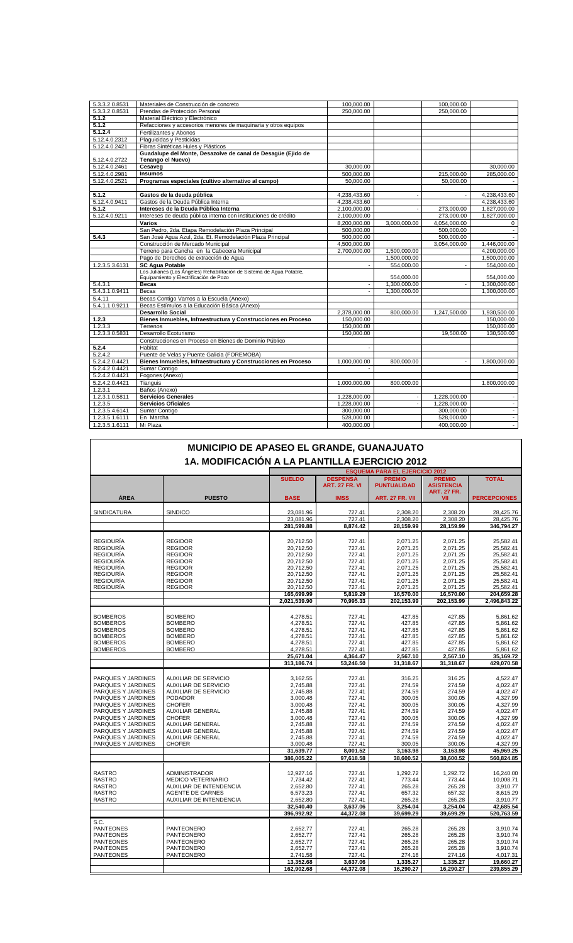| 5.3.3.2.0.8531       | Materiales de Construcción de concreto                                                                          | 100,000.00     |              | 100,000.00               |                          |
|----------------------|-----------------------------------------------------------------------------------------------------------------|----------------|--------------|--------------------------|--------------------------|
| 5.3.3.2.0.8531       | Prendas de Protección Personal                                                                                  | 250,000,00     |              | 250,000,00               |                          |
| 5.1.2                | Material Eléctrico y Electrónico                                                                                |                |              |                          |                          |
| 5.1.2                | Refacciones y accesorios menores de maquinaria y otros equipos                                                  |                |              |                          |                          |
| 5.1.2.4              | Fertilizantes y Abonos                                                                                          |                |              |                          |                          |
| 5.12.4.0.2312        | Plaquicidas y Pesticidas                                                                                        |                |              |                          |                          |
| 5.12.4.0.2421        | Fibras Sintéticas Hules y Plásticos                                                                             |                |              |                          |                          |
|                      | Guadalupe del Monte, Desazolve de canal de Desagüe (Ejido de                                                    |                |              |                          |                          |
| 5.12.4.0.2722        | Tenango el Nuevo)                                                                                               |                |              |                          |                          |
| 5.12.4.0.2461        | Cesaveg                                                                                                         | 30,000.00      |              |                          | 30,000.00                |
| 5.12.4.0.2981        | <b>Insumos</b>                                                                                                  | 500,000.00     |              | 215,000.00               | 285,000.00               |
| 5.12.4.0.2521        | Programas especiales (cultivo alternativo al campo)                                                             | 50.000.00      |              | 50,000.00                |                          |
|                      |                                                                                                                 |                |              |                          |                          |
| 5.1.2                | Gastos de la deuda pública                                                                                      | 4,238,433.60   |              |                          | 4,238,433.60             |
| 5.12.4.0.9411        | Gastos de la Deuda Pública Interna                                                                              | 4,238,433.60   |              |                          | 4,238,433.60             |
| 5.1.2                | Intereses de la Deuda Pública Interna                                                                           | 2,100,000.00   |              | 273,000.00               | 1,827,000.00             |
| 5.12.4.0.9211        | Intereses de deuda pública interna con instituciones de crédito                                                 | 2.100.000.00   |              | 273,000.00               | 1,827,000.00             |
|                      | Varios                                                                                                          | 8,200,000.00   | 3,000,000.00 | 4,054,000.00             | 0                        |
|                      | San Pedro, 2da. Etapa Remodelación Plaza Principal                                                              | 500,000.00     |              | 500,000.00               | $\overline{\phantom{a}}$ |
| 5.4.3                | San José Aqua Azul, 2da. Et. Remodelación Plaza Principal                                                       | 500,000.00     |              | 500,000.00               |                          |
|                      | Construcción de Mercado Municipal                                                                               | 4,500,000.00   |              | 3,054,000.00             | 1,446,000.00             |
|                      | Terreno para Cancha en la Cabecera Municipal                                                                    | 2,700,000.00   | 1,500,000.00 |                          | 4,200,000.00             |
|                      | Pago de Derechos de extracción de Agua                                                                          |                | 1,500,000.00 |                          | 1,500,000.00             |
| 1.2.3.5.3.6131       | <b>SC Agua Potable</b>                                                                                          |                | 554,000.00   |                          | 554,000.00               |
|                      | Los Julianes (Los Ángeles) Rehabilitación de Sistema de Agua Potable,<br>Equipamiento y Electrificación de Pozo |                | 554,000.00   |                          | 554,000.00               |
| 5.4.3.1              | Becas                                                                                                           | $\sim$         | 1,300,000.00 | $\overline{\phantom{a}}$ | 1,300,000.00             |
| 5.4.3.1.0.9411       | Becas                                                                                                           | $\blacksquare$ | 1,300,000.00 |                          | 1,300,000.00             |
| 5.4.11               | Becas Contigo Vamos a la Escuela (Anexo)                                                                        |                |              |                          |                          |
| 5.4.1.1.0.9211       | Becas Estímulos a la Educación Básica (Anexo)                                                                   |                |              |                          |                          |
|                      | <b>Desarrollo Social</b>                                                                                        | 2,378,000.00   | 800,000.00   | 1,247,500.00             | 1,930,500.00             |
| 1.2.3                | Bienes Inmuebles, Infraestructura y Construcciones en Proceso                                                   | 150,000.00     |              |                          | 150,000.00               |
| 1.2.3.3              | Terrenos                                                                                                        | 150,000.00     |              |                          | 150,000.00               |
| 1.2.3.3.0.5831       | Desarrollo Ecoturismo                                                                                           | 150,000.00     |              | 19,500.00                | 130,500.00               |
|                      | Construcciones en Proceso en Bienes de Dominio Público                                                          |                |              |                          |                          |
| 5.2.4                | Habitat                                                                                                         |                |              |                          |                          |
| 5.2.4.2              | Puente de Velas y Puente Galicia (FOREMOBA)                                                                     |                |              |                          |                          |
| 5.2.4.2.0.4421       | Bienes Inmuebles, Infraestructura y Construcciones en Proceso                                                   | 1,000,000.00   | 800,000.00   |                          | 1,800,000.00             |
| 5.2.4.2.0.4421       | Sumar Contigo                                                                                                   |                |              |                          |                          |
| 5.2.4.2.0.4421       | Fogones (Anexo)                                                                                                 |                |              |                          |                          |
| 5.2.4.2.0.4421       | Tianguis                                                                                                        | 1,000,000.00   | 800,000.00   |                          | 1,800,000.00             |
| 1.2.3.1              | Baños (Anexo)                                                                                                   |                |              |                          |                          |
| 1.2.3.1.0.5811       | <b>Servicios Generales</b>                                                                                      | 1,228,000.00   |              | 1,228,000.00             | $\overline{\phantom{a}}$ |
| $1.2.\overline{3.5}$ | <b>Servicios Oficiales</b>                                                                                      | 1,228,000.00   |              | 1,228,000.00             | $\overline{\phantom{a}}$ |
| 1.2.3.5.4.6141       | Sumar Contigo                                                                                                   | 300,000.00     |              | 300,000.00               | $\overline{\phantom{a}}$ |
| 1.2.3.5.1.6111       | En Marcha                                                                                                       | 528,000.00     |              | 528,000.00               | $\blacksquare$           |
| 1.2.3.5.1.6111       | Mi Plaza                                                                                                        | 400,000.00     |              | 400,000.00               | $\sim$                   |

|                                                | MUNICIPIO DE APASEO EL GRANDE, GUANAJUATO         |                         |                                          |                                       |                                                          |                         |
|------------------------------------------------|---------------------------------------------------|-------------------------|------------------------------------------|---------------------------------------|----------------------------------------------------------|-------------------------|
| 1A. MODIFICACIÓN A LA PLANTILLA EJERCICIO 2012 |                                                   |                         |                                          |                                       |                                                          |                         |
|                                                |                                                   |                         |                                          | <b>ESQUEMA PARA EL EJERCICIO 2012</b> |                                                          |                         |
|                                                |                                                   | <b>SUELDO</b>           | <b>DESPENSA</b><br><b>ART. 27 FR. VI</b> | <b>PREMIO</b><br><b>PUNTUALIDAD</b>   | <b>PREMIO</b><br><b>ASISTENCIA</b><br><b>ART. 27 FR.</b> | <b>TOTAL</b>            |
| ÁREA                                           | <b>PUESTO</b>                                     | <b>BASE</b>             | <b>IMSS</b>                              | <b>ART. 27 FR. VII</b>                | VII                                                      | <b>PERCEPCIONES</b>     |
|                                                |                                                   |                         |                                          |                                       |                                                          |                         |
| <b>SINDICATURA</b>                             | SINDICO                                           | 23,081.96               | 727.41                                   | 2,308.20                              | 2,308.20                                                 | 28,425.76               |
|                                                |                                                   | 23,081.96               | 727.41                                   | 2,308.20                              | 2.308.20                                                 | 28,425.76               |
|                                                |                                                   | 281,599.88              | 8,874.42                                 | 28,159.99                             | 28,159.99                                                | 346,794.27              |
| <b>REGIDURÍA</b>                               | <b>REGIDOR</b>                                    | 20,712.50               | 727.41                                   | 2,071.25                              | 2,071.25                                                 | 25,582.41               |
| <b>REGIDURÍA</b>                               | <b>REGIDOR</b>                                    | 20,712.50               | 727.41                                   | 2,071.25                              | 2,071.25                                                 | 25,582.41               |
| <b>REGIDURÍA</b>                               | <b>REGIDOR</b>                                    | 20,712.50               | 727.41                                   | 2,071.25                              | 2,071.25                                                 | 25,582.41               |
| <b>REGIDURÍA</b>                               | <b>REGIDOR</b>                                    | 20,712.50               | 727.41                                   | 2,071.25                              | 2,071.25                                                 | 25,582.41               |
| <b>REGIDURÍA</b>                               | <b>REGIDOR</b>                                    | 20,712.50               | 727.41                                   | 2,071.25                              | 2,071.25                                                 | 25,582.41               |
| <b>REGIDURÍA</b>                               | <b>REGIDOR</b>                                    | 20,712.50               | 727.41                                   | 2.071.25                              | 2,071.25                                                 | 25.582.41               |
| <b>REGIDURÍA</b>                               | <b>REGIDOR</b>                                    | 20,712.50               | 727.41                                   | 2,071.25                              | 2,071.25                                                 | 25,582.41               |
| <b>REGIDURÍA</b>                               | <b>REGIDOR</b>                                    | 20,712.50               | 727.41                                   | 2,071.25                              | 2,071.25                                                 | 25,582.41               |
|                                                |                                                   | 165.699.99              | 5.819.29                                 | 16.570.00                             | 16.570.00                                                | 204.659.28              |
|                                                |                                                   | 2.021.539.90            | 70,995.33                                | 202,153.99                            | 202.153.99                                               | 2.496.843.22            |
|                                                |                                                   |                         |                                          |                                       |                                                          |                         |
| <b>BOMBEROS</b>                                | <b>BOMBERO</b>                                    | 4,278.51                | 727.41                                   | 427.85                                | 427.85                                                   | 5,861.62                |
| <b>BOMBEROS</b>                                | <b>BOMBERO</b>                                    | 4,278.51                | 727.41                                   | 427.85                                | 427.85                                                   | 5,861.62                |
| <b>BOMBEROS</b>                                | <b>BOMBERO</b>                                    | 4,278.51                | 727.41                                   | 427.85                                | 427.85                                                   | 5,861.62                |
| <b>BOMBEROS</b>                                | <b>BOMBERO</b>                                    | 4,278.51                | 727.41                                   | 427.85                                | 427.85                                                   | 5,861.62                |
| <b>BOMBEROS</b>                                | <b>BOMBERO</b>                                    | 4,278.51                | 727.41                                   | 427.85                                | 427.85                                                   | 5,861.62                |
| <b>BOMBEROS</b>                                | <b>BOMBERO</b>                                    | 4,278.51                | 727.41                                   | 427.85                                | 427.85                                                   | 5,861.62                |
|                                                |                                                   | 25,671.04<br>313,186.74 | 4,364.47<br>53,246.50                    | 2,567.10<br>31,318.67                 | 2,567.10<br>31.318.67                                    | 35,169.72<br>429,070.58 |
|                                                |                                                   |                         |                                          |                                       |                                                          |                         |
| PARQUES Y JARDINES                             | <b>AUXILIAR DE SERVICIO</b>                       | 3,162.55                | 727.41                                   | 316.25                                | 316.25                                                   | 4.522.47                |
| PARQUES Y JARDINES                             | <b>AUXILIAR DE SERVICIO</b>                       | 2,745.88                | 727.41                                   | 274.59                                | 274.59                                                   | 4,022.47                |
| PARQUES Y JARDINES                             | <b>AUXILIAR DE SERVICIO</b>                       | 2.745.88                | 727.41                                   | 274.59                                | 274.59                                                   | 4,022.47                |
| PARQUES Y JARDINES                             | <b>PODADOR</b>                                    | 3,000.48                | 727.41                                   | 300.05                                | 300.05                                                   | 4,327.99                |
| PARQUES Y JARDINES                             | <b>CHOFER</b>                                     | 3,000.48                | 727.41                                   | 300.05                                | 300.05                                                   | 4,327.99                |
| PARQUES Y JARDINES                             | <b>AUXILIAR GENERAL</b>                           | 2.745.88                | 727.41                                   | 274.59                                | 274.59                                                   | 4.022.47                |
| PARQUES Y JARDINES                             | <b>CHOFER</b>                                     | 3,000.48                | 727.41                                   | 300.05                                | 300.05                                                   | 4,327.99                |
| PARQUES Y JARDINES                             | AUXILIAR GENERAL                                  | 2,745.88                | 727.41                                   | 274.59                                | 274.59                                                   | 4,022.47                |
| PARQUES Y JARDINES                             | <b>AUXILIAR GENERAL</b>                           | 2,745.88                | 727.41                                   | 274.59                                | 274.59                                                   | 4.022.47                |
| PARQUES Y JARDINES                             | <b>AUXILIAR GENERAL</b>                           | 2,745.88                | 727.41                                   | 274.59                                | 274.59                                                   | 4,022.47                |
| PARQUES Y JARDINES                             | <b>CHOFER</b>                                     | 3,000.48                | 727.41                                   | 300.05                                | 300.05                                                   | 4,327.99                |
|                                                |                                                   | 31,639.77               | 8,001.52                                 | 3,163.98                              | 3,163.98                                                 | 45,969.25               |
|                                                |                                                   | 386,005.22              | 97,618.58                                | 38,600.52                             | 38,600.52                                                | 560,824.85              |
|                                                |                                                   |                         |                                          |                                       |                                                          |                         |
| <b>RASTRO</b><br><b>RASTRO</b>                 | <b>ADMINISTRADOR</b><br><b>MEDICO VETERINARIO</b> | 12,927.16               | 727.41<br>727.41                         | 1,292.72                              | 1,292.72                                                 | 16,240.00               |
| <b>RASTRO</b>                                  |                                                   | 7,734.42                |                                          | 773.44                                | 773.44                                                   | 10,008.71<br>3,910.77   |
| <b>RASTRO</b>                                  | AUXILIAR DE INTENDENCIA<br>AGENTE DE CARNES       | 2,652.80<br>6,573.23    | 727.41<br>727.41                         | 265.28<br>657.32                      | 265.28<br>657.32                                         | 8,615.29                |
| <b>RASTRO</b>                                  | AUXILIAR DE INTENDENCIA                           | 2,652.80                | 727.41                                   | 265.28                                | 265.28                                                   | 3,910.77                |
|                                                |                                                   | 32,540.40               | 3,637.06                                 | 3,254.04                              | 3,254.04                                                 | 42,685.54               |
|                                                |                                                   | 396.992.92              | 44.372.08                                | 39,699.29                             | 39.699.29                                                | 520.763.59              |
| S.C.                                           |                                                   |                         |                                          |                                       |                                                          |                         |
| <b>PANTEONES</b>                               | PANTEONERO                                        | 2,652.77                | 727.41                                   | 265.28                                | 265.28                                                   | 3,910.74                |
| <b>PANTEONES</b>                               | <b>PANTEONERO</b>                                 | 2,652.77                | 727.41                                   | 265.28                                | 265.28                                                   | 3,910.74                |
| <b>PANTEONES</b>                               | PANTEONERO                                        | 2,652.77                | 727.41                                   | 265.28                                | 265.28                                                   | 3,910.74                |
| <b>PANTEONES</b>                               | PANTEONERO                                        | 2,652.77                | 727.41                                   | 265.28                                | 265.28                                                   | 3,910.74                |
| <b>PANTEONES</b>                               | PANTEONERO                                        | 2,741.58                | 727.41                                   | 274.16                                | 274.16                                                   | 4,017.31                |
|                                                |                                                   | 13,352.68               | 3,637.06                                 | 1,335.27                              | 1,335.27                                                 | 19,660.27               |
|                                                |                                                   | 162.902.68              | 44.372.08                                | 16,290.27                             | 16.290.27                                                | 239.855.29              |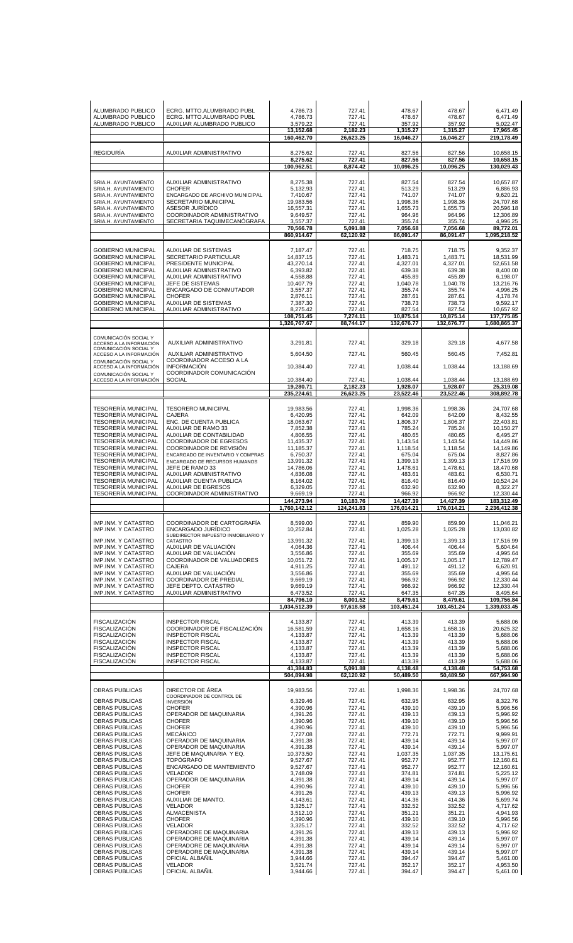| ALUMBRADO PUBLICO                                        | ECRG. MTTO.ALUMBRADO PUBL                                                | 4,786.73                   | 727.41                | 478.67                     | 478.67                  | 6,471.49                   |
|----------------------------------------------------------|--------------------------------------------------------------------------|----------------------------|-----------------------|----------------------------|-------------------------|----------------------------|
| ALUMBRADO PUBLICO                                        | ECRG. MTTO.ALUMBRADO PUBL                                                | 4,786.73                   | 727.41                | 478.67                     | 478.67                  | 6,471.49                   |
| ALUMBRADO PUBLICO                                        | AUXILIAR ALUMBRADO PUBLICO                                               | 3,579.22<br>13,152.68      | 727.41<br>2.182.23    | 357.92<br>1.315.27         | 357.92<br>1,315.27      | 5,022.47<br>17.965.45      |
|                                                          |                                                                          | 160,462.70                 | 26,623.25             | 16,046.27                  | 16,046.27               | 219,178.49                 |
| <b>REGIDURÍA</b>                                         | AUXILIAR ADMINISTRATIVO                                                  | 8,275.62<br>8,275.62       | 727.41<br>727.41      | 827.56<br>827.56           | 827.56<br>827.56        | 10,658.15<br>10,658.15     |
|                                                          |                                                                          | 100,962.51                 | 8,874.42              | 10,096.25                  | 10,096.25               | 130,029.43                 |
| SRIA.H. AYUNTAMIENTO                                     | AUXILIAR ADMINISTRATIVO                                                  | 8,275.38                   | 727.41                | 827.54                     | 827.54                  | 10,657.87                  |
| SRIA.H. AYUNTAMIENTO                                     | <b>CHOFER</b>                                                            | 5,132.93                   | 727.41                | 513.29                     | 513.29                  | 6,886.93                   |
| SRIA.H. AYUNTAMIENTO                                     | ENCARGADO DE ARCHIVO MUNICIPAL                                           | 7,410.67                   | 727.41                | 741.07                     | 741.07                  | 9,620.21                   |
| SRIA.H. AYUNTAMIENTO                                     | SECRETARIO MUNICIPAL                                                     | 19,983.56                  | 727.41                | 1,998.36                   | 1,998.36                | 24,707.68                  |
| SRIA.H. AYUNTAMIENTO                                     | ASESOR JURÍDICO                                                          | 16,557.31                  | 727.41                | 1,655.73                   | 1,655.73                | 20.596.18                  |
| SRIA.H. AYUNTAMIENTO                                     | COORDINADOR ADMINISTRATIVO                                               | 9,649.57                   | 727.41                | 964.96                     | 964.96                  | 12,306.89                  |
| SRIA.H. AYUNTAMIENTO                                     | SECRETARIA TAQUIMECANÓGRAFA                                              | 3,557.37                   | 727.41                | 355.74                     | 355.74                  | 4.996.25                   |
|                                                          |                                                                          | 70,566.78<br>860,914.67    | 5,091.88<br>62,120.92 | 7,056.68<br>86,091.47      | 7.056.68<br>86,091.47   | 89,772.01<br>1,095,218.52  |
|                                                          |                                                                          |                            |                       |                            |                         |                            |
| <b>GOBIERNO MUNICIPAL</b>                                | <b>AUXILIAR DE SISTEMAS</b>                                              | 7,187.47                   | 727.41                | 718.75                     | 718.75                  | 9,352.37                   |
| <b>GOBIERNO MUNICIPAL</b>                                | <b>SECRETARIO PARTICULAR</b>                                             | 14,837.15                  | 727.41                | 1,483.71                   | 1,483.71                | 18,531.99                  |
| <b>GOBIERNO MUNICIPAL</b>                                | PRESIDENTE MUNICIPAL                                                     | 43,270.14                  | 727.41                | 4,327.01                   | 4,327.01                | 52,651.58                  |
| <b>GOBIERNO MUNICIPAL</b>                                | AUXILIAR ADMINISTRATIVO                                                  | 6,393.82                   | 727.41                | 639.38                     | 639.38                  | 8,400.00                   |
| GOBIERNO MUNICIPAL                                       | AUXILIAR ADMINISTRATIVO                                                  | 4,558.88                   | 727.41                | 455.89                     | 455.89                  | 6,198.07                   |
| <b>GOBIERNO MUNICIPAL</b>                                | JEFE DE SISTEMAS                                                         | 10,407.79                  | 727.41                | 1,040.78                   | 1,040.78                | 13,216.76                  |
| <b>GOBIERNO MUNICIPAL</b>                                | ENCARGADO DE CONMUTADOR                                                  | 3,557.37                   | 727.41                | 355.74                     | 355.74                  | 4,996.25                   |
| <b>GOBIERNO MUNICIPAL</b>                                | <b>CHOFER</b>                                                            | 2,876.11                   | 727.41                | 287.61                     | 287.61                  | 4,178.74                   |
| <b>GOBIERNO MUNICIPAL</b>                                | <b>AUXILIAR DE SISTEMAS</b>                                              | 7,387.30                   | 727.41                | 738.73                     | 738.73                  | 9,592.17                   |
| <b>GOBIERNO MUNICIPAL</b>                                | AUXILIAR ADMINISTRATIVO                                                  | 8,275.42                   | 727.41                | 827.54                     | 827.54                  | 10,657.92                  |
|                                                          |                                                                          | 108,751.45<br>1,326,767.67 | 7,274.11<br>88,744.17 | 10,875.14<br>132,676.77    | 10,875.14<br>132,676.77 | 137,775.85<br>1,680,865.37 |
| COMUNICACIÓN SOCIAL Y                                    |                                                                          |                            |                       |                            |                         |                            |
| ACCESO A LA INFORMACIÓN<br>COMUNICACIÓN SOCIAL Y         | AUXILIAR ADMINISTRATIVO                                                  | 3,291.81                   | 727.41                | 329.18                     | 329.18                  | 4,677.58                   |
| ACCESO A LA INFORMACIÓN<br>COMUNICACIÓN SOCIAL Y         | AUXILIAR ADMINISTRATIVO<br>COORDINADOR ACCESO A LA                       | 5.604.50                   | 727.41                | 560.45                     | 560.45                  | 7,452.81                   |
| ACCESO A LA INFORMACIÓN<br>COMUNICACIÓN SOCIAL Y         | <b>INFORMACIÓN</b><br>COORDINADOR COMUNICACIÓN                           | 10,384.40                  | 727.41                | 1,038.44                   | 1,038.44                | 13.188.69                  |
| ACCESO A LA INFORMACIÓN                                  | <b>SOCIAL</b>                                                            | 10,384.40<br>19,280.71     | 727.41<br>2,182.23    | 1,038.44<br>1,928.07       | 1,038.44<br>1,928.07    | 13,188.69<br>25,319.08     |
|                                                          |                                                                          | 235,224.61                 | 26,623.25             | 23,522.46                  | 23,522.46               | 308,892.78                 |
| <b>TESORERÍA MUNICIPAL</b>                               | <b>TESORERO MUNICIPAL</b>                                                | 19,983.56                  | 727.41                | 1,998.36                   | 1,998.36                | 24,707.68                  |
| <b>TESORERÍA MUNICIPAL</b>                               | <b>CAJERA</b>                                                            | 6,420.95                   | 727.41                | 642.09                     | 642.09                  | 8,432.55                   |
| <b>TESORERÍA MUNICIPAL</b>                               | ENC. DE CUENTA PUBLICA                                                   | 18,063.67                  | 727.41                | 1,806.37                   | 1,806.37                | 22,403.81                  |
| <b>TESORERIA MUNICIPAL</b>                               | <b>AUXILIAR DE RAMO 33</b>                                               | 7,852.38                   | 727.41                | 785.24                     | 785.24                  | 10,150.27                  |
| <b>TESORERÍA MUNICIPAL</b>                               | AUXILIAR DE CONTABILIDAD                                                 | 4,806.55                   | 727.41                | 480.65                     | 480.65                  | 6,495.27                   |
| <b>TESORERÍA MUNICIPAL</b>                               | <b>COORDINADOR DE EGRESOS</b>                                            | 11,435.37                  | 727.41                | 1,143.54                   | 1,143.54                | 14,449.86                  |
| <b>TESORERIA MUNICIPAL</b>                               | <b>COORDINADOR DE REVISION</b>                                           | 11,185.37                  | 727.41                | 1,118.54                   | 1,118.54                | 14,149.86                  |
| <b>TESORERIA MUNICIPAL</b>                               | ENCARGADO DE INVENTARIO Y COMPRAS                                        | 6,750.37                   | 727.41                | 675.04                     | 675.04                  | 8,827.86                   |
| <b>TESORERÍA MUNICIPAL</b>                               | ENCARGADO DE RECURSOS HUMANOS                                            | 13,991.32                  | 727.41                | 1,399.13                   | 1,399.13                | 17,516.99                  |
| <b>TESORERIA MUNICIPAL</b>                               | JEFE DE RAMO 33                                                          | 14,786.06                  | 727.41                | 1,478.61                   | 1,478.61                | 18,470.68                  |
| <b>TESORERÍA MUNICIPAL</b>                               | AUXILIAR ADMINISTRATIVO                                                  | 4,836.08                   | 727.41                | 483.61                     | 483.61                  | 6,530.71                   |
| <b>TESORERIA MUNICIPAL</b><br><b>TESORERÍA MUNICIPAL</b> | AUXILIAR CUENTA PUBLICA<br><b>AUXILIAR DE EGRESOS</b>                    | 8,164.02<br>6,329.05       | 727.41<br>727.41      | 816.40<br>632.90<br>966.92 | 816.40<br>632.90        | 10,524.24<br>8,322.27      |
| <b>TESORERÍA MUNICIPAL</b>                               | COORDINADOR ADMINISTRATIVO                                               | 9.669.19<br>144,273.94     | 727.41<br>10,183.76   | 14,427.39                  | 966.92<br>14,427.39     | 12,330.44<br>183,312.49    |
|                                                          |                                                                          | 1,760,142.12               | 124,241.83            | 176,014.21                 | 176,014.21              | 2,236,412.38               |
| IMP.INM. Y CATASTRO                                      | COORDINADOR DE CARTOGRAFÍA                                               | 8,599.00                   | 727.41                | 859.90                     | 859.90                  | 11,046.21                  |
| IMP.INM. Y CATASTRO                                      | <b>ENCARGADO JURÍDICO</b>                                                | 10,252.84                  | 727.41                | 1,025.28                   | 1,025.28                | 13,030.82                  |
| <b>IMP.INM, Y CATASTRO</b><br>IMP.INM. Y CATASTRO        | SUBDIRECTOR IMPUESTO INMOBILIARIO Y<br>CATASTRO<br>AUXILIAR DE VALUACIÓN | 13.991.32<br>4,064.36      | 727.41<br>727.41      | 1,399.13<br>406.44         | 1,399.13<br>406.44      | 17,516.99                  |
| IMP.INM. Y CATASTRO                                      | AUXILIAR DE VALUACIÓN                                                    | 3,556.86                   | 727.41                | 355.69                     | 355.69                  | 5,604.64<br>4,995.64       |
| IMP.INM. Y CATASTRO                                      | COORDINADOR DE VALUADORES                                                | 10.051.72                  | 727.41                | 1,005.17                   | 1.005.17                | 12,789.47                  |
| IMP.INM. Y CATASTRO                                      | <b>CAJERA</b>                                                            | 4,911.25                   | 727.41                | 491.12                     | 491.12                  | 6,620.91                   |
| IMP.INM. Y CATASTRO                                      | AUXILIAR DE VALUACIÓN                                                    | 3,556.86                   | 727.41                | 355.69                     | 355.69                  | 4,995.64                   |
| <b>IMP.INM, Y CATASTRO</b>                               | COORDINADOR DE PREDIAL                                                   | 9,669.19                   | 727.41                | 966.92                     | 966.92                  | 12,330.44                  |
| IMP.INM. Y CATASTRO                                      | JEFE DEPTO. CATASTRO                                                     | 9,669.19                   | 727.41                | 966.92                     | 966.92                  | 12,330.44                  |
| IMP.INM. Y CATASTRO                                      | AUXILIAR ADMINISTRATIVO                                                  | 6,473.52                   | 727.41                | 647.35                     | 647.35                  | 8,495.64                   |
|                                                          |                                                                          | 84,796.10<br>1,034,512.39  | 8,001.52<br>97,618.58 | 8,479.61<br>103,451.24     | 8,479.61<br>103,451.24  | 109,756.84<br>1,339,033.45 |
| <b>FISCALIZACIÓN</b>                                     | <b>INSPECTOR FISCAL</b>                                                  | 4,133.87                   | 727.41                | 413.39                     | 413.39                  | 5,688.06                   |
| <b>FISCALIZACIÓN</b>                                     | COORDINADOR DE FISCALIZACIÓN                                             | 16.581.59                  | 727.41                | 1,658.16                   | 1.658.16                | 20,625.32                  |
| <b>FISCALIZACIÓN</b>                                     | <b>INSPECTOR FISCAL</b>                                                  | 4,133.87                   | 727.41                | 413.39                     | 413.39                  | 5,688.06                   |
| <b>FISCALIZACION</b>                                     | <b>INSPECTOR FISCAL</b>                                                  | 4,133.87                   | 727.41                | 413.39                     | 413.39                  | 5,688.06                   |
| <b>FISCALIZACIÓN</b>                                     | <b>INSPECTOR FISCAL</b>                                                  | 4,133.87                   | 727.41                | 413.39                     | 413.39                  | 5,688.06                   |
| <b>FISCALIZACIÓN</b>                                     | <b>INSPECTOR FISCAL</b>                                                  | 4,133.87                   | 727.41                | 413.39                     | 413.39                  | 5,688.06                   |
| <b>FISCALIZACION</b>                                     | <b>INSPECTOR FISCAL</b>                                                  | 4,133.87                   | 727.41                | 413.39                     | 413.39                  | 5,688.06                   |
|                                                          |                                                                          | 41,384.83<br>504,894.98    | 5,091.88<br>62,120.92 | 4,138.48<br>50,489.50      | 4,138.48<br>50,489.50   | 54,753.68<br>667,994.90    |
| OBRAS PUBLICAS                                           | DIRECTOR DE ÁREA                                                         | 19,983.56                  | 727.41                | 1,998.36                   | 1,998.36                | 24,707.68                  |
| OBRAS PUBLICAS                                           | COORDINADOR DE CONTROL DE<br><b>INVERSIÓN</b>                            | 6,329.46                   | 727.41                | 632.95                     | 632.95                  | 8,322.76                   |
| OBRAS PUBLICAS                                           | <b>CHOFER</b>                                                            | 4,390.96                   | 727.41                | 439.10                     | 439.10                  | 5,996.56                   |
| OBRAS PUBLICAS                                           | OPERADOR DE MAQUINARIA                                                   | 4,391.26                   | 727.41                | 439.13                     | 439.13                  | 5,996.92                   |
| <b>OBRAS PUBLICAS</b>                                    | <b>CHOFER</b>                                                            | 4,390.96                   | 727.41                | 439.10                     | 439.10                  | 5,996.56                   |
| OBRAS PUBLICAS                                           | <b>CHOFER</b>                                                            | 4,390.96                   | 727.41                | 439.10                     | 439.10                  | 5,996.56                   |
| OBRAS PUBLICAS                                           | <b>MECANICO</b>                                                          | 7,727.08                   | 727.41                | 772.71                     | 772.71                  | 9,999.91                   |
| OBRAS PUBLICAS                                           | OPERADOR DE MAQUINARIA                                                   | 4,391.38                   | 727.41                | 439.14                     | 439.14                  | 5,997.07                   |
| OBRAS PUBLICAS                                           | OPERADOR DE MAQUINARIA                                                   | 4,391.38                   | 727.41                | 439.14                     | 439.14                  | 5,997.07                   |
| OBRAS PUBLICAS                                           | JEFE DE MAQUINARIA Y EQ.                                                 | 10,373.50                  | 727.41                | 1,037.35                   | 1,037.35                | 13,175.61                  |
| OBRAS PUBLICAS                                           | <b>TOPÓGRAFO</b>                                                         | 9,527.67                   | 727.41                | 952.77                     | 952.77                  | 12,160.61                  |
| OBRAS PUBLICAS                                           | ENCARGADO DE MANTEMIENTO                                                 | 9,527.67                   | 727.41                | 952.77                     | 952.77                  | 12,160.61                  |
| OBRAS PUBLICAS                                           | <b>VELADOR</b>                                                           | 3,748.09                   | 727.41                | 374.81                     | 374.81                  | 5,225.12                   |
| OBRAS PUBLICAS                                           | OPERADOR DE MAQUINARIA                                                   | 4,391.38                   | 727.41                | 439.14                     | 439.14                  | 5,997.07                   |
| OBRAS PUBLICAS                                           | <b>CHOFER</b>                                                            | 4,390.96                   | 727.41                | 439.10                     | 439.10                  | 5,996.56                   |
| OBRAS PUBLICAS                                           | <b>CHOFER</b>                                                            | 4,391.26                   | 727.41                | 439.13                     | 439.13                  | 5,996.92                   |
| OBRAS PUBLICAS                                           | AUXILIAR DE MANTO.                                                       | 4,143.61                   | 727.41                | 414.36                     | 414.36                  | 5,699.74                   |
| OBRAS PUBLICAS                                           | <b>VELADOR</b>                                                           | 3,325.17                   | 727.41                | 332.52                     | 332.52                  | 4,717.62                   |
| OBRAS PUBLICAS                                           | <b>ALMACENISTA</b>                                                       | 3,512.10                   | 727.41                | 351.21                     | 351.21                  | 4,941.93                   |
| OBRAS PUBLICAS                                           | <b>CHOFER</b>                                                            | 4,390.96                   | 727.41                | 439.10                     | 439.10                  | 5,996.56                   |
| OBRAS PUBLICAS                                           | <b>VELADOR</b>                                                           | 3,325.17                   | 727.41                | 332.52                     | 332.52                  | 4,717.62                   |
| OBRAS PUBLICAS<br>OBRAS PUBLICAS                         | OPERADORE DE MAQUINARIA                                                  | 4,391.26                   | 727.41                | 439.13                     | 439.13                  | 5,996.92                   |
| OBRAS PUBLICAS                                           | OPERADORE DE MAQUINARIA                                                  | 4,391.38                   | 727.41                | 439.14                     | 439.14                  | 5,997.07                   |
| <b>OBRAS PUBLICAS</b>                                    | OPERADORE DE MAQUINARIA                                                  | 4,391.38                   | 727.41                | 439.14                     | 439.14                  | 5,997.07                   |
|                                                          | OPERADORE DE MAQUINARIA                                                  | 4.391.38                   | 727.41                | 439.14                     | 439.14                  | 5.997.07                   |
| OBRAS PUBLICAS                                           | OFICIAL ALBANIL                                                          | 3,944.66                   | 727.41                | 394.47                     | 394.47                  | 5,461.00                   |
| OBRAS PUBLICAS                                           | <b>VELADOR</b>                                                           | 3,521.74                   | 727.41                | 352.17                     | 352.17                  | 4,953.50                   |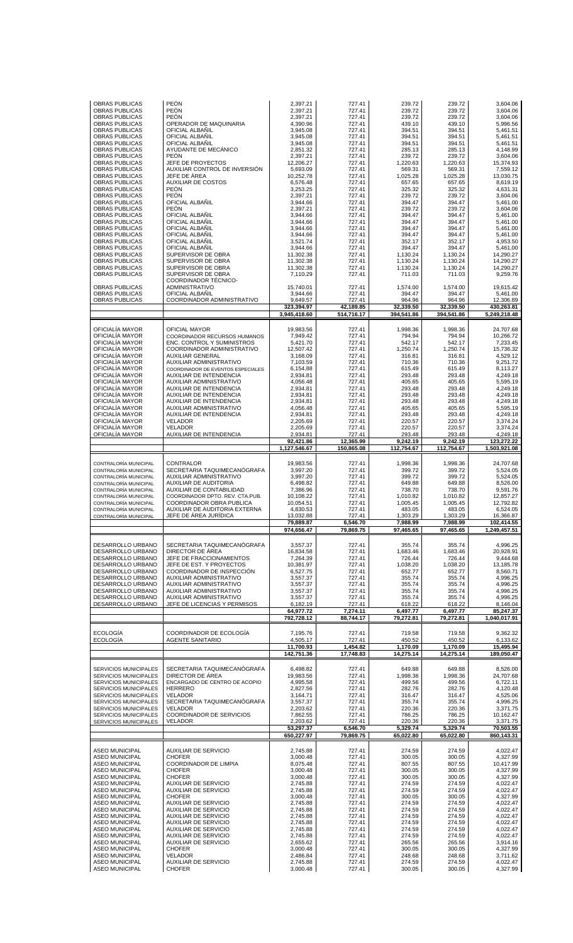| <b>OBRAS PUBLICAS</b><br><b>OBRAS PUBLICAS</b><br>OBRAS PUBLICAS<br>OBRAS PUBLICAS<br><b>OBRAS PUBLICAS</b><br>OBRAS PUBLICAS<br><b>OBRAS PUBLICAS</b><br><b>OBRAS PUBLICAS</b><br>OBRAS PUBLICAS<br>OBRAS PUBLICAS<br>OBRAS PUBLICAS<br>OBRAS PUBLICAS<br>OBRAS PUBLICAS<br>OBRAS PUBLICAS<br>OBRAS PUBLICAS<br>OBRAS PUBLICAS<br>OBRAS PUBLICAS<br>OBRAS PUBLICAS<br><b>OBRAS PUBLICAS</b><br>OBRAS PUBLICAS<br>OBRAS PUBLICAS<br>OBRAS PUBLICAS             | <b>PEÓN</b><br><b>PEÓN</b><br><b>PEÓN</b><br>OPERADOR DE MAQUINARIA<br>OFICIAL ALBANIL<br>OFICIAL ALBAÑIL<br>OFICIAL ALBANIL<br>AYUDANTE DE MECÁNICO<br><b>PEÓN</b><br>JEFE DE PROYECTOS<br>AUXILIAR CONTROL DE INVERSIÓN<br>JEFE DE ÁREA<br><b>AUXILIAR DE COSTOS</b><br><b>PEÓN</b><br><b>PEÓN</b><br>OFICIAL ALBAÑIL<br><b>PEÓN</b><br>OFICIAL ALBAÑIL<br>OFICIAL ALBAÑIL<br>OFICIAL ALBAÑIL<br>OFICIAL ALBAÑIL<br>OFICIAL ALBANIL                                   | 2,397.21<br>2,397.21<br>2,397.21<br>4,390.96<br>3,945.08<br>3,945.08<br>3,945.08<br>2,851.32<br>2,397.21<br>12,206.27<br>5,693.09<br>10,252.78<br>6,576.48<br>3,253.25<br>2,397.21<br>3,944.66<br>2,397.21<br>3,944.66<br>3,944.66<br>3,944.66<br>3,944.66<br>3,521.74 | 727.41<br>727.41<br>727.41<br>727.41<br>727.41<br>727.41<br>727.41<br>727.41<br>727.41<br>727.41<br>727.41<br>727.41<br>727.41<br>727.41<br>727.41<br>727.41<br>727.41<br>727.41<br>727.41<br>727.41<br>727.41<br>727.41 | 239.72<br>239.72<br>239.72<br>439.10<br>394.51<br>394.51<br>394.51<br>285.13<br>239.72<br>1.220.63<br>569.31<br>1,025.28<br>657.65<br>325.32<br>239.72<br>394.47<br>239.72<br>394.47<br>394.47<br>394.47<br>394.47<br>352.17 | 239.72<br>239.72<br>239.72<br>439.10<br>394.51<br>394.51<br>394.51<br>285.13<br>239.72<br>1,220.63<br>569.31<br>1,025.28<br>657.65<br>325.32<br>239.72<br>394.47<br>239.72<br>394.47<br>394.47<br>394.47<br>394.47<br>352.17 | 3,604.06<br>3,604.06<br>3,604.06<br>5,996.56<br>5,461.51<br>5,461.51<br>5,461.51<br>4,148.99<br>3,604.06<br>15,374.93<br>7,559.12<br>13,030.75<br>8,619.19<br>4,631.31<br>3,604.06<br>5,461.00<br>3,604.06<br>5,461.00<br>5,461.00<br>5,461.00<br>5,461.00<br>4,953.50 |
|----------------------------------------------------------------------------------------------------------------------------------------------------------------------------------------------------------------------------------------------------------------------------------------------------------------------------------------------------------------------------------------------------------------------------------------------------------------|-------------------------------------------------------------------------------------------------------------------------------------------------------------------------------------------------------------------------------------------------------------------------------------------------------------------------------------------------------------------------------------------------------------------------------------------------------------------------|------------------------------------------------------------------------------------------------------------------------------------------------------------------------------------------------------------------------------------------------------------------------|--------------------------------------------------------------------------------------------------------------------------------------------------------------------------------------------------------------------------|------------------------------------------------------------------------------------------------------------------------------------------------------------------------------------------------------------------------------|------------------------------------------------------------------------------------------------------------------------------------------------------------------------------------------------------------------------------|------------------------------------------------------------------------------------------------------------------------------------------------------------------------------------------------------------------------------------------------------------------------|
| OBRAS PUBLICAS<br>OBRAS PUBLICAS<br><b>OBRAS PUBLICAS</b><br><b>OBRAS PUBLICAS</b><br>OBRAS PUBLICAS<br>OBRAS PUBLICAS<br><b>OBRAS PUBLICAS</b>                                                                                                                                                                                                                                                                                                                | OFICIAL ALBAÑIL<br>SUPERVISOR DE OBRA<br>SUPERVISOR DE OBRA<br>SUPERVISOR DE OBRA<br>SUPERVISOR DE OBRA<br>COORDINADOR TÉCNICO-<br>ADMINISTRATIVO<br>OFICIAL ALBAÑIL                                                                                                                                                                                                                                                                                                    | 3,944.66<br>11,302.38<br>11,302.38<br>11,302.38<br>7,110.29<br>15,740.01<br>3,944.66                                                                                                                                                                                   | 727.41<br>727.41<br>727.41<br>727.41<br>727.41<br>727.41<br>727.41                                                                                                                                                       | 394.47<br>1,130.24<br>1,130.24<br>1,130.24<br>711.03<br>1,574.00<br>394.47                                                                                                                                                   | 394.47<br>1,130.24<br>1,130.24<br>1,130.24<br>711.03<br>1,574.00<br>394.47                                                                                                                                                   | 5,461.00<br>14,290.27<br>14,290.27<br>14,290.27<br>9,259.76<br>19,615.42<br>5,461.00                                                                                                                                                                                   |
| <b>OBRAS PUBLICAS</b>                                                                                                                                                                                                                                                                                                                                                                                                                                          | COORDINADOR ADMINISTRATIVO                                                                                                                                                                                                                                                                                                                                                                                                                                              | 9,649.57<br>323.394.97                                                                                                                                                                                                                                                 | 727.41<br>42,189.85                                                                                                                                                                                                      | 964.96<br>32,339.50                                                                                                                                                                                                          | 964.96<br>32,339.50                                                                                                                                                                                                          | 12,306.89<br>430,263.81                                                                                                                                                                                                                                                |
|                                                                                                                                                                                                                                                                                                                                                                                                                                                                |                                                                                                                                                                                                                                                                                                                                                                                                                                                                         | 3,945,418.60                                                                                                                                                                                                                                                           | 514.716.17                                                                                                                                                                                                               | 394,541.86                                                                                                                                                                                                                   | 394,541.86                                                                                                                                                                                                                   | 5,249,218.48                                                                                                                                                                                                                                                           |
| OFICIALÍA MAYOR<br>OFICIALÍA MAYOR<br>OFICIALÍA MAYOR<br>OFICIALÍA MAYOR<br>OFICIALÍA MAYOR<br>OFICIALÍA MAYOR<br>OFICIALÍA MAYOR<br>OFICIALÍA MAYOR<br>OFICIALÍA MAYOR<br>OFICIALÍA MAYOR<br>OFICIALÍA MAYOR<br>OFICIALÍA MAYOR<br>OFICIALÍA MAYOR<br>OFICIALÍA MAYOR<br>OFICIALÍA MAYOR<br>OFICIALÍA MAYOR<br>OFICIALÍA MAYOR                                                                                                                                | OFICIAL MAYOR<br>COORDINADOR RECURSOS HUMANOS<br><b>ENC. CONTROL Y SUMINISTROS</b><br>COORDINADOR ADMINISTRATIVO<br><b>AUXILIAR GENERAL</b><br>AUXILIAR ADMINISTRATIVO<br>COORDINADOR DE EVENTOS ESPECIALES<br>AUXILIAR DE INTENDENCIA<br>AUXILIAR ADMINISTRATIVO<br>AUXILIAR DE INTENDENCIA<br>AUXILIAR DE INTENDENCIA<br>AUXILIAR DE INTENDENCIA<br>AUXILIAR ADMINISTRATIVO<br>AUXILIAR DE INTENDENCIA<br><b>VELADOR</b><br><b>VELADOR</b><br>AUXILIAR DE INTENDENCIA | 19,983.56<br>7,949.42<br>5,421.70<br>12,507.42<br>3,168.09<br>7,103.59<br>6,154.88<br>2,934.81<br>4,056.48<br>2,934.81<br>2,934.81<br>2,934.81<br>4,056.48<br>2,934.81<br>2,205.69<br>2,205.69<br>2,934.81<br>92,421.86<br>1,127,546.67                                | 727.41<br>727.41<br>727.41<br>727.41<br>727.41<br>727.41<br>727.41<br>727.41<br>727.41<br>727.41<br>727.41<br>727.41<br>727.41<br>727.41<br>727.41<br>727.41<br>727.41<br>12,365.99<br>150,865.08                        | 1,998.36<br>794.94<br>542.17<br>1,250.74<br>316.81<br>710.36<br>615.49<br>293.48<br>405.65<br>293.48<br>293.48<br>293.48<br>405.65<br>293.48<br>220.57<br>220.57<br>293.48<br>9,242.19<br>112,754.67                         | 1,998.36<br>794.94<br>542.17<br>1,250.74<br>316.81<br>710.36<br>615.49<br>293.48<br>405.65<br>293.48<br>293.48<br>293.48<br>405.65<br>293.48<br>220.57<br>220.57<br>293.48<br>9,242.19<br>112,754.67                         | 24,707.68<br>10,266.72<br>7,233.45<br>15,736.32<br>4,529.12<br>9,251.72<br>8,113.27<br>4,249.18<br>5,595.19<br>4,249.18<br>4,249.18<br>4,249.18<br>5,595.19<br>4,249.18<br>3,374.24<br>3,374.24<br>4,249.18<br>123,272.22<br>1,503,921.08                              |
| CONTRALORÍA MUNICIPAL<br>CONTRALORÍA MUNICIPAL<br>CONTRALORÍA MUNICIPAL<br>CONTRALORÍA MUNICIPAL<br>CONTRALORÍA MUNICIPAL<br>CONTRALORÍA MUNICIPAL<br>CONTRALORÍA MUNICIPAL<br>CONTRALORÍA MUNICIPAL<br>CONTRALORÍA MUNICIPAL                                                                                                                                                                                                                                  | CONTRALOR<br>SECRETARIA TAQUIMECANÓGRAFA<br>AUXILIAR ADMINISTRATIVO<br>AUXILIAR DE AUDITORIA<br>AUXILIAR DE CONTABILIDAD<br>COORDINADOR DPTO, REV. CTA.PUB.<br>COORDINADOR OBRA PUBLICA<br>AUXILIAR DE AUDITORIA EXTERNA<br>JEFE DE AREA JURIDICA                                                                                                                                                                                                                       | 19,983.56<br>3,997.20<br>3,997.20<br>6,498.82<br>7,386.96<br>10,108.22<br>10,054.51<br>4,830.53<br>13,032.88<br>79,889.87<br>974,656.47                                                                                                                                | 727.41<br>727.41<br>727.41<br>727.41<br>727.41<br>727.41<br>727.41<br>727.41<br>727.41<br>6,546.70<br>79,869.75                                                                                                          | 1,998.36<br>399.72<br>399.72<br>649.88<br>738.70<br>1,010.82<br>1,005.45<br>483.05<br>1,303.29<br>7,988.99<br>97,465.65                                                                                                      | 1,998.36<br>399.72<br>399.72<br>649.88<br>738.70<br>1,010.82<br>1,005.45<br>483.05<br>1,303.29<br>7,988.99<br>97.465.65                                                                                                      | 24,707.68<br>5,524.05<br>5,524.05<br>8,526.00<br>9,591.76<br>12,857.27<br>12,792.82<br>6.524.05<br>16,366.87<br>102,414.55<br>1,249,457.51                                                                                                                             |
| DESARROLLO URBANO<br>DESARROLLO URBANO<br>DESARROLLO URBANO<br>DESARROLLO URBANO<br>DESARROLLO URBANO<br>DESARROLLO URBANO<br>DESARROLLO URBANO<br>DESARROLLO URBANO<br>DESARROLLO URBANO<br>DESARROLLO URBANO                                                                                                                                                                                                                                                 | SECRETARIA TAQUIMECANÓGRAFA<br>DIRECTOR DE ÁREA<br>JEFE DE FRACCIONAMIENTOS<br>JEFE DE EST. Y PROYECTOS<br>COORDINADOR DE INSPECCIÓN<br>AUXILIAR ADMINISTRATIVO<br>AUXILIAR ADMINISTRATIVO<br>AUXILIAR ADMINISTRATIVO<br>AUXILIAR ADMINISTRATIVO<br>JEFE DE LICENCIAS Y PERMISOS                                                                                                                                                                                        | 3,557.37<br>16,834.58<br>7,264.39<br>10.381.97<br>6,527.75<br>3,557.37<br>3,557.37<br>3,557.37<br>3,557.37<br>6,182.19<br>64.977.72<br>792.728.12                                                                                                                      | 727.41<br>727.41<br>727.41<br>727.41<br>727.41<br>727.41<br>727.41<br>727.41<br>727.41<br>727.41<br>7,274.11<br>88,744.17                                                                                                | 355.74<br>1,683.46<br>726.44<br>1,038.20<br>652.77<br>355.74<br>355.74<br>355.74<br>355.74<br>618.22<br>6,497.77<br>79,272.81                                                                                                | 355.74<br>1,683.46<br>726.44<br>1,038.20<br>652.77<br>355.74<br>355.74<br>355.74<br>355.74<br>618.22<br>6,497.77<br>79,272.81                                                                                                | 4,996.25<br>20,928.91<br>9,444.68<br>13,185.78<br>8,560.71<br>4,996.25<br>4,996.25<br>4,996.25<br>4,996.25<br>8,146.04<br>85,247.37<br>1,040,017.91                                                                                                                    |
| <b>ECOLOGÍA</b><br><b>ECOLOGÍA</b>                                                                                                                                                                                                                                                                                                                                                                                                                             | COORDINADOR DE ECOLOGÍA<br><b>AGENTE SANITARIO</b>                                                                                                                                                                                                                                                                                                                                                                                                                      | 7,195.76<br>4,505.17                                                                                                                                                                                                                                                   | 727.41<br>727.41                                                                                                                                                                                                         | 719.58<br>450.52                                                                                                                                                                                                             | 719.58<br>450.52                                                                                                                                                                                                             | 9.362.32<br>6,133.62                                                                                                                                                                                                                                                   |
|                                                                                                                                                                                                                                                                                                                                                                                                                                                                |                                                                                                                                                                                                                                                                                                                                                                                                                                                                         | 11,700.93<br>142,751.36                                                                                                                                                                                                                                                | 1,454.82<br>17,748.83                                                                                                                                                                                                    | 1,170.09<br>14,275.14                                                                                                                                                                                                        | 1,170.09<br>14,275.14                                                                                                                                                                                                        | 15,495.94<br>189,050.47                                                                                                                                                                                                                                                |
| SERVICIOS MUNICIPALES<br>SERVICIOS MUNICIPALES<br>SERVICIOS MUNICIPALES<br>SERVICIOS MUNICIPALES<br>SERVICIOS MUNICIPALES<br>SERVICIOS MUNICIPALES<br>SERVICIOS MUNICIPALES<br>SERVICIOS MUNICIPALES<br>SERVICIOS MUNICIPALES                                                                                                                                                                                                                                  | SECRETARIA TAQUIMECANÓGRAFA<br>DIRECTOR DE ÁREA<br>ENCARGADO DE CENTRO DE ACOPIO<br><b>HERRERO</b><br><b>VELADOR</b><br>SECRETARIA TAQUIMECANÓGRAFA<br>VELADOR<br><b>COORDINADOR DE SERVICIOS</b><br><b>VELADOR</b>                                                                                                                                                                                                                                                     | 6,498.82<br>19,983.56<br>4,995.58<br>2,827.56<br>3,164.71<br>3,557.37<br>2,203.62<br>7,862.55<br>2,203.62<br>53,297.37                                                                                                                                                 | 727.41<br>727.41<br>727.41<br>727.41<br>727.41<br>727.41<br>727.41<br>727.41<br>727.41<br>6,546.70                                                                                                                       | 649.88<br>1,998.36<br>499.56<br>282.76<br>316.47<br>355.74<br>220.36<br>786.25<br>220.36<br>5,329.74                                                                                                                         | 649.88<br>1,998.36<br>499.56<br>282.76<br>316.47<br>355.74<br>220.36<br>786.25<br>220.36<br>5,329.74                                                                                                                         | 8,526.00<br>24,707.68<br>6,722.11<br>4,120.48<br>4,525.06<br>4,996.25<br>3,371.75<br>10,162.47<br>3,371.75<br>70,503.55                                                                                                                                                |
|                                                                                                                                                                                                                                                                                                                                                                                                                                                                |                                                                                                                                                                                                                                                                                                                                                                                                                                                                         | 650,227.97                                                                                                                                                                                                                                                             | 79,869.75                                                                                                                                                                                                                | 65,022.80                                                                                                                                                                                                                    | 65,022.80                                                                                                                                                                                                                    | 860,143.31                                                                                                                                                                                                                                                             |
| <b>ASEO MUNICIPAL</b><br><b>ASEO MUNICIPAL</b><br><b>ASEO MUNICIPAL</b><br><b>ASEO MUNICIPAL</b><br><b>ASEO MUNICIPAL</b><br><b>ASEO MUNICIPAL</b><br><b>ASEO MUNICIPAL</b><br><b>ASEO MUNICIPAL</b><br><b>ASEO MUNICIPAL</b><br><b>ASEO MUNICIPAL</b><br><b>ASEO MUNICIPAL</b><br><b>ASEO MUNICIPAL</b><br><b>ASEO MUNICIPAL</b><br><b>ASEO MUNICIPAL</b><br><b>ASEO MUNICIPAL</b><br><b>ASEO MUNICIPAL</b><br><b>ASEO MUNICIPAL</b><br><b>ASEO MUNICIPAL</b> | <b>AUXILIAR DE SERVICIO</b><br><b>CHOFER</b><br>COORDINADOR DE LIMPIA<br><b>CHOFER</b><br><b>CHOFER</b><br><b>AUXILIAR DE SERVICIO</b><br><b>AUXILIAR DE SERVICIO</b><br><b>CHOFER</b><br><b>AUXILIAR DE SERVICIO</b><br><b>AUXILIAR DE SERVICIO</b><br>AUXILIAR DE SERVICIO<br><b>AUXILIAR DE SERVICIO</b><br><b>AUXILIAR DE SERVICIO</b><br>AUXILIAR DE SERVICIO<br><b>AUXILIAR DE SERVICIO</b><br><b>CHOFER</b><br><b>VELADOR</b><br><b>AUXILIAR DE SERVICIO</b>     | 2,745.88<br>3,000.48<br>8,075.48<br>3,000.48<br>3,000.48<br>2,745.88<br>2,745.88<br>3,000.48<br>2,745.88<br>2,745.88<br>2,745.88<br>2,745.88<br>2,745.88<br>2,745.88<br>2,655.62<br>3.000.48<br>2,486.84<br>2,745.88                                                   | 727.41<br>727.41<br>727.41<br>727.41<br>727.41<br>727.41<br>727.41<br>727.41<br>727.41<br>727.41<br>727.41<br>727.41<br>727.41<br>727.41<br>727.41<br>727.41<br>727.41<br>727.41                                         | 274.59<br>300.05<br>807.55<br>300.05<br>300.05<br>274.59<br>274.59<br>300.05<br>274.59<br>274.59<br>274.59<br>274.59<br>274.59<br>274.59<br>265.56<br>300.05<br>248.68<br>274.59                                             | 274.59<br>300.05<br>807.55<br>300.05<br>300.05<br>274.59<br>274.59<br>300.05<br>274.59<br>274.59<br>274.59<br>274.59<br>274.59<br>274.59<br>265.56<br>300.05<br>248.68<br>274.59                                             | 4,022.47<br>4,327.99<br>10,417.99<br>4,327.99<br>4,327.99<br>4,022.47<br>4,022.47<br>4,327.99<br>4,022.47<br>4,022.47<br>4,022.47<br>4.022.47<br>4,022.47<br>4,022.47<br>3.914.16<br>4.327.99<br>3,711.62<br>4.022.47                                                  |
| <b>ASEO MUNICIPAL</b>                                                                                                                                                                                                                                                                                                                                                                                                                                          | <b>CHOFER</b>                                                                                                                                                                                                                                                                                                                                                                                                                                                           | 3,000.48                                                                                                                                                                                                                                                               | 727.41                                                                                                                                                                                                                   | 300.05                                                                                                                                                                                                                       | 300.05                                                                                                                                                                                                                       | 4,327.99                                                                                                                                                                                                                                                               |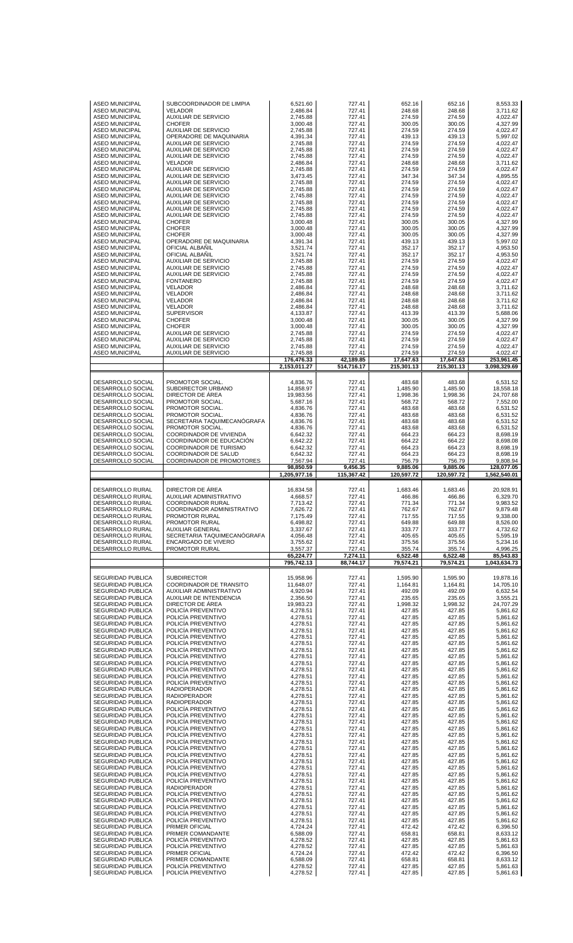| <b>ASEO MUNICIPAL</b><br><b>ASEO MUNICIPAL</b><br><b>ASEO MUNICIPAL</b><br><b>ASEO MUNICIPAL</b><br><b>ASEO MUNICIPAL</b><br><b>ASEO MUNICIPAL</b><br><b>ASEO MUNICIPAL</b><br><b>ASEO MUNICIPAL</b><br><b>ASEO MUNICIPAL</b><br><b>ASEO MUNICIPAL</b><br><b>ASEO MUNICIPAL</b><br><b>ASEO MUNICIPAL</b><br><b>ASEO MUNICIPAL</b><br><b>ASEO MUNICIPAL</b><br><b>ASEO MUNICIPAL</b><br><b>ASEO MUNICIPAL</b><br><b>ASEO MUNICIPAL</b><br><b>ASEO MUNICIPAL</b><br><b>ASEO MUNICIPAL</b><br><b>ASEO MUNICIPAL</b><br><b>ASEO MUNICIPAL</b><br><b>ASEO MUNICIPAL</b><br><b>ASEO MUNICIPAL</b><br><b>ASEO MUNICIPAL</b><br><b>ASEO MUNICIPAL</b><br><b>ASEO MUNICIPAL</b><br><b>ASEO MUNICIPAL</b><br><b>ASEO MUNICIPAL</b><br><b>ASEO MUNICIPAL</b><br><b>ASEO MUNICIPAL</b><br><b>ASEO MUNICIPAL</b><br><b>ASEO MUNICIPAL</b><br><b>ASEO MUNICIPAL</b><br><b>ASEO MUNICIPAL</b><br><b>ASEO MUNICIPAL</b><br><b>ASEO MUNICIPAL</b><br><b>ASEO MUNICIPAL</b><br><b>ASEO MUNICIPAL</b><br><b>ASEO MUNICIPAL</b>                                                                                                               | SUBCOORDINADOR DE LIMPIA<br><b>VELADOR</b><br><b>AUXILIAR DE SERVICIO</b><br><b>CHOFER</b><br><b>AUXILIAR DE SERVICIO</b><br>OPERADORE DE MAQUINARIA<br><b>AUXILIAR DE SERVICIO</b><br><b>AUXILIAR DE SERVICIO</b><br><b>AUXILIAR DE SERVICIO</b><br><b>VELADOR</b><br><b>AUXILIAR DE SERVICIO</b><br><b>AUXILIAR DE SERVICIO</b><br><b>AUXILIAR DE SERVICIO</b><br><b>AUXILIAR DE SERVICIO</b><br><b>AUXILIAR DE SERVICIO</b><br><b>AUXILIAR DE SERVICIO</b><br><b>AUXILIAR DE SERVICIO</b><br><b>AUXILIAR DE SERVICIO</b><br><b>CHOFER</b><br><b>CHOFER</b><br><b>CHOFER</b><br>OPERADORE DE MAQUINARIA<br>OFICIAL ALBANIL<br>OFICIAL ALBAÑIL<br><b>AUXILIAR DE SERVICIO</b><br><b>AUXILIAR DE SERVICIO</b><br><b>AUXILIAR DE SERVICIO</b><br><b>FONTANERO</b><br><b>VELADOR</b><br><b>VELADOR</b><br><b>VELADOR</b><br><b>VELADOR</b><br><b>SUPERVISOR</b><br><b>CHOFER</b><br><b>CHOFER</b><br><b>AUXILIAR DE SERVICIO</b><br><b>AUXILIAR DE SERVICIO</b><br><b>AUXILIAR DE SERVICIO</b><br><b>AUXILIAR DE SERVICIO</b>                             | 6,521.60<br>2,486.84<br>2,745.88<br>3,000.48<br>2,745.88<br>4,391.34<br>2,745.88<br>2,745.88<br>2,745.88<br>2,486.84<br>2,745.88<br>3,473.45<br>2,745.88<br>2,745.88<br>2,745.88<br>2,745.88<br>2.745.88<br>2,745.88<br>3,000.48<br>3,000.48<br>3,000.48<br>4,391.34<br>3,521.74<br>3,521.74<br>2,745.88<br>2,745.88<br>2,745.88<br>2,745.88<br>2,486.84<br>2,486.84<br>2,486.84<br>2,486.84<br>4,133.87<br>3,000.48<br>3,000.48<br>2,745.88<br>2,745.88<br>2,745.88<br>2,745.88                                                                                        | 727.41<br>727.41<br>727.41<br>727.41<br>727.41<br>727.41<br>727.41<br>727.41<br>727.41<br>727.41<br>727.41<br>727.41<br>727.41<br>727.41<br>727.41<br>727.41<br>727.41<br>727.41<br>727.41<br>727.41<br>727.41<br>727.41<br>727.41<br>727.41<br>727.41<br>727.41<br>727.41<br>727.41<br>727.41<br>727.41<br>727.41<br>727.41<br>727.41<br>727.41<br>727.41<br>727.41<br>727.41<br>727.41<br>727.41                                                                       | 652.16<br>248.68<br>274.59<br>300.05<br>274.59<br>439.13<br>274.59<br>274.59<br>274.59<br>248.68<br>274.59<br>347.34<br>274.59<br>274.59<br>274.59<br>274.59<br>274.59<br>274.59<br>300.05<br>300.05<br>300.05<br>439.13<br>352.17<br>352.17<br>274.59<br>274.59<br>274.59<br>274.59<br>248.68<br>248.68<br>248.68<br>248.68<br>413.39<br>300.05<br>300.05<br>274.59<br>274.59<br>274.59<br>274.59                                                                             | 652.16<br>248.68<br>274.59<br>300.05<br>274.59<br>439.13<br>274.59<br>274.59<br>274.59<br>248.68<br>274.59<br>347.34<br>274.59<br>274.59<br>274.59<br>274.59<br>274.59<br>274.59<br>300.05<br>300.05<br>300.05<br>439.13<br>352.17<br>352.17<br>274.59<br>274.59<br>274.59<br>274.59<br>248.68<br>248.68<br>248.68<br>248.68<br>413.39<br>300.05<br>300.05<br>274.59<br>274.59<br>274.59<br>274.59                                                                             | 8,553.33<br>3,711.62<br>4,022.47<br>4,327.99<br>4,022.47<br>5,997.02<br>4,022.47<br>4,022.47<br>4,022.47<br>3,711.62<br>4,022.47<br>4,895.55<br>4,022.47<br>4,022.47<br>4,022.47<br>4,022.47<br>4,022.47<br>4,022.47<br>4,327.99<br>4,327.99<br>4.327.99<br>5,997.02<br>4,953.50<br>4,953.50<br>4,022.47<br>4,022.47<br>4,022.47<br>4,022.47<br>3.711.62<br>3.711.62<br>3,711.62<br>3,711.62<br>5,688.06<br>4,327.99<br>4,327.99<br>4,022.47<br>4,022.47<br>4,022.47<br>4,022.47                                                                                        |
|---------------------------------------------------------------------------------------------------------------------------------------------------------------------------------------------------------------------------------------------------------------------------------------------------------------------------------------------------------------------------------------------------------------------------------------------------------------------------------------------------------------------------------------------------------------------------------------------------------------------------------------------------------------------------------------------------------------------------------------------------------------------------------------------------------------------------------------------------------------------------------------------------------------------------------------------------------------------------------------------------------------------------------------------------------------------------------------------------------------------------|---------------------------------------------------------------------------------------------------------------------------------------------------------------------------------------------------------------------------------------------------------------------------------------------------------------------------------------------------------------------------------------------------------------------------------------------------------------------------------------------------------------------------------------------------------------------------------------------------------------------------------------------------------------------------------------------------------------------------------------------------------------------------------------------------------------------------------------------------------------------------------------------------------------------------------------------------------------------------------------------------------------------------------------------------------|-------------------------------------------------------------------------------------------------------------------------------------------------------------------------------------------------------------------------------------------------------------------------------------------------------------------------------------------------------------------------------------------------------------------------------------------------------------------------------------------------------------------------------------------------------------------------|--------------------------------------------------------------------------------------------------------------------------------------------------------------------------------------------------------------------------------------------------------------------------------------------------------------------------------------------------------------------------------------------------------------------------------------------------------------------------|--------------------------------------------------------------------------------------------------------------------------------------------------------------------------------------------------------------------------------------------------------------------------------------------------------------------------------------------------------------------------------------------------------------------------------------------------------------------------------|--------------------------------------------------------------------------------------------------------------------------------------------------------------------------------------------------------------------------------------------------------------------------------------------------------------------------------------------------------------------------------------------------------------------------------------------------------------------------------|-------------------------------------------------------------------------------------------------------------------------------------------------------------------------------------------------------------------------------------------------------------------------------------------------------------------------------------------------------------------------------------------------------------------------------------------------------------------------------------------------------------------------------------------------------------------------|
|                                                                                                                                                                                                                                                                                                                                                                                                                                                                                                                                                                                                                                                                                                                                                                                                                                                                                                                                                                                                                                                                                                                           |                                                                                                                                                                                                                                                                                                                                                                                                                                                                                                                                                                                                                                                                                                                                                                                                                                                                                                                                                                                                                                                         | 176,476.33                                                                                                                                                                                                                                                                                                                                                                                                                                                                                                                                                              | 42,189.85                                                                                                                                                                                                                                                                                                                                                                                                                                                                | 17,647.63                                                                                                                                                                                                                                                                                                                                                                                                                                                                      | 17,647.63                                                                                                                                                                                                                                                                                                                                                                                                                                                                      | 253,961.45                                                                                                                                                                                                                                                                                                                                                                                                                                                                                                                                                              |
| DESARROLLO SOCIAL<br>DESARROLLO SOCIAL<br>DESARROLLO SOCIAL<br>DESARROLLO SOCIAL<br>DESARROLLO SOCIAL<br>DESARROLLO SOCIAL<br>DESARROLLO SOCIAL<br>DESARROLLO SOCIAL<br>DESARROLLO SOCIAL<br>DESARROLLO SOCIAL<br>DESARROLLO SOCIAL<br>DESARROLLO SOCIAL<br>DESARROLLO SOCIAL                                                                                                                                                                                                                                                                                                                                                                                                                                                                                                                                                                                                                                                                                                                                                                                                                                             | PROMOTOR SOCIAL.<br>SUBDIRECTOR URBANO<br>DIRECTOR DE ÁREA<br>PROMOTOR SOCIAL.<br>PROMOTOR SOCIAL.<br>PROMOTOR SOCIAL.<br>SECRETARIA TAQUIMECANÓGRAFA<br>PROMOTOR SOCIAL.<br>COORDINADOR DE VIVIENDA<br>COORDINADOR DE EDUCACIÓN<br>COORDINADOR DE TURISMO<br>COORDINADOR DE SALUD<br>COORDINADOR DE PROMOTORES                                                                                                                                                                                                                                                                                                                                                                                                                                                                                                                                                                                                                                                                                                                                         | 2,153,011.27<br>4,836.76<br>14,858.97<br>19,983.56<br>5,687.16<br>4,836.76<br>4,836.76<br>4,836.76<br>4,836.76<br>6,642.32<br>6,642.22<br>6,642.32<br>6,642.32<br>7,567.94<br>98,850.59<br>1,205,977.16                                                                                                                                                                                                                                                                                                                                                                 | 514,716.17<br>727.41<br>727.41<br>727.41<br>727.41<br>727.41<br>727.41<br>727.41<br>727.41<br>727.41<br>727.41<br>727.41<br>727.41<br>727.41<br>9,456.35<br>115,367.42                                                                                                                                                                                                                                                                                                   | 215,301.13<br>483.68<br>1,485.90<br>1,998.36<br>568.72<br>483.68<br>483.68<br>483.68<br>483.68<br>664.23<br>664.22<br>664.23<br>664.23<br>756.79<br>9,885.06<br>120,597.72                                                                                                                                                                                                                                                                                                     | 215,301.13<br>483.68<br>1,485.90<br>1,998.36<br>568.72<br>483.68<br>483.68<br>483.68<br>483.68<br>664.23<br>664.22<br>664.23<br>664.23<br>756.79<br>9,885.06<br>120,597.72                                                                                                                                                                                                                                                                                                     | 3,098,329.69<br>6,531.52<br>18,558.18<br>24,707.68<br>7,552.00<br>6,531.52<br>6,531.52<br>6,531.52<br>6,531.52<br>8,698.19<br>8,698.08<br>8,698.19<br>8,698.19<br>9,808.94<br>128,077.05<br>1,562,540.01                                                                                                                                                                                                                                                                                                                                                                |
| DESARROLLO RURAL<br>DESARROLLO RURAL<br>DESARROLLO RURAL<br>DESARROLLO RURAL<br>DESARROLLO RURAL<br>DESARROLLO RURAL<br>DESARROLLO RURAL<br>DESARROLLO RURAL<br>DESARROLLO RURAL<br>DESARROLLO RURAL                                                                                                                                                                                                                                                                                                                                                                                                                                                                                                                                                                                                                                                                                                                                                                                                                                                                                                                      | DIRECTOR DE ÁREA<br>AUXILIAR ADMINISTRATIVO<br><b>COORDINADOR RURAL</b><br>COORDINADOR ADMINISTRATIVO<br>PROMOTOR RURAL<br>PROMOTOR RURAL<br><b>AUXILIAR GENERAL</b><br>SECRETARIA TAQUIMECANOGRAFA<br>ENCARGADO DE VIVERO<br>PROMOTOR RURAL                                                                                                                                                                                                                                                                                                                                                                                                                                                                                                                                                                                                                                                                                                                                                                                                            | 16,834.58<br>4,668.57<br>7,713.42<br>7,626.72<br>7,175.49<br>6,498.82<br>3,337.67<br>4,056.48<br>3,755.62<br>3,557.37<br>65,224.77                                                                                                                                                                                                                                                                                                                                                                                                                                      | 727.41<br>727.41<br>727.41<br>727.41<br>727.41<br>727.41<br>727.41<br>727.41<br>727.41<br>727.41<br>7,274.11                                                                                                                                                                                                                                                                                                                                                             | 1,683.46<br>466.86<br>771.34<br>762.67<br>717.55<br>649.88<br>333.77<br>405.65<br>375.56<br>355.74<br>6,522.48                                                                                                                                                                                                                                                                                                                                                                 | 1,683.46<br>466.86<br>771.34<br>762.67<br>717.55<br>649.88<br>333.77<br>405.65<br>375.56<br>355.74<br>6,522.48                                                                                                                                                                                                                                                                                                                                                                 | 20.928.91<br>6,329.70<br>9,983.52<br>9,879.48<br>9,338.00<br>8,526.00<br>4,732.62<br>5,595.19<br>5,234.16<br>4,996.25<br>85,543.83                                                                                                                                                                                                                                                                                                                                                                                                                                      |
|                                                                                                                                                                                                                                                                                                                                                                                                                                                                                                                                                                                                                                                                                                                                                                                                                                                                                                                                                                                                                                                                                                                           |                                                                                                                                                                                                                                                                                                                                                                                                                                                                                                                                                                                                                                                                                                                                                                                                                                                                                                                                                                                                                                                         | 795,742.13                                                                                                                                                                                                                                                                                                                                                                                                                                                                                                                                                              | 88.744.17                                                                                                                                                                                                                                                                                                                                                                                                                                                                | 79.574.21                                                                                                                                                                                                                                                                                                                                                                                                                                                                      | 79,574.21                                                                                                                                                                                                                                                                                                                                                                                                                                                                      | 1,043,634.73                                                                                                                                                                                                                                                                                                                                                                                                                                                                                                                                                            |
| SEGURIDAD PUBLICA<br><b>SEGURIDAD PUBLICA</b><br>SEGURIDAD PUBLICA<br>SEGURIDAD PUBLICA<br><b>SEGURIDAD PUBLICA</b><br>SEGURIDAD PUBLICA<br><b>SEGURIDAD PUBLICA</b><br><b>SEGURIDAD PUBLICA</b><br>SEGURIDAD PUBLICA<br>SEGURIDAD PUBLICA<br>SEGURIDAD PUBLICA<br><b>SEGURIDAD PUBLICA</b><br>SEGURIDAD PUBLICA<br><b>SEGURIDAD PUBLICA</b><br>SEGURIDAD PUBLICA<br>SEGURIDAD PUBLICA<br>SEGURIDAD PUBLICA<br><b>SEGURIDAD PUBLICA</b><br>SEGURIDAD PUBLICA<br><b>SEGURIDAD PUBLICA</b><br>SEGURIDAD PUBLICA<br>SEGURIDAD PUBLICA<br><b>SEGURIDAD PUBLICA</b><br>SEGURIDAD PUBLICA<br>SEGURIDAD PUBLICA<br><b>SEGURIDAD PUBLICA</b><br>SEGURIDAD PUBLICA<br>SEGURIDAD PUBLICA<br>SEGURIDAD PUBLICA<br>SEGURIDAD PUBLICA<br><b>SEGURIDAD PUBLICA</b><br><b>SEGURIDAD PUBLICA</b><br>SEGURIDAD PUBLICA<br>SEGURIDAD PUBLICA<br>SEGURIDAD PUBLICA<br><b>SEGURIDAD PUBLICA</b><br>SEGURIDAD PUBLICA<br><b>SEGURIDAD PUBLICA</b><br>SEGURIDAD PUBLICA<br>SEGURIDAD PUBLICA<br>SEGURIDAD PUBLICA<br>SEGURIDAD PUBLICA<br><b>SEGURIDAD PUBLICA</b><br><b>SEGURIDAD PUBLICA</b><br>SEGURIDAD PUBLICA<br><b>SEGURIDAD PUBLICA</b> | <b>SUBDIRECTOR</b><br>COORDINADOR DE TRANSITO<br>AUXILIAR ADMINISTRATIVO<br>AUXILIAR DE INTENDENCIA<br>DIRECTOR DE ÁREA<br>POLICÍA PREVENTIVO<br>POLICÍA PREVENTIVO<br>POLICIA PREVENTIVO<br>POLICÍA PREVENTIVO<br>POLICÍA PREVENTIVO<br>POLICÍA PREVENTIVO<br>POLICÍA PREVENTIVO<br>POLICÍA PREVENTIVO<br>POLICÍA PREVENTIVO<br>POLICÍA PREVENTIVO<br>POLICÍA PREVENTIVO<br>POLICIA PREVENTIVO<br><b>RADIOPERADOR</b><br><b>RADIOPERADOR</b><br><b>RADIOPERADOR</b><br>POLICÍA PREVENTIVO<br>POLICÍA PREVENTIVO<br>POLICIA PREVENTIVO<br>POLICÍA PREVENTIVO<br>POLICÍA PREVENTIVO<br>POLICÍA PREVENTIVO<br>POLICÍA PREVENTIVO<br>POLICÍA PREVENTIVO<br>POLICÍA PREVENTIVO<br>POLICÍA PREVENTIVO<br>POLICÍA PREVENTIVO<br>POLICIA PREVENTIVO<br><b>RADIOPERADOR</b><br>POLICÍA PREVENTIVO<br>POLICÍA PREVENTIVO<br>POLICÍA PREVENTIVO<br>POLICÍA PREVENTIVO<br>POLICÍA PREVENTIVO<br>PRIMER OFICIAL<br>PRIMER COMANDANTE<br>POLICIA PREVENTIVO<br>POLICÍA PREVENTIVO<br>PRIMER OFICIAL<br>PRIMER COMANDANTE<br>POLICÍA PREVENTIVO<br>POLICÍA PREVENTIVO | 15,958.96<br>11,648.07<br>4,920.94<br>2,356.50<br>19,983.23<br>4,278.51<br>4.278.51<br>4,278.51<br>4,278.51<br>4,278.51<br>4,278.51<br>4,278.51<br>4,278.51<br>4,278.51<br>4,278.51<br>4,278.51<br>4,278.51<br>4,278.51<br>4,278.51<br>4,278.51<br>4,278.51<br>4,278.51<br>4,278.51<br>4,278.51<br>4,278.51<br>4,278.51<br>4,278.51<br>4,278.51<br>4,278.51<br>4,278.51<br>4,278.51<br>4,278.51<br>4,278.51<br>4,278.51<br>4,278.51<br>4,278.51<br>4,278.51<br>4,278.51<br>4,724.24<br>6,588.09<br>4,278.52<br>4,278.52<br>4,724.24<br>6,588.09<br>4,278.52<br>4,278.52 | 727.41<br>727.41<br>727.41<br>727.41<br>727.41<br>727.41<br>727.41<br>727.41<br>727.41<br>727.41<br>727.41<br>727.41<br>727.41<br>727.41<br>727.41<br>727.41<br>727.41<br>727.41<br>727.41<br>727.41<br>727.41<br>727.41<br>727.41<br>727.41<br>727.41<br>727.41<br>727.41<br>727.41<br>727.41<br>727.41<br>727.41<br>727.41<br>727.41<br>727.41<br>727.41<br>727.41<br>727.41<br>727.41<br>727.41<br>727.41<br>727.41<br>727.41<br>727.41<br>727.41<br>727.41<br>727.41 | 1,595.90<br>1,164.81<br>492.09<br>235.65<br>1,998.32<br>427.85<br>427.85<br>427.85<br>427.85<br>427.85<br>427.85<br>427.85<br>427.85<br>427.85<br>427.85<br>427.85<br>427.85<br>427.85<br>427.85<br>427.85<br>427.85<br>427.85<br>427.85<br>427.85<br>427.85<br>427.85<br>427.85<br>427.85<br>427.85<br>427.85<br>427.85<br>427.85<br>427.85<br>427.85<br>427.85<br>427.85<br>427.85<br>427.85<br>472.42<br>658.81<br>427.85<br>427.85<br>472.42<br>658.81<br>427.85<br>427.85 | 1.595.90<br>1,164.81<br>492.09<br>235.65<br>1,998.32<br>427.85<br>427.85<br>427.85<br>427.85<br>427.85<br>427.85<br>427.85<br>427.85<br>427.85<br>427.85<br>427.85<br>427.85<br>427.85<br>427.85<br>427.85<br>427.85<br>427.85<br>427.85<br>427.85<br>427.85<br>427.85<br>427.85<br>427.85<br>427.85<br>427.85<br>427.85<br>427.85<br>427.85<br>427.85<br>427.85<br>427.85<br>427.85<br>427.85<br>472.42<br>658.81<br>427.85<br>427.85<br>472.42<br>658.81<br>427.85<br>427.85 | 19,878.16<br>14,705.10<br>6,632.54<br>3.555.21<br>24,707.29<br>5,861.62<br>5,861.62<br>5,861.62<br>5,861.62<br>5,861.62<br>5,861.62<br>5,861.62<br>5,861.62<br>5,861.62<br>5,861.62<br>5,861.62<br>5,861.62<br>5,861.62<br>5,861.62<br>5,861.62<br>5,861.62<br>5,861.62<br>5,861.62<br>5,861.62<br>5,861.62<br>5,861.62<br>5,861.62<br>5,861.62<br>5,861.62<br>5,861.62<br>5,861.62<br>5,861.62<br>5,861.62<br>5,861.62<br>5,861.62<br>5,861.62<br>5,861.62<br>5,861.62<br>6,396.50<br>8.633.12<br>5,861.63<br>5,861.63<br>6,396.50<br>8,633.12<br>5,861.63<br>5,861.63 |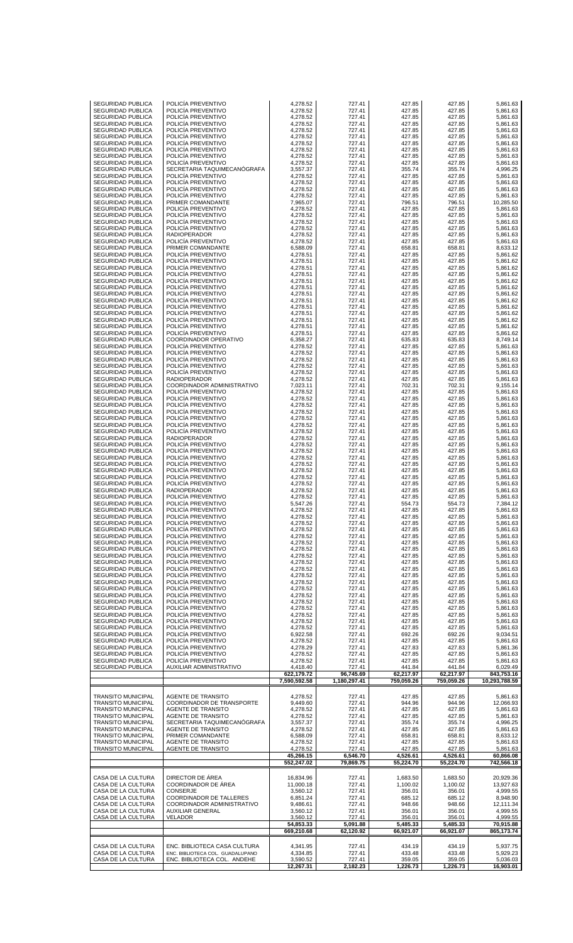| SEGURIDAD PUBLICA                                    | POLICIA PREVENTIVO                                                                              | 4,278.52                         | 727.41                    | 427.85                  | 427.85                  | 5,861.63                    |
|------------------------------------------------------|-------------------------------------------------------------------------------------------------|----------------------------------|---------------------------|-------------------------|-------------------------|-----------------------------|
| SEGURIDAD PUBLICA                                    | POLICIA PREVENTIVO                                                                              | 4,278.52                         | 727.41                    | 427.85                  | 427.85                  | 5,861.63                    |
| <b>SEGURIDAD PUBLICA</b>                             | POLICÍA PREVENTIVO                                                                              | 4,278.52                         | 727.41                    | 427.85                  | 427.85                  | 5,861.63                    |
| SEGURIDAD PUBLICA                                    | POLICIA PREVENTIVO                                                                              | 4,278.52                         | 727.41                    | 427.85                  | 427.85                  | 5,861.63                    |
| <b>SEGURIDAD PUBLICA</b>                             | POLICIA PREVENTIVO                                                                              | 4,278.52                         | 727.41                    | 427.85                  | 427.85                  | 5,861.63                    |
| <b>SEGURIDAD PUBLICA</b>                             | POLICÍA PREVENTIVO                                                                              | 4,278.52                         | 727.41                    | 427.85                  | 427.85                  | 5,861.63                    |
| <b>SEGURIDAD PUBLICA</b>                             | POLICIA PREVENTIVO                                                                              | 4,278.52                         | 727.41                    | 427.85                  | 427.85                  | 5,861.63                    |
| <b>SEGURIDAD PUBLICA</b>                             | POLICIA PREVENTIVO<br>POLICÍA PREVENTIVO                                                        | 4,278.52                         | 727.41                    | 427.85                  | 427.85                  | 5,861.63                    |
| <b>SEGURIDAD PUBLICA</b><br>SEGURIDAD PUBLICA        | POLICIA PREVENTIVO                                                                              | 4,278.52<br>4,278.52             | 727.41<br>727.41          | 427.85<br>427.85        | 427.85<br>427.85        | 5,861.63<br>5,861.63        |
| <b>SEGURIDAD PUBLICA</b>                             | SECRETARIA TAQUIMECANÓGRAFA                                                                     | 3,557.37                         | 727.41                    | 355.74                  | 355.74                  | 4,996.25                    |
| <b>SEGURIDAD PUBLICA</b>                             | POLICÍA PREVENTIVO                                                                              | 4,278.52                         | 727.41                    | 427.85                  | 427.85                  | 5,861.63                    |
| <b>SEGURIDAD PUBLICA</b>                             | POLICIA PREVENTIVO                                                                              | 4,278.52                         | 727.41                    | 427.85                  | 427.85                  | 5,861.63                    |
| <b>SEGURIDAD PUBLICA</b>                             | POLICIA PREVENTIVO                                                                              | 4,278.52                         | 727.41                    | 427.85                  | 427.85                  | 5,861.63                    |
| <b>SEGURIDAD PUBLICA</b>                             | POLICÍA PREVENTIVO                                                                              | 4,278.52                         | 727.41                    | 427.85                  | 427.85                  | 5,861.63                    |
| SEGURIDAD PUBLICA                                    | PRIMER COMANDANTE                                                                               | 7,965.07                         | 727.41                    | 796.51                  | 796.51                  | 10,285.50                   |
| SEGURIDAD PUBLICA                                    | POLICIA PREVENTIVO                                                                              | 4,278.52                         | 727.41                    | 427.85                  | 427.85                  | 5,861.63                    |
| SEGURIDAD PUBLICA                                    | POLICÍA PREVENTIVO                                                                              | 4,278.52                         | 727.41                    | 427.85                  | 427.85                  | 5,861.63                    |
| <b>SEGURIDAD PUBLICA</b>                             | POLICIA PREVENTIVO                                                                              | 4,278.52                         | 727.41                    | 427.85                  | 427.85                  | 5,861.63                    |
| <b>SEGURIDAD PUBLICA</b>                             | POLICIA PREVENTIVO                                                                              | 4,278.52                         | 727.41                    | 427.85                  | 427.85                  | 5,861.63                    |
| <b>SEGURIDAD PUBLICA</b>                             | <b>RADIOPERADOR</b>                                                                             | 4,278.52                         | 727.41                    | 427.85                  | 427.85                  | 5,861.63                    |
| SEGURIDAD PUBLICA                                    | POLICIA PREVENTIVO                                                                              | 4,278.52                         | 727.41                    | 427.85                  | 427.85                  | 5,861.63                    |
| <b>SEGURIDAD PUBLICA</b>                             | PRIMER COMANDANTE                                                                               | 6,588.09                         | 727.41                    | 658.81                  | 658.81                  | 8,633.12                    |
| SEGURIDAD PUBLICA                                    | POLICÍA PREVENTIVO                                                                              | 4,278.51                         | 727.41                    | 427.85                  | 427.85                  | 5,861.62                    |
| <b>SEGURIDAD PUBLICA</b>                             | POLICIA PREVENTIVO                                                                              | 4,278.51                         | 727.41                    | 427.85                  | 427.85                  | 5,861.62                    |
| <b>SEGURIDAD PUBLICA</b>                             | POLICIA PREVENTIVO                                                                              | 4,278.51                         | 727.41                    | 427.85                  | 427.85                  | 5,861.62                    |
| SEGURIDAD PUBLICA                                    | POLICÍA PREVENTIVO                                                                              | 4,278.51                         | 727.41                    | 427.85                  | 427.85                  | 5,861.62                    |
| SEGURIDAD PUBLICA                                    | POLICIA PREVENTIVO                                                                              | 4,278.51                         | 727.41                    | 427.85                  | 427.85                  | 5,861.62<br>5,861.62        |
| <b>SEGURIDAD PUBLICA</b><br>SEGURIDAD PUBLICA        | POLICIA PREVENTIVO<br>POLICÍA PREVENTIVO                                                        | 4,278.51<br>4,278.51             | 727.41<br>727.41          | 427.85<br>427.85        | 427.85<br>427.85        | 5,861.62                    |
| <b>SEGURIDAD PUBLICA</b>                             | POLICIA PREVENTIVO                                                                              | 4,278.51                         | 727.41                    | 427.85                  | 427.85                  | 5,861.62                    |
| <b>SEGURIDAD PUBLICA</b>                             | POLICÍA PREVENTIVO                                                                              | 4,278.51                         | 727.41                    | 427.85                  | 427.85                  | 5,861.62                    |
| <b>SEGURIDAD PUBLICA</b>                             | POLICÍA PREVENTIVO                                                                              | 4,278.51                         | 727.41                    | 427.85                  | 427.85                  | 5,861.62                    |
| SEGURIDAD PUBLICA                                    | POLICIA PREVENTIVO                                                                              | 4,278.51                         | 727.41                    | 427.85                  | 427.85                  | 5,861.62                    |
| <b>SEGURIDAD PUBLICA</b>                             | POLICIA PREVENTIVO                                                                              | 4,278.51                         | 727.41                    | 427.85                  | 427.85                  | 5,861.62                    |
| <b>SEGURIDAD PUBLICA</b>                             | POLICÍA PREVENTIVO                                                                              | 4,278.51                         | 727.41                    | 427.85                  | 427.85                  | 5,861.62                    |
| <b>SEGURIDAD PUBLICA</b>                             | COORDINADOR OPERATIVO                                                                           | 6,358.27                         | 727.41                    | 635.83                  | 635.83                  | 8,749.14                    |
| <b>SEGURIDAD PUBLICA</b>                             | POLICIA PREVENTIVO<br>POLICÍA PREVENTIVO                                                        | 4,278.52                         | 727.41                    | 427.85                  | 427.85                  | 5,861.63                    |
| <b>SEGURIDAD PUBLICA</b><br><b>SEGURIDAD PUBLICA</b> | POLICIA PREVENTIVO                                                                              | 4,278.52<br>4,278.52             | 727.41<br>727.41          | 427.85<br>427.85        | 427.85<br>427.85        | 5,861.63<br>5,861.63        |
| <b>SEGURIDAD PUBLICA</b>                             | POLICIA PREVENTIVO                                                                              | 4,278.52                         | 727.41                    | 427.85                  | 427.85                  | 5,861.63                    |
| <b>SEGURIDAD PUBLICA</b>                             | POLICÍA PREVENTIVO                                                                              | 4,278.52                         | 727.41                    | 427.85                  | 427.85                  | 5,861.63                    |
| <b>SEGURIDAD PUBLICA</b>                             | <b>RADIOPERADOR</b>                                                                             | 4,278.52                         | 727.41                    | 427.85                  | 427.85                  | 5,861.63                    |
| <b>SEGURIDAD PUBLICA</b>                             | COORDINADOR ADMINISTRATIVO                                                                      | 7,023.11                         | 727.41                    | 702.31                  | 702.31                  | 9,155.14                    |
| <b>SEGURIDAD PUBLICA</b>                             | POLICÍA PREVENTIVO                                                                              | 4,278.52                         | 727.41                    | 427.85                  | 427.85                  | 5,861.63                    |
| <b>SEGURIDAD PUBLICA</b>                             | POLICIA PREVENTIVO                                                                              | 4,278.52                         | 727.41                    | 427.85                  | 427.85                  | 5,861.63                    |
| <b>SEGURIDAD PUBLICA</b>                             | POLICIA PREVENTIVO                                                                              | 4,278.52                         | 727.41                    | 427.85                  | 427.85                  | 5,861.63                    |
| <b>SEGURIDAD PUBLICA</b><br><b>SEGURIDAD PUBLICA</b> | POLICÍA PREVENTIVO<br>POLICIA PREVENTIVO                                                        | 4,278.52                         | 727.41                    | 427.85<br>427.85        | 427.85<br>427.85        | 5,861.63<br>5,861.63        |
| <b>SEGURIDAD PUBLICA</b>                             | POLICIA PREVENTIVO                                                                              | 4,278.52<br>4,278.52             | 727.41<br>727.41          | 427.85                  | 427.85                  | 5,861.63                    |
| <b>SEGURIDAD PUBLICA</b>                             | POLICÍA PREVENTIVO                                                                              | 4,278.52                         | 727.41                    | 427.85                  | 427.85                  | 5,861.63                    |
| <b>SEGURIDAD PUBLICA</b>                             | <b>RADIOPERADOR</b>                                                                             | 4,278.52                         | 727.41                    | 427.85                  | 427.85                  | 5,861.63                    |
| <b>SEGURIDAD PUBLICA</b>                             | POLICIA PREVENTIVO                                                                              | 4,278.52                         | 727.41                    | 427.85                  | 427.85                  | 5,861.63                    |
| <b>SEGURIDAD PUBLICA</b>                             | POLICÍA PREVENTIVO                                                                              | 4,278.52                         | 727.41                    | 427.85                  | 427.85                  | 5,861.63                    |
| <b>SEGURIDAD PUBLICA</b>                             | POLICIA PREVENTIVO                                                                              | 4,278.52                         | 727.41                    | 427.85                  | 427.85                  | 5,861.63                    |
| <b>SEGURIDAD PUBLICA</b>                             | POLICIA PREVENTIVO                                                                              | 4,278.52                         | 727.41                    | 427.85                  | 427.85                  | 5,861.63                    |
| <b>SEGURIDAD PUBLICA</b>                             | POLICÍA PREVENTIVO                                                                              | 4,278.52                         | 727.41                    | 427.85                  | 427.85                  | 5,861.63                    |
| SEGURIDAD PUBLICA                                    | POLICÍA PREVENTIVO                                                                              | 4,278.52                         | 727.41                    | 427.85                  | 427.85                  | 5,861.63                    |
|                                                      |                                                                                                 |                                  |                           |                         |                         |                             |
| <b>SEGURIDAD PUBLICA</b>                             | POLICIA PREVENTIVO                                                                              | 4,278.52                         | 727.41                    | 427.85                  | 427.85                  | 5,861.63                    |
| <b>SEGURIDAD PUBLICA</b>                             | <b>RADIOPERADOR</b>                                                                             | 4,278.52                         | 727.41                    | 427.85                  | 427.85                  | 5,861.63                    |
| <b>SEGURIDAD PUBLICA</b>                             | POLICÍA PREVENTIVO                                                                              | 4,278.52                         | 727.41                    | 427.85                  | 427.85                  | 5,861.63                    |
| <b>SEGURIDAD PUBLICA</b>                             | POLICÍA PREVENTIVO                                                                              | 5,547.26                         | 727.41                    | 554.73                  | 554.73                  | 7,384.12                    |
| <b>SEGURIDAD PUBLICA</b>                             | POLICÍA PREVENTIVO                                                                              | 4,278.52                         | 727.41                    | 427.85                  | 427.85                  | 5,861.63                    |
| <b>SEGURIDAD PUBLICA</b>                             | POLICÍA PREVENTIVO                                                                              | 4,278.52                         | 727.41                    | 427.85                  | 427.85                  | 5,861.63                    |
| SEGURIDAD PUBLICA                                    | POLICIA PREVENTIVO                                                                              | 4,278.52                         | 727.41                    | 427.85                  | 427.85                  | 5,861.63                    |
| SEGURIDAD PUBLICA                                    | POLICÍA PREVENTIVO                                                                              | 4,278.52                         | 727.41                    | 427.85                  | 427.85                  | 5,861.63                    |
| <b>SEGURIDAD PUBLICA</b>                             | POLICÍA PREVENTIVO                                                                              | 4,278.52                         | 727.41                    | 427.85                  | 427.85                  | 5,861.63                    |
| SEGURIDAD PUBLICA                                    | POLICÍA PREVENTIVO                                                                              | 4,278.52                         | 727.41                    | 427.85                  | 427.85                  | 5,861.63                    |
| <b>SEGURIDAD PUBLICA</b>                             | POLICÍA PREVENTIVO                                                                              | 4,278.52                         | 727.41                    | 427.85                  | 427.85                  | 5,861.63                    |
| SEGURIDAD PUBLICA                                    | POLICIA PREVENTIVO                                                                              | 4,278.52                         | 727.41                    | 427.85                  | 427.85                  | 5,861.63                    |
| SEGURIDAD PUBLICA                                    | POLICÍA PREVENTIVO                                                                              | 4,278.52                         | 727.41                    | 427.85                  | 427.85                  | 5,861.63                    |
| <b>SEGURIDAD PUBLICA</b>                             | POLICÍA PREVENTIVO                                                                              | 4,278.52                         | 727.41                    | 427.85                  | 427.85                  | 5,861.63                    |
| SEGURIDAD PUBLICA                                    | POLICÍA PREVENTIVO                                                                              | 4,278.52                         | 727.41                    | 427.85                  | 427.85                  | 5,861.63                    |
| SEGURIDAD PUBLICA                                    | POLICÍA PREVENTIVO                                                                              | 4,278.52                         | 727.41                    | 427.85                  | 427.85                  | 5,861.63                    |
| <b>SEGURIDAD PUBLICA</b>                             | POLICÍA PREVENTIVO                                                                              | 4,278.52                         | 727.41                    | 427.85                  | 427.85                  | 5,861.63                    |
| SEGURIDAD PUBLICA                                    | POLICÍA PREVENTIVO                                                                              | 4,278.52                         | 727.41                    | 427.85                  | 427.85                  | 5,861.63                    |
| <b>SEGURIDAD PUBLICA</b>                             | POLICÍA PREVENTIVO                                                                              | 4,278.52                         | 727.41                    | 427.85                  | 427.85                  | 5,861.63                    |
| SEGURIDAD PUBLICA                                    | POLICÍA PREVENTIVO                                                                              | 4,278.52                         | 727.41                    | 427.85                  | 427.85                  | 5,861.63                    |
| SEGURIDAD PUBLICA                                    | POLICÍA PREVENTIVO                                                                              | 4,278.52                         | 727.41                    | 427.85                  | 427.85                  | 5,861.63                    |
| SEGURIDAD PUBLICA                                    | POLICÍA PREVENTIVO                                                                              | 4,278.52                         | 727.41                    | 427.85                  | 427.85                  | 5,861.63                    |
| <b>SEGURIDAD PUBLICA</b>                             | POLICÍA PREVENTIVO                                                                              | 4,278.52                         | 727.41                    | 427.85                  | 427.85                  | 5,861.63                    |
| SEGURIDAD PUBLICA                                    | POLICÍA PREVENTIVO                                                                              | 6,922.58                         | 727.41                    | 692.26                  | 692.26                  | 9,034.51                    |
| SEGURIDAD PUBLICA                                    | POLICÍA PREVENTIVO                                                                              | 4,278.52                         | 727.41                    | 427.85                  | 427.85                  | 5,861.63                    |
| SEGURIDAD PUBLICA                                    | POLICÍA PREVENTIVO                                                                              | 4,278.29                         | 727.41                    | 427.83                  | 427.83                  | 5,861.36                    |
| SEGURIDAD PUBLICA                                    | POLICÍA PREVENTIVO                                                                              | 4,278.52                         | 727.41                    | 427.85                  | 427.85                  | 5,861.63                    |
| SEGURIDAD PUBLICA                                    | POLICÍA PREVENTIVO                                                                              | 4,278.52                         | 727.41                    | 427.85                  | 427.85                  | 5,861.63                    |
| SEGURIDAD PUBLICA                                    | AUXILIAR ADMINISTRATIVO                                                                         | 4,418.40                         | 727.41                    | 441.84                  | 441.84                  | 6,029.49                    |
|                                                      |                                                                                                 | 622,179.72<br>7,590,592.58       | 96,745.69<br>1,180,297.41 | 62,217.97<br>759,059.26 | 62,217.97<br>759,059.26 | 843,753.16<br>10,293,788.59 |
|                                                      |                                                                                                 |                                  |                           |                         |                         |                             |
| <b>TRANSITO MUNICIPAL</b>                            | <b>AGENTE DE TRANSITO</b>                                                                       | 4,278.52                         | 727.41                    | 427.85                  | 427.85                  | 5,861.63                    |
| <b>TRANSITO MUNICIPAL</b>                            | COORDINADOR DE TRANSPORTE                                                                       | 9,449.60                         | 727.41                    | 944.96                  | 944.96                  | 12,066.93                   |
| <b>TRANSITO MUNICIPAL</b>                            | AGENTE DE TRANSITO                                                                              | 4,278.52                         | 727.41                    | 427.85                  | 427.85                  | 5,861.63                    |
| <b>TRANSITO MUNICIPAL</b>                            | <b>AGENTE DE TRANSITO</b>                                                                       | 4,278.52                         | 727.41                    | 427.85                  | 427.85                  | 5,861.63                    |
| <b>TRANSITO MUNICIPAL</b>                            | SECRETARIA TAQUIMECANÓGRAFA                                                                     | 3,557.37                         | 727.41                    | 355.74                  | 355.74                  | 4,996.25                    |
| <b>TRANSITO MUNICIPAL</b>                            | AGENTE DE TRANSITO                                                                              | 4,278.52                         | 727.41                    | 427.85                  | 427.85                  | 5,861.63                    |
| <b>TRANSITO MUNICIPAL</b>                            | PRIMER COMANDANTE                                                                               | 6,588.09                         | 727.41                    | 658.81                  | 658.81                  | 8,633.12                    |
| <b>TRANSITO MUNICIPAL</b>                            | <b>AGENTE DE TRANSITO</b>                                                                       | 4,278.52                         | 727.41                    | 427.85                  | 427.85                  | 5,861.63                    |
| <b>TRANSITO MUNICIPAL</b>                            | AGENTE DE TRANSITO                                                                              | 4,278.52                         | 727.41                    | 427.85                  | 427.85                  | 5,861.63                    |
|                                                      |                                                                                                 | 45,266.15<br>552,247.02          | 6,546.70<br>79,869.75     | 4,526.61<br>55,224.70   | 4,526.61<br>55,224.70   | 60,866.08<br>742,566.18     |
|                                                      |                                                                                                 |                                  |                           |                         |                         |                             |
| CASA DE LA CULTURA                                   | DIRECTOR DE ÁREA                                                                                | 16,834.96                        | 727.41                    | 1,683.50                | 1,683.50                | 20,929.36                   |
| CASA DE LA CULTURA                                   | COORDINADOR DE ÁREA                                                                             | 11,000.18                        | 727.41                    | 1,100.02                | 1,100.02                | 13,927.63                   |
| CASA DE LA CULTURA                                   | CONSERJE                                                                                        | 3,560.12                         | 727.41                    | 356.01                  | 356.01                  | 4,999.55                    |
| CASA DE LA CULTURA                                   | <b>COORDINADOR DE TALLERES</b>                                                                  | 6,851.24                         | 727.41                    | 685.12                  | 685.12                  | 8,948.90                    |
| CASA DE LA CULTURA                                   | COORDINADOR ADMINISTRATIVO                                                                      | 9,486.61                         | 727.41                    | 948.66                  | 948.66                  | 12,111.34                   |
| CASA DE LA CULTURA                                   | <b>AUXILIAR GENERAL</b>                                                                         | 3,560.12                         | 727.41                    | 356.01                  | 356.01                  | 4,999.55                    |
| CASA DE LA CULTURA                                   | <b>VELADOR</b>                                                                                  | 3,560.12                         | 727.41                    | 356.01                  | 356.01                  | 4,999.55                    |
|                                                      |                                                                                                 | 54,853.33<br>669,210.68          | 5,091.88<br>62,120.92     | 5,485.33<br>66,921.07   | 5,485.33<br>66,921.07   | 70,915.88<br>865,173.74     |
| CASA DE LA CULTURA                                   |                                                                                                 |                                  | 727.41                    | 434.19                  | 434.19                  | 5,937.75                    |
| CASA DE LA CULTURA<br>CASA DE LA CULTURA             | ENC. BIBLIOTECA CASA CULTURA<br>ENC. BIBLIOTECA COL. GUADALUPANO<br>ENC. BIBLIOTECA COL. ANDEHE | 4,341.95<br>4,334.85<br>3,590.52 | 727.41<br>727.41          | 433.48<br>359.05        | 433.48<br>359.05        |                             |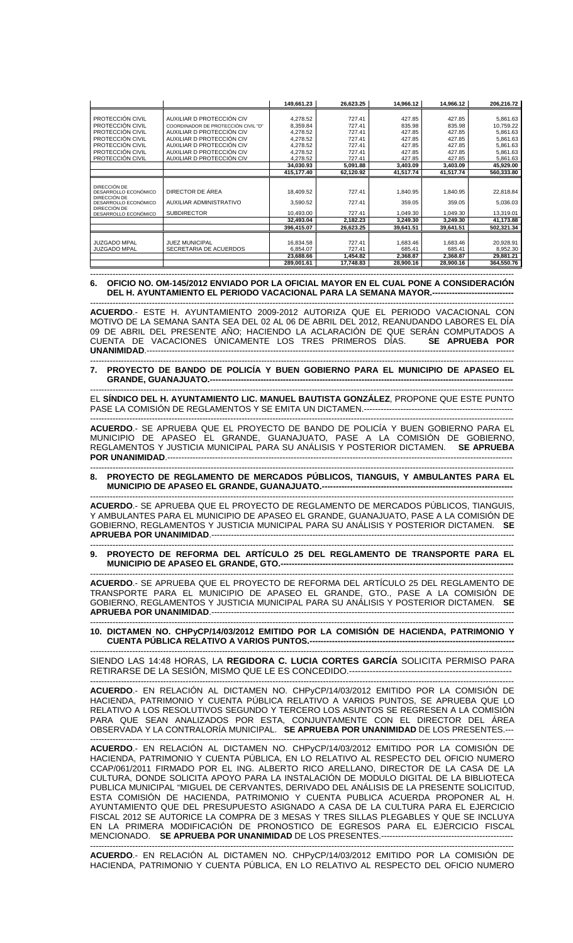|                                      |                                     | 149,661.23 | 26,623.25 | 14,966.12 | 14,966.12 | 206,216.72 |
|--------------------------------------|-------------------------------------|------------|-----------|-----------|-----------|------------|
|                                      |                                     |            |           |           |           |            |
| PROTECCIÓN CIVIL                     | AUXILIAR D PROTECCIÓN CIV           | 4,278.52   | 727.41    | 427.85    | 427.85    | 5,861.63   |
| PROTECCIÓN CIVIL                     | COORDINADOR DE PROTECCIÓN CIVIL "D" | 8,359.84   | 727.41    | 835.98    | 835.98    | 10,759.22  |
| PROTECCIÓN CIVIL                     | AUXILIAR D PROTECCIÓN CIV           | 4,278.52   | 727.41    | 427.85    | 427.85    | 5,861.63   |
| PROTECCIÓN CIVIL                     | AUXILIAR D PROTECCIÓN CIV           | 4,278.52   | 727.41    | 427.85    | 427.85    | 5,861.63   |
| PROTECCIÓN CIVIL                     | AUXILIAR D PROTECCIÓN CIV           | 4,278.52   | 727.41    | 427.85    | 427.85    | 5,861.63   |
| PROTECCIÓN CIVIL                     | AUXILIAR D PROTECCIÓN CIV           | 4,278.52   | 727.41    | 427.85    | 427.85    | 5,861.63   |
| PROTECCIÓN CIVIL                     | AUXILIAR D PROTECCIÓN CIV           | 4,278.52   | 727.41    | 427.85    | 427.85    | 5,861.63   |
|                                      |                                     | 34,030.93  | 5,091.88  | 3,403.09  | 3,403.09  | 45,929.00  |
|                                      |                                     | 415,177.40 | 62,120.92 | 41,517.74 | 41,517.74 | 560,333.80 |
|                                      |                                     |            |           |           |           |            |
| DIRECCIÓN DE                         |                                     |            |           |           |           |            |
| DESARROLLO ECONÓMICO<br>DIRECCIÓN DE | DIRECTOR DE ÁREA                    | 18,409.52  | 727.41    | 1,840.95  | 1,840.95  | 22,818.84  |
| DESARROLLO ECONÓMICO                 | AUXILIAR ADMINISTRATIVO             | 3,590.52   | 727.41    | 359.05    | 359.05    | 5,036.03   |
| DIRECCIÓN DE                         |                                     |            |           |           |           |            |
| DESARROLLO ECONÓMICO                 | <b>SUBDIRECTOR</b>                  | 10,493.00  | 727.41    | 1,049.30  | 1,049.30  | 13,319.01  |
|                                      |                                     | 32,493.04  | 2,182.23  | 3,249.30  | 3,249.30  | 41,173.88  |
|                                      |                                     | 396,415.07 | 26,623.25 | 39,641.51 | 39,641.51 | 502,321.34 |
|                                      |                                     |            |           |           |           |            |
| <b>JUZGADO MPAL</b>                  | <b>JUEZ MUNICIPAL</b>               | 16,834.58  | 727.41    | 1,683.46  | 1,683.46  | 20,928.91  |
| <b>JUZGADO MPAL</b>                  | SECRETARIA DE ACUERDOS              | 6,854.07   | 727.41    | 685.41    | 685.41    | 8,952.30   |
|                                      |                                     | 23,688.66  | 1,454.82  | 2,368.87  | 2,368.87  | 29,881.21  |
|                                      |                                     | 289,001.61 | 17,748.83 | 28,900.16 | 28,900.16 | 364,550.76 |

### ------------------------------------------------------------------------------------------------------------------------------------------------------- **6. OFICIO NO. OM-145/2012 ENVIADO POR LA OFICIAL MAYOR EN EL CUAL PONE A CONSIDERACIÓN**  DEL H. AYUNTAMIENTO EL PERIODO VACACIONAL PARA LA SEMANA MAYOR.----

------------------------------------------------------------------------------------------------------------------------------------------------------- **ACUERDO**.- ESTE H. AYUNTAMIENTO 2009-2012 AUTORIZA QUE EL PERIODO VACACIONAL CON MOTIVO DE LA SEMANA SANTA SEA DEL 02 AL 06 DE ABRIL DEL 2012, REANUDANDO LABORES EL DÍA 09 DE ABRIL DEL PRESENTE AÑO; HACIENDO LA ACLARACIÓN DE QUE SERÁN COMPUTADOS A CUENTA DE VACACIONES ÚNICAMENTE LOS TRES PRIMEROS DÍAS. **SE APRUEBA POR UNANIMIDAD**.-----------------------------------------------------------------------------------------------------------------------------------

## ------------------------------------------------------------------------------------------------------------------------------------------------------- **7. PROYECTO DE BANDO DE POLICÍA Y BUEN GOBIERNO PARA EL MUNICIPIO DE APASEO EL GRANDE, GUANAJUATO.-**

------------------------------------------------------------------------------------------------------------------------------------------------------- EL **SÍNDICO DEL H. AYUNTAMIENTO LIC. MANUEL BAUTISTA GONZÁLEZ**, PROPONE QUE ESTE PUNTO PASE LA COMISIÓN DE REGLAMENTOS Y SE EMITA UN DICTAMEN.---------------------------------

------------------------------------------------------------------------------------------------------------------------------------------------------- **ACUERDO**.- SE APRUEBA QUE EL PROYECTO DE BANDO DE POLICÍA Y BUEN GOBIERNO PARA EL MUNICIPIO DE APASEO EL GRANDE, GUANAJUATO, PASE A LA COMISIÓN DE GOBIERNO, REGLAMENTOS Y JUSTICIA MUNICIPAL PARA SU ANÁLISIS Y POSTERIOR DICTAMEN. **SE APRUEBA POR UNANIMIDAD**.---------------------------------------------------------------------------------------------------------------------------

## ------------------------------------------------------------------------------------------------------------------------------------------------------- **8. PROYECTO DE REGLAMENTO DE MERCADOS PÚBLICOS, TIANGUIS, Y AMBULANTES PARA EL MUNICIPIO DE APASEO EL GRANDE, GUANAJUATO.----**

------------------------------------------------------------------------------------------------------------------------------------------------------- **ACUERDO**.- SE APRUEBA QUE EL PROYECTO DE REGLAMENTO DE MERCADOS PÚBLICOS, TIANGUIS, Y AMBULANTES PARA EL MUNICIPIO DE APASEO EL GRANDE, GUANAJUATO, PASE A LA COMISIÓN DE GOBIERNO, REGLAMENTOS Y JUSTICIA MUNICIPAL PARA SU ANÁLISIS Y POSTERIOR DICTAMEN. **SE APRUEBA POR UNANIMIDAD**.------------------------------------------------------------------------------------------------------------

# ------------------------------------------------------------------------------------------------------------------------------------------------------- **9. PROYECTO DE REFORMA DEL ARTÍCULO 25 DEL REGLAMENTO DE TRANSPORTE PARA EL MUNICIPIO DE APASEO EL GRANDE, GTO.--**

------------------------------------------------------------------------------------------------------------------------------------------------------- **ACUERDO**.- SE APRUEBA QUE EL PROYECTO DE REFORMA DEL ARTÍCULO 25 DEL REGLAMENTO DE TRANSPORTE PARA EL MUNICIPIO DE APASEO EL GRANDE, GTO., PASE A LA COMISIÓN DE GOBIERNO, REGLAMENTOS Y JUSTICIA MUNICIPAL PARA SU ANÁLISIS Y POSTERIOR DICTAMEN. **SE APRUEBA POR UNANIMIDAD.-----**

------------------------------------------------------------------------------------------------------------------------------------------------------- **10. DICTAMEN NO. CHPyCP/14/03/2012 EMITIDO POR LA COMISIÓN DE HACIENDA, PATRIMONIO Y CUENTA PÚBLICA RELATIVO A VARIOS PUNTOS.-------------------------------------------------------------------------** 

------------------------------------------------------------------------------------------------------------------------------------------------------- SIENDO LAS 14:48 HORAS, LA **REGIDORA C. LUCIA CORTES GARCÍA** SOLICITA PERMISO PARA RETIRARSE DE LA SESIÓN, MISMO QUE LE ES CONCEDIDO.-------------------------------------------------------

------------------------------------------------------------------------------------------------------------------------------------------------------- **ACUERDO**.- EN RELACIÓN AL DICTAMEN NO. CHPyCP/14/03/2012 EMITIDO POR LA COMISIÓN DE HACIENDA, PATRIMONIO Y CUENTA PÚBLICA RELATIVO A VARIOS PUNTOS, SE APRUEBA QUE LO RELATIVO A LOS RESOLUTIVOS SEGUNDO Y TERCERO LOS ASUNTOS SE REGRESEN A LA COMISIÓN PARA QUE SEAN ANALIZADOS POR ESTA, CONJUNTAMENTE CON EL DIRECTOR DEL ÁREA OBSERVADA Y LA CONTRALORÍA MUNICIPAL. **SE APRUEBA POR UNANIMIDAD** DE LOS PRESENTES.---

------------------------------------------------------------------------------------------------------------------------------------------------------- **ACUERDO**.- EN RELACIÓN AL DICTAMEN NO. CHPyCP/14/03/2012 EMITIDO POR LA COMISIÓN DE HACIENDA, PATRIMONIO Y CUENTA PÚBLICA, EN LO RELATIVO AL RESPECTO DEL OFICIO NUMERO CCAP/061/2011 FIRMADO POR EL ING. ALBERTO RICO ARELLANO, DIRECTOR DE LA CASA DE LA CULTURA, DONDE SOLICITA APOYO PARA LA INSTALACIÓN DE MODULO DIGITAL DE LA BIBLIOTECA PUBLICA MUNICIPAL "MIGUEL DE CERVANTES, DERIVADO DEL ANÁLISIS DE LA PRESENTE SOLICITUD, ESTA COMISIÓN DE HACIENDA, PATRIMONIO Y CUENTA PUBLICA ACUERDA PROPONER AL H. AYUNTAMIENTO QUE DEL PRESUPUESTO ASIGNADO A CASA DE LA CULTURA PARA EL EJERCICIO FISCAL 2012 SE AUTORICE LA COMPRA DE 3 MESAS Y TRES SILLAS PLEGABLES Y QUE SE INCLUYA EN LA PRIMERA MODIFICACIÓN DE PRONOSTICO DE EGRESOS PARA EL EJERCICIO FISCAL MENCIONADO. **SE APRUEBA POR UNANIMIDAD** DE LOS PRESENTES.-----------------------------------------------

------------------------------------------------------------------------------------------------------------------------------------------------------- **ACUERDO**.- EN RELACIÓN AL DICTAMEN NO. CHPyCP/14/03/2012 EMITIDO POR LA COMISIÓN DE HACIENDA, PATRIMONIO Y CUENTA PÚBLICA, EN LO RELATIVO AL RESPECTO DEL OFICIO NUMERO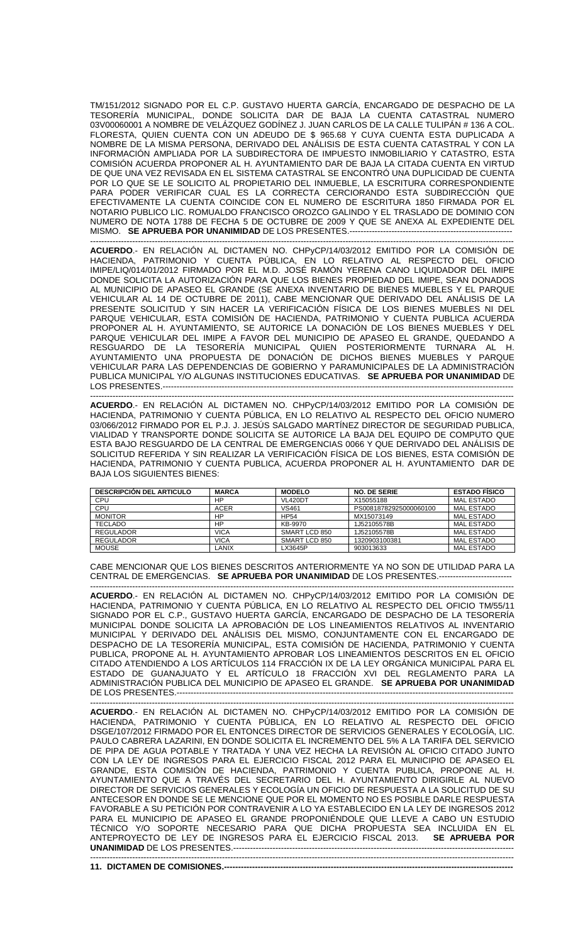TM/151/2012 SIGNADO POR EL C.P. GUSTAVO HUERTA GARCÍA, ENCARGADO DE DESPACHO DE LA TESORERÍA MUNICIPAL, DONDE SOLICITA DAR DE BAJA LA CUENTA CATASTRAL NUMERO 03V00060001 A NOMBRE DE VELÁZQUEZ GODÍNEZ J. JUAN CARLOS DE LA CALLE TULIPÁN # 136 A COL. FLORESTA, QUIEN CUENTA CON UN ADEUDO DE \$ 965.68 Y CUYA CUENTA ESTA DUPLICADA A NOMBRE DE LA MISMA PERSONA, DERIVADO DEL ANÁLISIS DE ESTA CUENTA CATASTRAL Y CON LA INFORMACIÓN AMPLIADA POR LA SUBDIRECTORA DE IMPUESTO INMOBILIARIO Y CATASTRO, ESTA COMISIÓN ACUERDA PROPONER AL H. AYUNTAMIENTO DAR DE BAJA LA CITADA CUENTA EN VIRTUD DE QUE UNA VEZ REVISADA EN EL SISTEMA CATASTRAL SE ENCONTRÓ UNA DUPLICIDAD DE CUENTA POR LO QUE SE LE SOLICITO AL PROPIETARIO DEL INMUEBLE, LA ESCRITURA CORRESPONDIENTE PARA PODER VERIFICAR CUAL ES LA CORRECTA CERCIORANDO ESTA SUBDIRECCIÓN QUE EFECTIVAMENTE LA CUENTA COINCIDE CON EL NUMERO DE ESCRITURA 1850 FIRMADA POR EL NOTARIO PUBLICO LIC. ROMUALDO FRANCISCO OROZCO GALINDO Y EL TRASLADO DE DOMINIO CON NUMERO DE NOTA 1788 DE FECHA 5 DE OCTUBRE DE 2009 Y QUE SE ANEXA AL EXPEDIENTE DEL MISMO. **SE APRUEBA POR UNANIMIDAD** DE LOS PRESENTES.------------------------------

------------------------------------------------------------------------------------------------------------------------------------------------------- **ACUERDO**.- EN RELACIÓN AL DICTAMEN NO. CHPyCP/14/03/2012 EMITIDO POR LA COMISIÓN DE HACIENDA, PATRIMONIO Y CUENTA PÚBLICA, EN LO RELATIVO AL RESPECTO DEL OFICIO IMIPE/LIQ/014/01/2012 FIRMADO POR EL M.D. JOSÉ RAMÓN YERENA CANO LIQUIDADOR DEL IMIPE DONDE SOLICITA LA AUTORIZACIÓN PARA QUE LOS BIENES PROPIEDAD DEL IMIPE, SEAN DONADOS AL MUNICIPIO DE APASEO EL GRANDE (SE ANEXA INVENTARIO DE BIENES MUEBLES Y EL PARQUE VEHICULAR AL 14 DE OCTUBRE DE 2011), CABE MENCIONAR QUE DERIVADO DEL ANÁLISIS DE LA PRESENTE SOLICITUD Y SIN HACER LA VERIFICACIÓN FÍSICA DE LOS BIENES MUEBLES NI DEL PARQUE VEHICULAR, ESTA COMISIÓN DE HACIENDA, PATRIMONIO Y CUENTA PUBLICA ACUERDA PROPONER AL H. AYUNTAMIENTO, SE AUTORICE LA DONACIÓN DE LOS BIENES MUEBLES Y DEL PARQUE VEHICULAR DEL IMIPE A FAVOR DEL MUNICIPIO DE APASEO EL GRANDE, QUEDANDO A RESGUARDO DE LA TESORERÍA MUNICIPAL QUIEN POSTERIORMENTE TURNARA AL H. AYUNTAMIENTO UNA PROPUESTA DE DONACIÓN DE DICHOS BIENES MUEBLES Y PARQUE VEHICULAR PARA LAS DEPENDENCIAS DE GOBIERNO Y PARAMUNICIPALES DE LA ADMINISTRACIÓN PUBLICA MUNICIPAL Y/O ALGUNAS INSTITUCIONES EDUCATIVAS. **SE APRUEBA POR UNANIMIDAD** DE LOS PRESENTES.--

------------------------------------------------------------------------------------------------------------------------------------------------------- **ACUERDO**.- EN RELACIÓN AL DICTAMEN NO. CHPyCP/14/03/2012 EMITIDO POR LA COMISIÓN DE HACIENDA, PATRIMONIO Y CUENTA PÚBLICA, EN LO RELATIVO AL RESPECTO DEL OFICIO NUMERO 03/066/2012 FIRMADO POR EL P.J. J. JESÚS SALGADO MARTÍNEZ DIRECTOR DE SEGURIDAD PUBLICA, VIALIDAD Y TRANSPORTE DONDE SOLICITA SE AUTORICE LA BAJA DEL EQUIPO DE COMPUTO QUE ESTA BAJO RESGUARDO DE LA CENTRAL DE EMERGENCIAS 0066 Y QUE DERIVADO DEL ANÁLISIS DE SOLICITUD REFERIDA Y SIN REALIZAR LA VERIFICACIÓN FÍSICA DE LOS BIENES, ESTA COMISIÓN DE HACIENDA, PATRIMONIO Y CUENTA PUBLICA, ACUERDA PROPONER AL H. AYUNTAMIENTO DAR DE BAJA LOS SIGUIENTES BIENES:

| <b>DESCRIPCIÓN DEL ARTICULO</b> | <b>MARCA</b> | <b>MODELO</b>  | <b>NO. DE SERIE</b>    | <b>ESTADO FISICO</b> |
|---------------------------------|--------------|----------------|------------------------|----------------------|
| CPU                             | HP           | <b>VL420DT</b> | X15055188              | MAL ESTADO           |
| CPU                             | <b>ACER</b>  | <b>VS461</b>   | PS00818782925000060100 | <b>MAL ESTADO</b>    |
| <b>MONITOR</b>                  | HP           | <b>HP54</b>    | MX15073149             | MAL ESTADO           |
| <b>TECLADO</b>                  | <b>HP</b>    | KB-9970        | 1J52105578B            | <b>MAL ESTADO</b>    |
| <b>REGULADOR</b>                | VICA         | SMART LCD 850  | 1J52105578B            | <b>MAL ESTADO</b>    |
| <b>REGULADOR</b>                | <b>VICA</b>  | SMART LCD 850  | 1320903100381          | <b>MAL ESTADO</b>    |
| <b>MOUSE</b>                    | LANIX        | LX3645P        | 903013633              | <b>MAL ESTADO</b>    |

CABE MENCIONAR QUE LOS BIENES DESCRITOS ANTERIORMENTE YA NO SON DE UTILIDAD PARA LA CENTRAL DE EMERGENCIAS. **SE APRUEBA POR UNANIMIDAD** DE LOS PRESENTES.--------------------------

------------------------------------------------------------------------------------------------------------------------------------------------------- **ACUERDO**.- EN RELACIÓN AL DICTAMEN NO. CHPyCP/14/03/2012 EMITIDO POR LA COMISIÓN DE HACIENDA, PATRIMONIO Y CUENTA PÚBLICA, EN LO RELATIVO AL RESPECTO DEL OFICIO TM/55/11 SIGNADO POR EL C.P., GUSTAVO HUERTA GARCÍA, ENCARGADO DE DESPACHO DE LA TESORERÍA MUNICIPAL DONDE SOLICITA LA APROBACIÓN DE LOS LINEAMIENTOS RELATIVOS AL INVENTARIO MUNICIPAL Y DERIVADO DEL ANÁLISIS DEL MISMO, CONJUNTAMENTE CON EL ENCARGADO DE DESPACHO DE LA TESORERÍA MUNICIPAL, ESTA COMISIÓN DE HACIENDA, PATRIMONIO Y CUENTA PUBLICA, PROPONE AL H. AYUNTAMIENTO APROBAR LOS LINEAMIENTOS DESCRITOS EN EL OFICIO CITADO ATENDIENDO A LOS ARTÍCULOS 114 FRACCIÓN IX DE LA LEY ORGÁNICA MUNICIPAL PARA EL ESTADO DE GUANAJUATO Y EL ARTÍCULO 18 FRACCIÓN XVI DEL REGLAMENTO PARA LA ADMINISTRACIÓN PUBLICA DEL MUNICIPIO DE APASEO EL GRANDE. **SE APRUEBA POR UNANIMIDAD** DE LOS PRESENTES.------------------------------------------------------------------------------------------------------------------------

------------------------------------------------------------------------------------------------------------------------------------------------------- **ACUERDO**.- EN RELACIÓN AL DICTAMEN NO. CHPyCP/14/03/2012 EMITIDO POR LA COMISIÓN DE HACIENDA, PATRIMONIO Y CUENTA PÚBLICA, EN LO RELATIVO AL RESPECTO DEL OFICIO DSGE/107/2012 FIRMADO POR EL ENTONCES DIRECTOR DE SERVICIOS GENERALES Y ECOLOGÍA, LIC. PAULO CABRERA LAZARINI, EN DONDE SOLICITA EL INCREMENTO DEL 5% A LA TARIFA DEL SERVICIO DE PIPA DE AGUA POTABLE Y TRATADA Y UNA VEZ HECHA LA REVISIÓN AL OFICIO CITADO JUNTO CON LA LEY DE INGRESOS PARA EL EJERCICIO FISCAL 2012 PARA EL MUNICIPIO DE APASEO EL GRANDE, ESTA COMISIÓN DE HACIENDA, PATRIMONIO Y CUENTA PUBLICA, PROPONE AL H. AYUNTAMIENTO QUE A TRAVÉS DEL SECRETARIO DEL H. AYUNTAMIENTO DIRIGIRLE AL NUEVO DIRECTOR DE SERVICIOS GENERALES Y ECOLOGÍA UN OFICIO DE RESPUESTA A LA SOLICITUD DE SU ANTECESOR EN DONDE SE LE MENCIONE QUE POR EL MOMENTO NO ES POSIBLE DARLE RESPUESTA FAVORABLE A SU PETICIÓN POR CONTRAVENIR A LO YA ESTABLECIDO EN LA LEY DE INGRESOS 2012 PARA EL MUNICIPIO DE APASEO EL GRANDE PROPONIÉNDOLE QUE LLEVE A CABO UN ESTUDIO TÉCNICO Y/O SOPORTE NECESARIO PARA QUE DICHA PROPUESTA SEA INCLUIDA EN EL ANTEPROYECTO DE LEY DE INGRESOS PARA EL EJERCICIO FISCAL 2013. **SE APRUEBA POR UNANIMIDAD** DE LOS PRESENTES.---------------------------------------------------------------------------------------------------- -------------------------------------------------------------------------------------------------------------------------------------------------------

**11. DICTAMEN DE COMISIONES.----**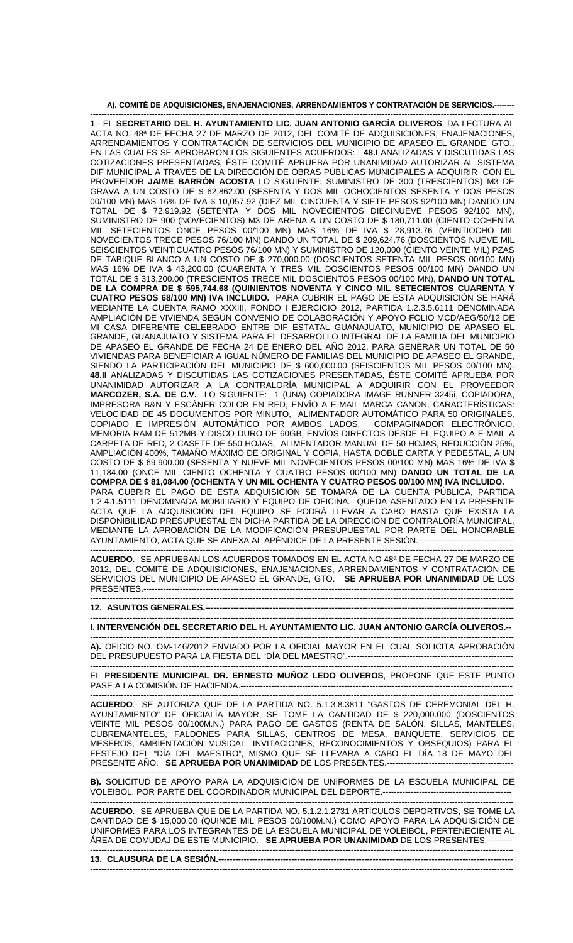## A). COMITÉ DE ADQUISICIONES, ENAJENACIONES, ARRENDAMIENTOS Y CONTRATACIÓN DE SERVICIOS.--

------------------------------------------------------------------------------------------------------------------------------------------------------- **1**.- EL **SECRETARIO DEL H. AYUNTAMIENTO LIC. JUAN ANTONIO GARCÍA OLIVEROS**, DA LECTURA AL ACTA NO. 48ª DE FECHA 27 DE MARZO DE 2012, DEL COMITÉ DE ADQUISICIONES, ENAJENACIONES, ARRENDAMIENTOS Y CONTRATACIÓN DE SERVICIOS DEL MUNICIPIO DE APASEO EL GRANDE, GTO., EN LAS CUALES SE APROBARON LOS SIGUIENTES ACUERDOS: **48.I** ANALIZADAS Y DISCUTIDAS LAS COTIZACIONES PRESENTADAS, ÉSTE COMITÉ APRUEBA POR UNANIMIDAD AUTORIZAR AL SISTEMA DIF MUNICIPAL A TRAVÉS DE LA DIRECCIÓN DE OBRAS PÚBLICAS MUNICIPALES A ADQUIRIR CON EL PROVEEDOR **JAIME BARRÓN ACOSTA** LO SIGUIENTE: SUMINISTRO DE 300 (TRESCIENTOS) M3 DE GRAVA A UN COSTO DE \$ 62,862.00 (SESENTA Y DOS MIL OCHOCIENTOS SESENTA Y DOS PESOS 00/100 MN) MAS 16% DE IVA \$ 10,057.92 (DIEZ MIL CINCUENTA Y SIETE PESOS 92/100 MN) DANDO UN TOTAL DE \$ 72,919.92 (SETENTA Y DOS MIL NOVECIENTOS DIECINUEVE PESOS 92/100 MN), SUMINISTRO DE 900 (NOVECIENTOS) M3 DE ARENA A UN COSTO DE \$ 180,711.00 (CIENTO OCHENTA MIL SETECIENTOS ONCE PESOS 00/100 MN) MAS 16% DE IVA \$ 28,913.76 (VEINTIOCHO MIL NOVECIENTOS TRECE PESOS 76/100 MN) DANDO UN TOTAL DE \$ 209,624.76 (DOSCIENTOS NUEVE MIL SEISCIENTOS VEINTICUATRO PESOS 76/100 MN) Y SUMINISTRO DE 120,000 (CIENTO VEINTE MIL) PZAS DE TABIQUE BLANCO A UN COSTO DE \$ 270,000.00 (DOSCIENTOS SETENTA MIL PESOS 00/100 MN) MAS 16% DE IVA \$ 43,200.00 (CUARENTA Y TRES MIL DOSCIENTOS PESOS 00/100 MN) DANDO UN TOTAL DE \$ 313,200.00 (TRESCIENTOS TRECE MIL DOSCIENTOS PESOS 00/100 MN), **DANDO UN TOTAL DE LA COMPRA DE \$ 595,744.68 (QUINIENTOS NOVENTA Y CINCO MIL SETECIENTOS CUARENTA Y CUATRO PESOS 68/100 MN) IVA INCLUIDO.** PARA CUBRIR EL PAGO DE ESTA ADQUISICIÓN SE HARÁ MEDIANTE LA CUENTA RAMO XXXIII, FONDO I EJERCICIO 2012, PARTIDA 1.2.3.5.6111 DENOMINADA AMPLIACIÓN DE VIVIENDA SEGÚN CONVENIO DE COLABORACIÓN Y APOYO FOLIO MCD/AEG/50/12 DE MI CASA DIFERENTE CELEBRADO ENTRE DIF ESTATAL GUANAJUATO, MUNICIPIO DE APASEO EL GRANDE, GUANAJUATO Y SISTEMA PARA EL DESARROLLO INTEGRAL DE LA FAMILIA DEL MUNICIPIO DE APASEO EL GRANDE DE FECHA 24 DE ENERO DEL AÑO 2012, PARA GENERAR UN TOTAL DE 50 VIVIENDAS PARA BENEFICIAR A IGUAL NÚMERO DE FAMILIAS DEL MUNICIPIO DE APASEO EL GRANDE, SIENDO LA PARTICIPACIÓN DEL MUNICIPIO DE \$ 600,000.00 (SEISCIENTOS MIL PESOS 00/100 MN). **48.II** ANALIZADAS Y DISCUTIDAS LAS COTIZACIONES PRESENTADAS, ÉSTE COMITÉ APRUEBA POR UNANIMIDAD AUTORIZAR A LA CONTRALORÍA MUNICIPAL A ADQUIRIR CON EL PROVEEDOR **MARCOZER, S.A. DE C.V.** LO SIGUIENTE: 1 (UNA) COPIADORA IMAGE RUNNER 3245i, COPIADORA, IMPRESORA B&N Y ESCÁNER COLOR EN RED, ENVÍO A E-MAIL MARCA CANON, CARACTERÍSTICAS: VELOCIDAD DE 45 DOCUMENTOS POR MINUTO, ALIMENTADOR AUTOMÁTICO PARA 50 ORIGINALES, COPIADO E IMPRESIÓN AUTOMÁTICO POR AMBOS LADOS, COMPAGINADOR ELECTRÓNICO, MEMORIA RAM DE 512MB Y DISCO DURO DE 60GB, ENVÍOS DIRECTOS DESDE EL EQUIPO A E-MAIL A CARPETA DE RED, 2 CASETE DE 550 HOJAS, ALIMENTADOR MANUAL DE 50 HOJAS, REDUCCIÓN 25%, AMPLIACIÓN 400%, TAMAÑO MÁXIMO DE ORIGINAL Y COPIA, HASTA DOBLE CARTA Y PEDESTAL, A UN COSTO DE \$ 69,900.00 (SESENTA Y NUEVE MIL NOVECIENTOS PESOS 00/100 MN) MAS 16% DE IVA \$ 11,184.00 (ONCE MIL CIENTO OCHENTA Y CUATRO PESOS 00/100 MN) **DANDO UN TOTAL DE LA COMPRA DE \$ 81,084.00 (OCHENTA Y UN MIL OCHENTA Y CUATRO PESOS 00/100 MN) IVA INCLUIDO.**  PARA CUBRIR EL PAGO DE ESTA ADQUISICIÓN SE TOMARÁ DE LA CUENTA PÚBLICA, PARTIDA 1.2.4.1.5111 DENOMINADA MOBILIARIO Y EQUIPO DE OFICINA. QUEDA ASENTADO EN LA PRESENTE ACTA QUE LA ADQUISICIÓN DEL EQUIPO SE PODRÁ LLEVAR A CABO HASTA QUE EXISTA LA DISPONIBILIDAD PRESUPUESTAL EN DICHA PARTIDA DE LA DIRECCIÓN DE CONTRALORÍA MUNICIPAL, MEDIANTE LA APROBACIÓN DE LA MODIFICACIÓN PRESUPUESTAL POR PARTE DEL HONORABLE AYUNTAMIENTO, ACTA QUE SE ANEXA AL APÉNDICE DE LA PRESENTE SESIÓN.----------------------------------

------------------------------------------------------------------------------------------------------------------------------------------------------- **ACUERDO**.- SE APRUEBAN LOS ACUERDOS TOMADOS EN EL ACTA NO 48ª DE FECHA 27 DE MARZO DE 2012, DEL COMITÉ DE ADQUISICIONES, ENAJENACIONES, ARRENDAMIENTOS Y CONTRATACIÓN DE SERVICIOS DEL MUNICIPIO DE APASEO EL GRANDE, GTO. **SE APRUEBA POR UNANIMIDAD** DE LOS PRESENTES.------------------------------------------------------------------------------------------------------------------------------------ -------------------------------------------------------------------------------------------------------------------------------------------------------

#### **12. ASUNTOS GENERALES.--------------------------------------------------------------------------------------------------------------**

------------------------------------------------------------------------------------------------------------------------------------------------------- **I. INTERVENCIÓN DEL SECRETARIO DEL H. AYUNTAMIENTO LIC. JUAN ANTONIO GARCÍA OLIVEROS.--**  -------------------------------------------------------------------------------------------------------------------------------------------------------

**A).** OFICIO NO. OM-146/2012 ENVIADO POR LA OFICIAL MAYOR EN EL CUAL SOLICITA APROBACIÓN DEL PRESUPUESTO PARA LA FIESTA DEL "DÍA DEL MAESTRO".-----------------------------

------------------------------------------------------------------------------------------------------------------------------------------------------- EL **PRESIDENTE MUNICIPAL DR. ERNESTO MUÑOZ LEDO OLIVEROS**, PROPONE QUE ESTE PUNTO PASE A LA COMISIÓN DE HACIENDA.-------------------------------------------------------------------------------------------------

------------------------------------------------------------------------------------------------------------------------------------------------------- **ACUERDO**.- SE AUTORIZA QUE DE LA PARTIDA NO. 5.1.3.8.3811 "GASTOS DE CEREMONIAL DEL H. AYUNTAMIENTO" DE OFICIALÍA MAYOR, SE TOME LA CANTIDAD DE \$ 220,000.000 (DOSCIENTOS VEINTE MIL PESOS 00/100M.N.) PARA PAGO DE GASTOS (RENTA DE SALÓN, SILLAS, MANTELES, CUBREMANTELES, FALDONES PARA SILLAS, CENTROS DE MESA, BANQUETE, SERVICIOS DE MESEROS, AMBIENTACIÓN MUSICAL, INVITACIONES, RECONOCIMIENTOS Y OBSEQUIOS) PARA EL FESTEJO DEL "DÍA DEL MAESTRO", MISMO QUE SE LLEVARA A CABO EL DÍA 18 DE MAYO DEL PRESENTE AÑO. **SE APRUEBA POR UNANIMIDAD** DE LOS PRESENTES.---------------------------------------------

------------------------------------------------------------------------------------------------------------------------------------------------------- **B).** SOLICITUD DE APOYO PARA LA ADQUISICIÓN DE UNIFORMES DE LA ESCUELA MUNICIPAL DE VOLEIBOL, POR PARTE DEL COORDINADOR MUNICIPAL DEL DEPORTE.----------------------------------------------

------------------------------------------------------------------------------------------------------------------------------------------------------- **ACUERDO**.- SE APRUEBA QUE DE LA PARTIDA NO. 5.1.2.1.2731 ARTÍCULOS DEPORTIVOS, SE TOME LA CANTIDAD DE \$ 15,000.00 (QUINCE MIL PESOS 00/100M.N.) COMO APOYO PARA LA ADQUISICIÓN DE UNIFORMES PARA LOS INTEGRANTES DE LA ESCUELA MUNICIPAL DE VOLEIBOL, PERTENECIENTE AL ÁREA DE COMUDAJ DE ESTE MUNICIPIO. **SE APRUEBA POR UNANIMIDAD** DE LOS PRESENTES.---------

**13. CLAUSURA DE LA SESIÓN.----**

-------------------------------------------------------------------------------------------------------------------------------------------------------

-------------------------------------------------------------------------------------------------------------------------------------------------------